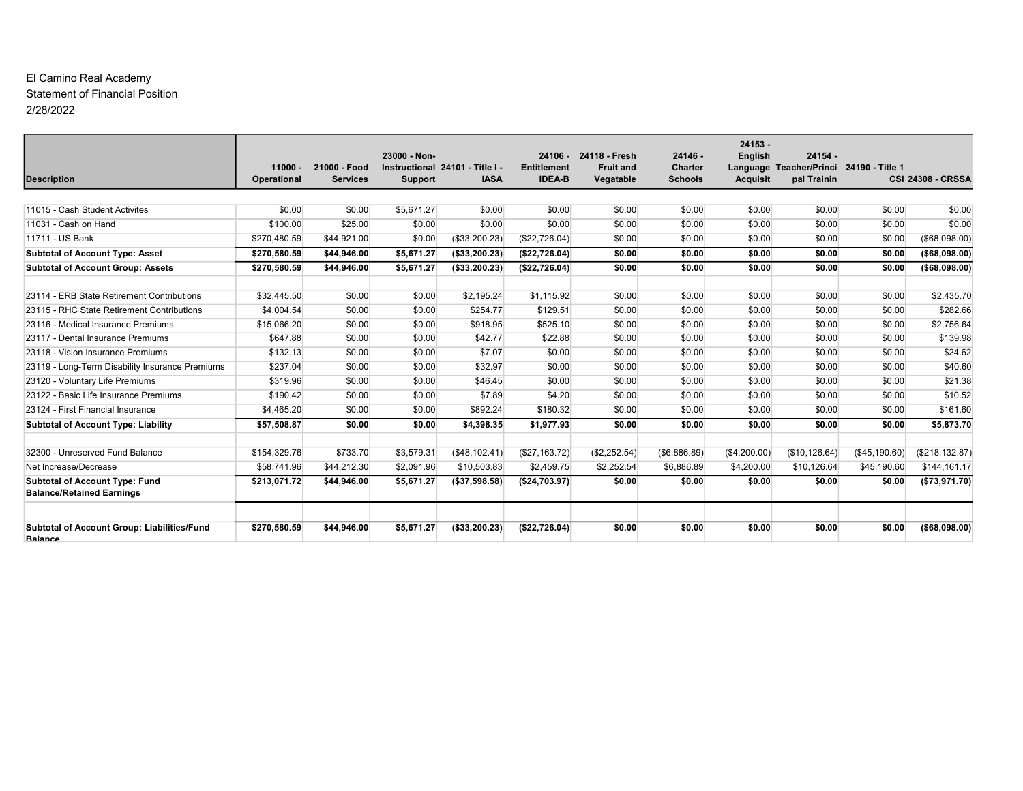#### El Camino Real Academy Statement of Financial Position 2/28/2022

|                                                                           |                          |                                 | 23000 - Non-   |                                                |                                     | 24106 - 24118 - Fresh         | $24146 -$                        | $24153 -$<br><b>English</b> | $24154 -$                                              |               |                          |
|---------------------------------------------------------------------------|--------------------------|---------------------------------|----------------|------------------------------------------------|-------------------------------------|-------------------------------|----------------------------------|-----------------------------|--------------------------------------------------------|---------------|--------------------------|
| <b>Description</b>                                                        | $11000 -$<br>Operational | 21000 - Food<br><b>Services</b> | <b>Support</b> | Instructional 24101 - Title I -<br><b>IASA</b> | <b>Entitlement</b><br><b>IDEA-B</b> | <b>Fruit and</b><br>Vegatable | <b>Charter</b><br><b>Schools</b> | <b>Acquisit</b>             | Language Teacher/Princi 24190 - Title 1<br>pal Trainin |               | <b>CSI 24308 - CRSSA</b> |
|                                                                           |                          |                                 |                |                                                |                                     |                               |                                  |                             |                                                        |               |                          |
| 11015 - Cash Student Activites                                            | \$0.00                   | \$0.00                          | \$5,671.27     | \$0.00                                         | \$0.00                              | \$0.00                        | \$0.00                           | \$0.00                      | \$0.00                                                 | \$0.00        | \$0.00                   |
| 11031 - Cash on Hand                                                      | \$100.00                 | \$25.00                         | \$0.00         | \$0.00                                         | \$0.00                              | \$0.00                        | \$0.00                           | \$0.00                      | \$0.00                                                 | \$0.00        | \$0.00                   |
| 11711 - US Bank                                                           | \$270,480.59             | \$44,921.00                     | \$0.00         | (\$33,200.23)                                  | (\$22,726.04)                       | \$0.00                        | \$0.00                           | \$0.00                      | \$0.00                                                 | \$0.00        | (\$68,098.00)            |
| <b>Subtotal of Account Type: Asset</b>                                    | \$270,580.59             | \$44,946.00                     | \$5,671.27     | (\$33,200.23)                                  | (\$22,726.04)                       | \$0.00                        | \$0.00                           | \$0.00                      | \$0.00                                                 | \$0.00        | ( \$68,098.00)           |
| <b>Subtotal of Account Group: Assets</b>                                  | \$270,580.59             | \$44,946.00                     | \$5,671.27     | (\$33,200.23)                                  | (\$22,726.04)                       | \$0.00                        | \$0.00                           | \$0.00                      | \$0.00                                                 | \$0.00        | ( \$68,098.00)           |
|                                                                           |                          |                                 |                |                                                |                                     |                               |                                  |                             |                                                        |               |                          |
| 23114 - ERB State Retirement Contributions                                | \$32,445.50              | \$0.00                          | \$0.00         | \$2.195.24                                     | \$1.115.92                          | \$0.00                        | \$0.00                           | \$0.00                      | \$0.00                                                 | \$0.00        | \$2,435.70               |
| 23115 - RHC State Retirement Contributions                                | \$4.004.54               | \$0.00                          | \$0.00         | \$254.77                                       | \$129.51                            | \$0.00                        | \$0.00                           | \$0.00                      | \$0.00                                                 | \$0.00        | \$282.66                 |
| 23116 - Medical Insurance Premiums                                        | \$15,066.20              | \$0.00                          | \$0.00         | \$918.95                                       | \$525.10                            | \$0.00                        | \$0.00                           | \$0.00                      | \$0.00                                                 | \$0.00        | \$2,756.64               |
| 23117 - Dental Insurance Premiums                                         | \$647.88                 | \$0.00                          | \$0.00         | \$42.77                                        | \$22.88                             | \$0.00                        | \$0.00                           | \$0.00                      | \$0.00                                                 | \$0.00        | \$139.98                 |
| 23118 - Vision Insurance Premiums                                         | \$132.13                 | \$0.00                          | \$0.00         | \$7.07                                         | \$0.00                              | \$0.00                        | \$0.00                           | \$0.00                      | \$0.00                                                 | \$0.00        | \$24.62                  |
| 23119 - Long-Term Disability Insurance Premiums                           | \$237.04                 | \$0.00                          | \$0.00         | \$32.97                                        | \$0.00                              | \$0.00                        | \$0.00                           | \$0.00                      | \$0.00                                                 | \$0.00        | \$40.60                  |
| 23120 - Voluntary Life Premiums                                           | \$319.96                 | \$0.00                          | \$0.00         | \$46.45                                        | \$0.00                              | \$0.00                        | \$0.00                           | \$0.00                      | \$0.00                                                 | \$0.00        | \$21.38                  |
| 23122 - Basic Life Insurance Premiums                                     | \$190.42                 | \$0.00                          | \$0.00         | \$7.89                                         | \$4.20                              | \$0.00                        | \$0.00                           | \$0.00                      | \$0.00                                                 | \$0.00        | \$10.52                  |
| 23124 - First Financial Insurance                                         | \$4,465.20               | \$0.00                          | \$0.00         | \$892.24                                       | \$180.32                            | \$0.00                        | \$0.00                           | \$0.00                      | \$0.00                                                 | \$0.00        | \$161.60                 |
| <b>Subtotal of Account Type: Liability</b>                                | \$57,508.87              | \$0.00                          | \$0.00         | \$4,398.35                                     | \$1,977.93                          | \$0.00                        | \$0.00                           | \$0.00                      | \$0.00                                                 | \$0.00        | \$5,873.70               |
|                                                                           |                          |                                 |                |                                                |                                     |                               |                                  |                             |                                                        |               |                          |
| 32300 - Unreserved Fund Balance                                           | \$154,329.76             | \$733.70                        | \$3,579.31     | (\$48,102.41)                                  | (\$27,163.72)                       | (\$2,252.54)                  | (\$6,886.89)                     | (\$4,200.00)                | (\$10, 126.64)                                         | (\$45,190.60) | (\$218, 132.87)          |
| Net Increase/Decrease                                                     | \$58,741.96              | \$44,212.30                     | \$2,091.96     | \$10,503.83                                    | \$2,459.75                          | \$2,252.54                    | \$6,886.89                       | \$4,200.00                  | \$10,126.64                                            | \$45,190.60   | \$144,161.17             |
| <b>Subtotal of Account Type: Fund</b><br><b>Balance/Retained Earnings</b> | \$213,071.72             | \$44.946.00                     | \$5,671.27     | (\$37,598.58)                                  | (\$24,703.97)                       | \$0.00                        | \$0.00                           | \$0.00                      | \$0.00                                                 | \$0.00        | (\$73,971.70)            |
| Subtotal of Account Group: Liabilities/Fund<br><b>Balance</b>             | \$270,580.59             | \$44,946.00                     | \$5,671.27     | ( \$33, 200.23)                                | (\$22,726.04)                       | \$0.00                        | \$0.00                           | \$0.00                      | \$0.00                                                 | \$0.00        | ( \$68,098.00]           |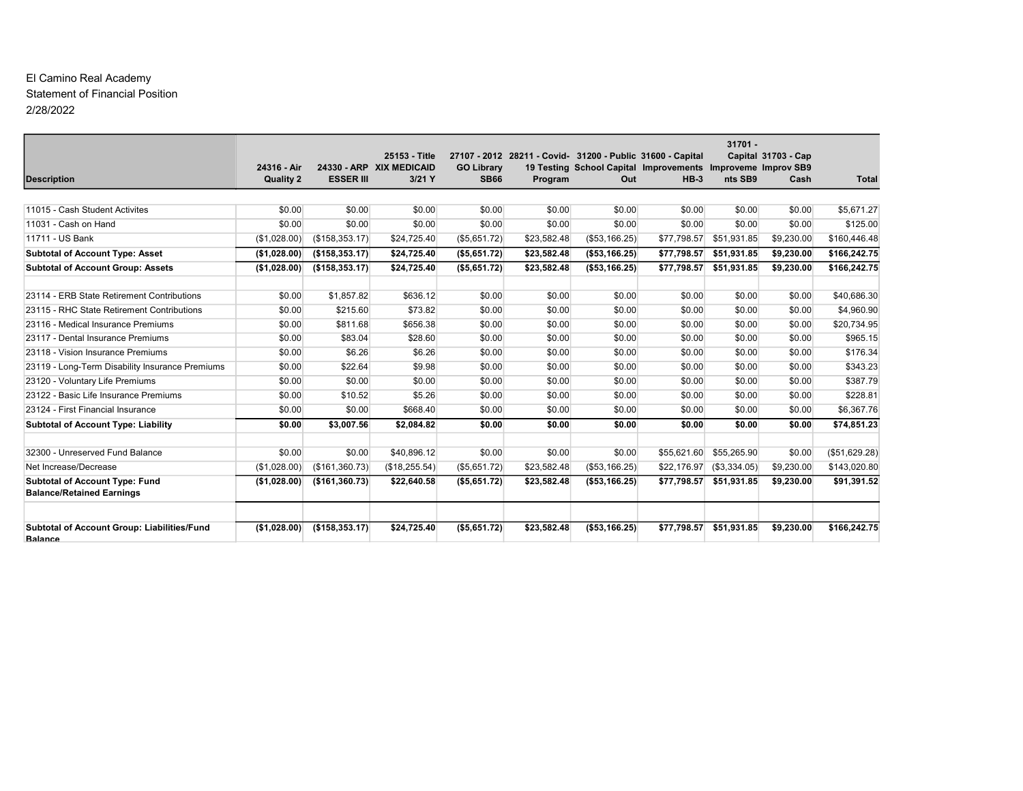#### El Camino Real Academy Statement of Financial Position 2/28/2022

|                                                                           |                  |                   |                                           |                   |             |                                                                                                                           |             | $31701 -$    |                     |               |
|---------------------------------------------------------------------------|------------------|-------------------|-------------------------------------------|-------------------|-------------|---------------------------------------------------------------------------------------------------------------------------|-------------|--------------|---------------------|---------------|
|                                                                           | 24316 - Air      |                   | 25153 - Title<br>24330 - ARP XIX MEDICAID | <b>GO Library</b> |             | 27107 - 2012 28211 - Covid- 31200 - Public 31600 - Capital<br>19 Testing School Capital Improvements Improveme Improv SB9 |             |              | Capital 31703 - Cap |               |
| <b>Description</b>                                                        | <b>Quality 2</b> | <b>ESSER III</b>  | $3/21$ Y                                  | <b>SB66</b>       | Program     | Out                                                                                                                       | $HB-3$      | nts SB9      | Cash                | <b>Total</b>  |
|                                                                           |                  |                   |                                           |                   |             |                                                                                                                           |             |              |                     |               |
| 11015 - Cash Student Activites                                            | \$0.00           | \$0.00            | \$0.00                                    | \$0.00            | \$0.00      | \$0.00                                                                                                                    | \$0.00      | \$0.00       | \$0.00              | \$5,671.27    |
| 11031 - Cash on Hand                                                      | \$0.00           | \$0.00            | \$0.00                                    | \$0.00            | \$0.00      | \$0.00                                                                                                                    | \$0.00      | \$0.00       | \$0.00              | \$125.00      |
| 11711 - US Bank                                                           | (\$1,028.00)     | $($ \$158,353.17) | \$24,725.40                               | (\$5,651.72)      | \$23,582.48 | (\$53,166.25)                                                                                                             | \$77,798.57 | \$51,931.85  | \$9,230.00          | \$160,446.48  |
| <b>Subtotal of Account Type: Asset</b>                                    | (\$1,028.00)     | ( \$158, 353.17)  | \$24,725.40                               | (\$5,651.72)      | \$23,582.48 | ( \$53, 166.25)                                                                                                           | \$77,798.57 | \$51,931.85  | \$9,230.00          | \$166,242.75  |
| <b>Subtotal of Account Group: Assets</b>                                  | (\$1.028.00)     | ( \$158, 353.17)  | \$24.725.40                               | (\$5,651.72)      | \$23.582.48 | ( \$53, 166.25)                                                                                                           | \$77.798.57 | \$51.931.85  | \$9,230.00          | \$166,242.75  |
|                                                                           |                  |                   |                                           |                   |             |                                                                                                                           |             |              |                     |               |
| 23114 - ERB State Retirement Contributions                                | \$0.00           | \$1,857.82        | \$636.12                                  | \$0.00            | \$0.00      | \$0.00                                                                                                                    | \$0.00      | \$0.00       | \$0.00              | \$40,686.30   |
| 23115 - RHC State Retirement Contributions                                | \$0.00           | \$215.60          | \$73.82                                   | \$0.00            | \$0.00      | \$0.00                                                                                                                    | \$0.00      | \$0.00       | \$0.00              | \$4,960.90    |
| 23116 - Medical Insurance Premiums                                        | \$0.00           | \$811.68          | \$656.38                                  | \$0.00            | \$0.00      | \$0.00                                                                                                                    | \$0.00      | \$0.00       | \$0.00              | \$20,734.95   |
| 23117 - Dental Insurance Premiums                                         | \$0.00           | \$83.04           | \$28.60                                   | \$0.00            | \$0.00      | \$0.00                                                                                                                    | \$0.00      | \$0.00       | \$0.00              | \$965.15      |
| 23118 - Vision Insurance Premiums                                         | \$0.00           | \$6.26            | \$6.26                                    | \$0.00            | \$0.00      | \$0.00                                                                                                                    | \$0.00      | \$0.00       | \$0.00              | \$176.34      |
| 23119 - Long-Term Disability Insurance Premiums                           | \$0.00           | \$22.64           | \$9.98                                    | \$0.00            | \$0.00      | \$0.00                                                                                                                    | \$0.00      | \$0.00       | \$0.00              | \$343.23      |
| 23120 - Voluntary Life Premiums                                           | \$0.00           | \$0.00            | \$0.00                                    | \$0.00            | \$0.00      | \$0.00                                                                                                                    | \$0.00      | \$0.00       | \$0.00              | \$387.79      |
| 23122 - Basic Life Insurance Premiums                                     | \$0.00           | \$10.52           | \$5.26                                    | \$0.00            | \$0.00      | \$0.00                                                                                                                    | \$0.00      | \$0.00       | \$0.00              | \$228.81      |
| 23124 - First Financial Insurance                                         | \$0.00           | \$0.00            | \$668.40                                  | \$0.00            | \$0.00      | \$0.00                                                                                                                    | \$0.00      | \$0.00       | \$0.00              | \$6,367.76    |
| <b>Subtotal of Account Type: Liability</b>                                | \$0.00           | \$3,007.56        | \$2,084.82                                | \$0.00            | \$0.00      | \$0.00                                                                                                                    | \$0.00      | \$0.00       | \$0.00              | \$74,851.23   |
|                                                                           |                  |                   |                                           |                   |             |                                                                                                                           |             |              |                     |               |
| 32300 - Unreserved Fund Balance                                           | \$0.00           | \$0.00            | \$40,896.12                               | \$0.00            | \$0.00      | \$0.00                                                                                                                    | \$55,621.60 | \$55,265.90  | \$0.00              | (\$51,629.28) |
| Net Increase/Decrease                                                     | (S1.028.00)      | (\$161,360.73)    | (\$18,255.54)                             | (\$5,651.72)      | \$23,582.48 | (\$53,166.25)                                                                                                             | \$22,176.97 | (\$3,334.05) | \$9,230.00          | \$143,020.80  |
| <b>Subtotal of Account Type: Fund</b><br><b>Balance/Retained Earnings</b> | (\$1,028.00)     | (\$161,360.73)    | \$22,640.58                               | (\$5,651.72)      | \$23,582.48 | ( \$53, 166.25)                                                                                                           | \$77,798.57 | \$51,931.85  | \$9,230.00          | \$91,391.52   |
| Subtotal of Account Group: Liabilities/Fund<br><b>Balance</b>             | (\$1,028.00)     | ( \$158, 353.17)  | \$24,725.40                               | ( \$5,651.72)     | \$23,582.48 | ( \$53, 166.25)                                                                                                           | \$77,798.57 | \$51,931.85  | \$9,230.00          | \$166,242.75  |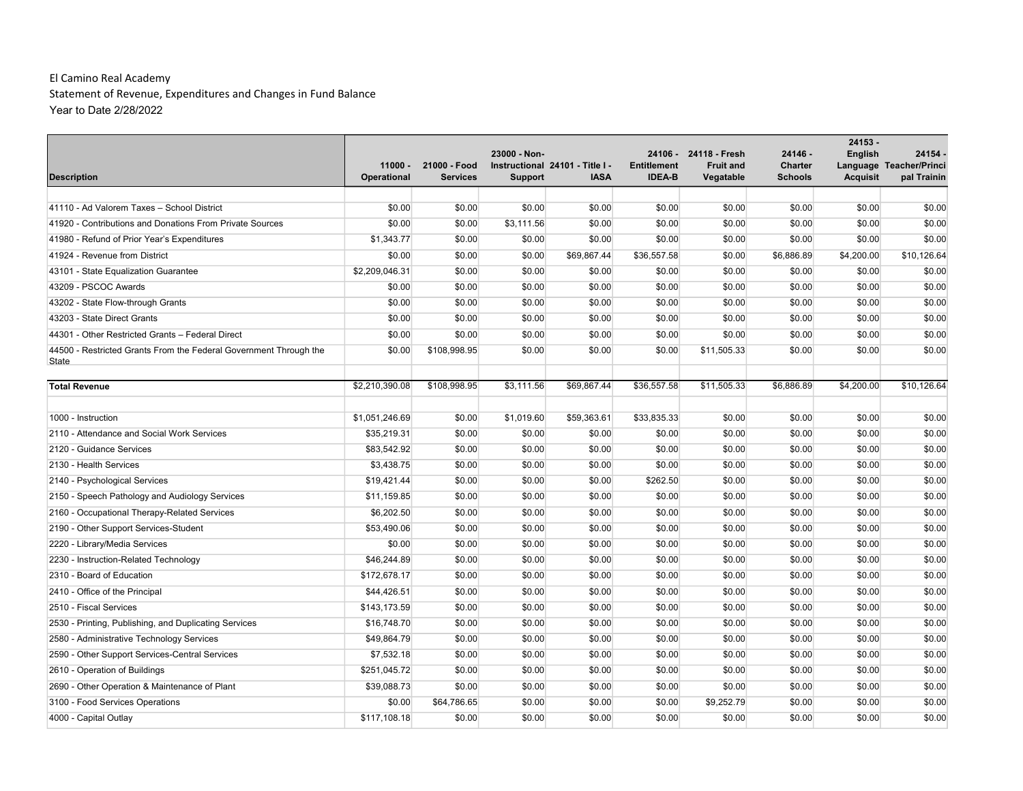| <b>Description</b>                                                | $11000 -$<br>Operational | 21000 - Food<br><b>Services</b> | 23000 - Non-<br><b>Support</b> | Instructional 24101 - Title I -<br><b>IASA</b> | <b>Entitlement</b><br><b>IDEA-B</b> | 24106 - 24118 - Fresh<br><b>Fruit and</b><br>Vegatable | 24146 -<br><b>Charter</b><br><b>Schools</b> | $24153 -$<br><b>English</b><br><b>Acquisit</b> | 24154 -<br>Language Teacher/Princi<br>pal Trainin |
|-------------------------------------------------------------------|--------------------------|---------------------------------|--------------------------------|------------------------------------------------|-------------------------------------|--------------------------------------------------------|---------------------------------------------|------------------------------------------------|---------------------------------------------------|
|                                                                   |                          |                                 |                                |                                                |                                     |                                                        |                                             |                                                |                                                   |
| 41110 - Ad Valorem Taxes - School District                        | \$0.00                   | \$0.00                          | \$0.00                         | \$0.00                                         | \$0.00                              | \$0.00                                                 | \$0.00                                      | \$0.00                                         | \$0.00                                            |
| 41920 - Contributions and Donations From Private Sources          | \$0.00                   | \$0.00                          | \$3,111.56                     | \$0.00                                         | \$0.00                              | \$0.00                                                 | \$0.00                                      | \$0.00                                         | \$0.00                                            |
| 41980 - Refund of Prior Year's Expenditures                       | \$1,343.77               | \$0.00                          | \$0.00                         | \$0.00                                         | \$0.00                              | \$0.00                                                 | \$0.00                                      | \$0.00                                         | \$0.00                                            |
| 41924 - Revenue from District                                     | \$0.00                   | \$0.00                          | \$0.00                         | \$69,867.44                                    | \$36,557.58                         | \$0.00                                                 | \$6,886.89                                  | \$4,200.00                                     | \$10,126.64                                       |
| 43101 - State Equalization Guarantee                              | \$2,209,046.31           | \$0.00                          | \$0.00                         | \$0.00                                         | \$0.00                              | \$0.00                                                 | \$0.00                                      | \$0.00                                         | \$0.00                                            |
| 43209 - PSCOC Awards                                              | \$0.00                   | \$0.00                          | \$0.00                         | \$0.00                                         | \$0.00                              | \$0.00                                                 | \$0.00                                      | \$0.00                                         | \$0.00                                            |
| 43202 - State Flow-through Grants                                 | \$0.00                   | \$0.00                          | \$0.00                         | \$0.00                                         | \$0.00                              | \$0.00                                                 | \$0.00                                      | \$0.00                                         | \$0.00                                            |
| 43203 - State Direct Grants                                       | \$0.00                   | \$0.00                          | \$0.00                         | \$0.00                                         | \$0.00                              | \$0.00                                                 | \$0.00                                      | \$0.00                                         | \$0.00                                            |
| 44301 - Other Restricted Grants - Federal Direct                  | \$0.00                   | \$0.00                          | \$0.00                         | \$0.00                                         | \$0.00                              | \$0.00                                                 | \$0.00                                      | \$0.00                                         | \$0.00                                            |
| 44500 - Restricted Grants From the Federal Government Through the | \$0.00                   | \$108,998.95                    | \$0.00                         | \$0.00                                         | \$0.00                              | \$11,505.33                                            | \$0.00                                      | \$0.00                                         | \$0.00                                            |
| State                                                             |                          |                                 |                                |                                                |                                     |                                                        |                                             |                                                |                                                   |
| <b>Total Revenue</b>                                              | \$2,210,390.08           | \$108,998.95                    | \$3,111.56                     | \$69,867.44                                    | \$36,557.58                         | \$11,505.33                                            | \$6,886.89                                  | \$4,200.00                                     | \$10,126.64                                       |
|                                                                   |                          |                                 |                                |                                                |                                     |                                                        |                                             |                                                |                                                   |
| 1000 - Instruction                                                | \$1,051,246.69           | \$0.00                          | \$1,019.60                     | \$59,363.61                                    | \$33,835.33                         | \$0.00                                                 | \$0.00                                      | \$0.00                                         | \$0.00                                            |
| 2110 - Attendance and Social Work Services                        | \$35,219.31              | \$0.00                          | \$0.00                         | \$0.00                                         | \$0.00                              | \$0.00                                                 | \$0.00                                      | \$0.00                                         | \$0.00                                            |
| 2120 - Guidance Services                                          | \$83,542.92              | \$0.00                          | \$0.00                         | \$0.00                                         | \$0.00                              | \$0.00                                                 | \$0.00                                      | \$0.00                                         | \$0.00                                            |
| 2130 - Health Services                                            | \$3,438.75               | \$0.00                          | \$0.00                         | \$0.00                                         | \$0.00                              | \$0.00                                                 | \$0.00                                      | \$0.00                                         | \$0.00                                            |
| 2140 - Psychological Services                                     | \$19,421.44              | \$0.00                          | \$0.00                         | \$0.00                                         | \$262.50                            | \$0.00                                                 | \$0.00                                      | \$0.00                                         | \$0.00                                            |
| 2150 - Speech Pathology and Audiology Services                    | \$11,159.85              | \$0.00                          | \$0.00                         | \$0.00                                         | \$0.00                              | \$0.00                                                 | \$0.00                                      | \$0.00                                         | \$0.00                                            |
| 2160 - Occupational Therapy-Related Services                      | \$6,202.50               | \$0.00                          | \$0.00                         | \$0.00                                         | \$0.00                              | \$0.00                                                 | \$0.00                                      | \$0.00                                         | \$0.00                                            |
| 2190 - Other Support Services-Student                             | \$53,490.06              | \$0.00                          | \$0.00                         | \$0.00                                         | \$0.00                              | \$0.00                                                 | \$0.00                                      | \$0.00                                         | \$0.00                                            |
| 2220 - Library/Media Services                                     | \$0.00                   | \$0.00                          | \$0.00                         | \$0.00                                         | \$0.00                              | \$0.00                                                 | \$0.00                                      | \$0.00                                         | \$0.00                                            |
| 2230 - Instruction-Related Technology                             | \$46,244.89              | \$0.00                          | \$0.00                         | \$0.00                                         | \$0.00                              | \$0.00                                                 | \$0.00                                      | \$0.00                                         | \$0.00                                            |
| 2310 - Board of Education                                         | \$172,678.17             | \$0.00                          | \$0.00                         | \$0.00                                         | \$0.00                              | \$0.00                                                 | \$0.00                                      | \$0.00                                         | \$0.00                                            |
| 2410 - Office of the Principal                                    | \$44.426.51              | \$0.00                          | \$0.00                         | \$0.00                                         | \$0.00                              | \$0.00                                                 | \$0.00                                      | \$0.00                                         | \$0.00                                            |
| 2510 - Fiscal Services                                            | \$143,173.59             | \$0.00                          | \$0.00                         | \$0.00                                         | \$0.00                              | \$0.00                                                 | \$0.00                                      | \$0.00                                         | \$0.00                                            |
| 2530 - Printing, Publishing, and Duplicating Services             | \$16,748.70              | \$0.00                          | \$0.00                         | \$0.00                                         | \$0.00                              | \$0.00                                                 | \$0.00                                      | \$0.00                                         | \$0.00                                            |
| 2580 - Administrative Technology Services                         | \$49,864.79              | \$0.00                          | \$0.00                         | \$0.00                                         | \$0.00                              | \$0.00                                                 | \$0.00                                      | \$0.00                                         | \$0.00                                            |
| 2590 - Other Support Services-Central Services                    | \$7,532.18               | \$0.00                          | \$0.00                         | \$0.00                                         | \$0.00                              | \$0.00                                                 | \$0.00                                      | \$0.00                                         | \$0.00                                            |
| 2610 - Operation of Buildings                                     | \$251,045.72             | \$0.00                          | \$0.00                         | \$0.00                                         | \$0.00                              | \$0.00                                                 | \$0.00                                      | \$0.00                                         | \$0.00                                            |
| 2690 - Other Operation & Maintenance of Plant                     | \$39,088.73              | \$0.00                          | \$0.00                         | \$0.00                                         | \$0.00                              | \$0.00                                                 | \$0.00                                      | \$0.00                                         | \$0.00                                            |
| 3100 - Food Services Operations                                   | \$0.00                   | \$64,786.65                     | \$0.00                         | \$0.00                                         | \$0.00                              | \$9,252.79                                             | \$0.00                                      | \$0.00                                         | \$0.00                                            |
| 4000 - Capital Outlay                                             | \$117,108.18             | \$0.00                          | \$0.00                         | \$0.00                                         | \$0.00                              | \$0.00                                                 | \$0.00                                      | \$0.00                                         | \$0.00                                            |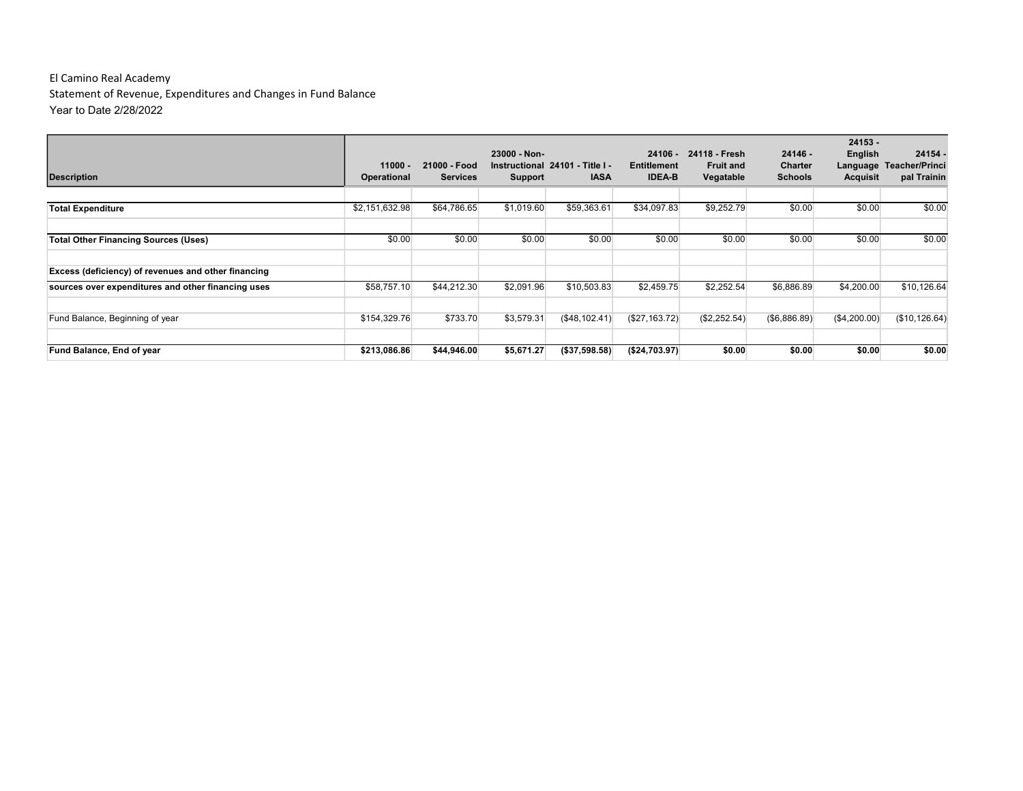| <b>Description</b>                                  | $11000 -$<br><b>Operational</b> | 21000 - Food<br><b>Services</b> | 23000 - Non-<br>Support | Instructional 24101 - Title I -<br><b>IASA</b> | $24106 -$<br><b>Entitlement</b><br><b>IDEA-B</b> | 24118 - Fresh<br><b>Fruit and</b><br>Vegatable | $24146 -$<br><b>Charter</b><br><b>Schools</b> | $24153 -$<br>English<br>Language<br><b>Acquisit</b> | 24154 -<br><b>Teacher/Princi</b><br>pal Trainin |
|-----------------------------------------------------|---------------------------------|---------------------------------|-------------------------|------------------------------------------------|--------------------------------------------------|------------------------------------------------|-----------------------------------------------|-----------------------------------------------------|-------------------------------------------------|
| <b>Total Expenditure</b>                            | \$2,151,632.98                  | \$64,786.65                     | \$1,019.60              | \$59,363.61                                    | \$34,097.83                                      | \$9,252.79                                     | \$0.00                                        | \$0.00                                              | \$0.00                                          |
|                                                     |                                 |                                 |                         |                                                |                                                  |                                                |                                               |                                                     |                                                 |
| <b>Total Other Financing Sources (Uses)</b>         | \$0.00                          | \$0.00                          | \$0.00                  | \$0.00                                         | \$0.00                                           | \$0.00                                         | \$0.00                                        | \$0.00                                              | \$0.00                                          |
| Excess (deficiency) of revenues and other financing |                                 |                                 |                         |                                                |                                                  |                                                |                                               |                                                     |                                                 |
| sources over expenditures and other financing uses  | \$58,757.10                     | \$44,212.30                     | \$2,091.96              | \$10,503.83                                    | \$2,459.75                                       | \$2,252.54                                     | \$6,886.89                                    | \$4,200.00                                          | \$10.126.64                                     |
| Fund Balance, Beginning of year                     | \$154,329.76                    | \$733.70                        | \$3,579.31              | (\$48,102.41)                                  | (\$27,163.72)                                    | (\$2,252.54)                                   | (\$6,886.89)                                  | (\$4,200.00)                                        | (\$10, 126.64)                                  |
| Fund Balance, End of year                           | \$213,086.86                    | \$44,946.00                     | \$5,671.27              | (\$37,598.58)                                  | (S24, 703.97)                                    | \$0.00                                         | \$0.00                                        | \$0.00                                              | \$0.00                                          |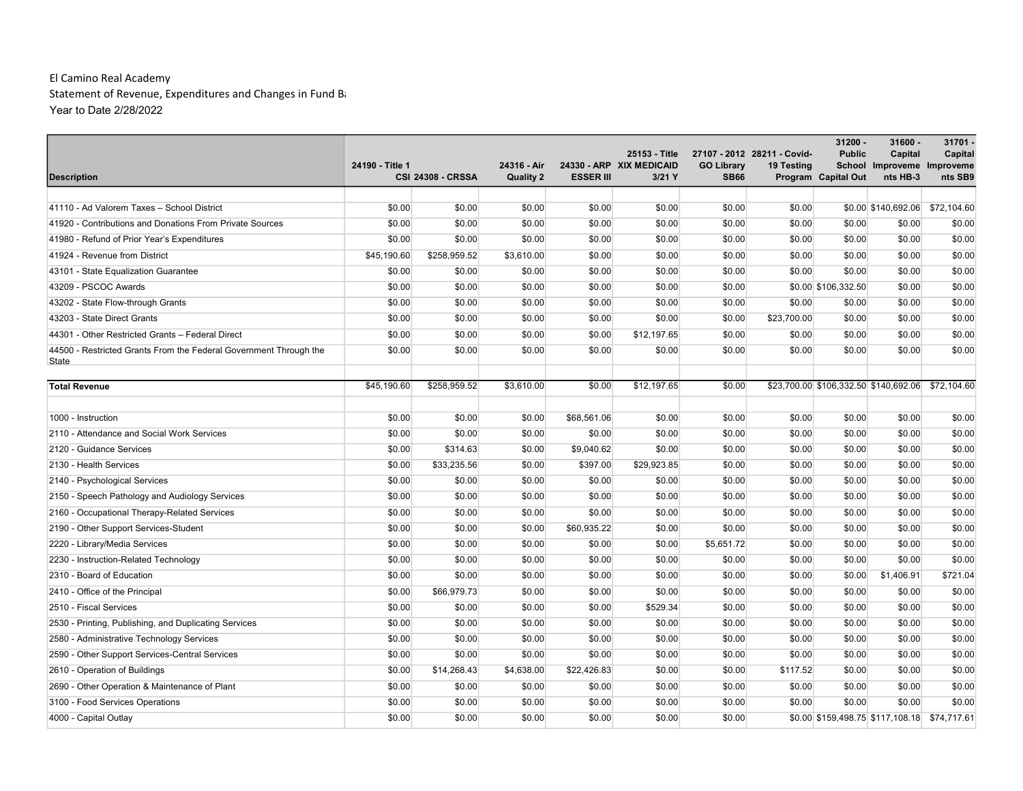|                                                                   |                 |                          |                  |                  |                                           |                   |                             | 31200 -                                      | $31600 -$                              | 31701.      |
|-------------------------------------------------------------------|-----------------|--------------------------|------------------|------------------|-------------------------------------------|-------------------|-----------------------------|----------------------------------------------|----------------------------------------|-------------|
|                                                                   | 24190 - Title 1 |                          | 24316 - Air      |                  | 25153 - Title<br>24330 - ARP XIX MEDICAID | <b>GO Library</b> | 27107 - 2012 28211 - Covid- | <b>Public</b>                                | Capital                                | Capital     |
| <b>Description</b>                                                |                 | <b>CSI 24308 - CRSSA</b> | <b>Quality 2</b> | <b>ESSER III</b> | $3/21$ Y                                  | <b>SB66</b>       | 19 Testing                  | Program Capital Out                          | School Improveme Improveme<br>nts HB-3 | nts SB9     |
|                                                                   |                 |                          |                  |                  |                                           |                   |                             |                                              |                                        |             |
| 41110 - Ad Valorem Taxes - School District                        | \$0.00          | \$0.00                   | \$0.00           | \$0.00           | \$0.00                                    | \$0.00            | \$0.00                      |                                              | \$0.00 \$140,692.06 \$72,104.60        |             |
| 41920 - Contributions and Donations From Private Sources          | \$0.00          | \$0.00                   | \$0.00           | \$0.00           | \$0.00                                    | \$0.00            | \$0.00                      | \$0.00                                       | \$0.00                                 | \$0.00      |
| 41980 - Refund of Prior Year's Expenditures                       | \$0.00          | \$0.00                   | \$0.00           | \$0.00           | \$0.00                                    | \$0.00            | \$0.00                      | \$0.00                                       | \$0.00                                 | \$0.00      |
| 41924 - Revenue from District                                     | \$45,190.60     | \$258,959.52             | \$3,610.00       | \$0.00           | \$0.00                                    | \$0.00            | \$0.00                      | \$0.00                                       | \$0.00                                 | \$0.00      |
| 43101 - State Equalization Guarantee                              | \$0.00          | \$0.00                   | \$0.00           | \$0.00           | \$0.00                                    | \$0.00            | \$0.00                      | \$0.00                                       | \$0.00                                 | \$0.00      |
| 43209 - PSCOC Awards                                              | \$0.00          | \$0.00                   | \$0.00           | \$0.00           | \$0.00                                    | \$0.00            |                             | \$0.00 \$106,332.50                          | \$0.00                                 | \$0.00      |
| 43202 - State Flow-through Grants                                 | \$0.00          | \$0.00                   | \$0.00           | \$0.00           | \$0.00                                    | \$0.00            | \$0.00                      | \$0.00                                       | \$0.00                                 | \$0.00      |
| 43203 - State Direct Grants                                       | \$0.00          | \$0.00                   | \$0.00           | \$0.00           | \$0.00                                    | \$0.00            | \$23,700.00                 | \$0.00                                       | \$0.00                                 | \$0.00      |
| 44301 - Other Restricted Grants - Federal Direct                  | \$0.00          | \$0.00                   | \$0.00           | \$0.00           | \$12,197.65                               | \$0.00            | \$0.00                      | \$0.00                                       | \$0.00                                 | \$0.00      |
| 44500 - Restricted Grants From the Federal Government Through the | \$0.00          | \$0.00                   | \$0.00           | \$0.00           | \$0.00                                    | \$0.00            | \$0.00                      | \$0.00                                       | \$0.00                                 | \$0.00      |
| State                                                             |                 |                          |                  |                  |                                           |                   |                             |                                              |                                        |             |
| <b>Total Revenue</b>                                              | \$45,190.60     | \$258,959.52             | \$3,610.00       | \$0.00           | \$12,197.65                               | \$0.00            |                             | \$23,700.00 \$106,332.50 \$140,692.06        |                                        | \$72,104.60 |
|                                                                   |                 |                          |                  |                  |                                           |                   |                             |                                              |                                        |             |
| 1000 - Instruction                                                | \$0.00          | \$0.00                   | \$0.00           | \$68,561.06      | \$0.00                                    | \$0.00            | \$0.00                      | \$0.00                                       | \$0.00                                 | \$0.00      |
| 2110 - Attendance and Social Work Services                        | \$0.00          | \$0.00                   | \$0.00           | \$0.00           | \$0.00                                    | \$0.00            | \$0.00                      | \$0.00                                       | \$0.00                                 | \$0.00      |
| 2120 - Guidance Services                                          | \$0.00          | \$314.63                 | \$0.00           | \$9,040.62       | \$0.00                                    | \$0.00            | \$0.00                      | \$0.00                                       | \$0.00                                 | \$0.00      |
| 2130 - Health Services                                            | \$0.00          | \$33,235.56              | \$0.00           | \$397.00         | \$29,923.85                               | \$0.00            | \$0.00                      | \$0.00                                       | \$0.00                                 | \$0.00      |
| 2140 - Psychological Services                                     | \$0.00          | \$0.00                   | \$0.00           | \$0.00           | \$0.00                                    | \$0.00            | \$0.00                      | \$0.00                                       | \$0.00                                 | \$0.00      |
| 2150 - Speech Pathology and Audiology Services                    | \$0.00          | \$0.00                   | \$0.00           | \$0.00           | \$0.00                                    | \$0.00            | \$0.00                      | \$0.00                                       | \$0.00                                 | \$0.00      |
| 2160 - Occupational Therapy-Related Services                      | \$0.00          | \$0.00                   | \$0.00           | \$0.00           | \$0.00                                    | \$0.00            | \$0.00                      | \$0.00                                       | \$0.00                                 | \$0.00      |
| 2190 - Other Support Services-Student                             | \$0.00          | \$0.00                   | \$0.00           | \$60,935.22      | \$0.00                                    | \$0.00            | \$0.00                      | \$0.00                                       | \$0.00                                 | \$0.00      |
| 2220 - Library/Media Services                                     | \$0.00          | \$0.00                   | \$0.00           | \$0.00           | \$0.00                                    | \$5,651.72        | \$0.00                      | \$0.00                                       | \$0.00                                 | \$0.00      |
| 2230 - Instruction-Related Technology                             | \$0.00          | \$0.00                   | \$0.00           | \$0.00           | \$0.00                                    | \$0.00            | \$0.00                      | \$0.00                                       | \$0.00                                 | \$0.00      |
| 2310 - Board of Education                                         | \$0.00          | \$0.00                   | \$0.00           | \$0.00           | \$0.00                                    | \$0.00            | \$0.00                      | \$0.00                                       | \$1,406.91                             | \$721.04    |
| 2410 - Office of the Principal                                    | \$0.00          | \$66,979.73              | \$0.00           | \$0.00           | \$0.00                                    | \$0.00            | \$0.00                      | \$0.00                                       | \$0.00                                 | \$0.00      |
| 2510 - Fiscal Services                                            | \$0.00          | \$0.00                   | \$0.00           | \$0.00           | \$529.34                                  | \$0.00            | \$0.00                      | \$0.00                                       | \$0.00                                 | \$0.00      |
| 2530 - Printing, Publishing, and Duplicating Services             | \$0.00          | \$0.00                   | \$0.00           | \$0.00           | \$0.00                                    | \$0.00            | \$0.00                      | \$0.00                                       | \$0.00                                 | \$0.00      |
| 2580 - Administrative Technology Services                         | \$0.00          | \$0.00                   | \$0.00           | \$0.00           | \$0.00                                    | \$0.00            | \$0.00                      | \$0.00                                       | \$0.00                                 | \$0.00      |
| 2590 - Other Support Services-Central Services                    | \$0.00          | \$0.00                   | \$0.00           | \$0.00           | \$0.00                                    | \$0.00            | \$0.00                      | \$0.00                                       | \$0.00                                 | \$0.00      |
| 2610 - Operation of Buildings                                     | \$0.00          | \$14,268.43              | \$4,638.00       | \$22,426.83      | \$0.00                                    | \$0.00            | \$117.52                    | \$0.00                                       | \$0.00                                 | \$0.00      |
| 2690 - Other Operation & Maintenance of Plant                     | \$0.00          | \$0.00                   | \$0.00           | \$0.00           | \$0.00                                    | \$0.00            | \$0.00                      | \$0.00                                       | \$0.00                                 | \$0.00      |
| 3100 - Food Services Operations                                   | \$0.00          | \$0.00                   | \$0.00           | \$0.00           | \$0.00                                    | \$0.00            | \$0.00                      | \$0.00                                       | \$0.00                                 | \$0.00      |
| 4000 - Capital Outlay                                             | \$0.00          | \$0.00                   | \$0.00           | \$0.00           | \$0.00                                    | \$0.00            |                             | \$0.00 \$159,498.75 \$117,108.18 \$74,717.61 |                                        |             |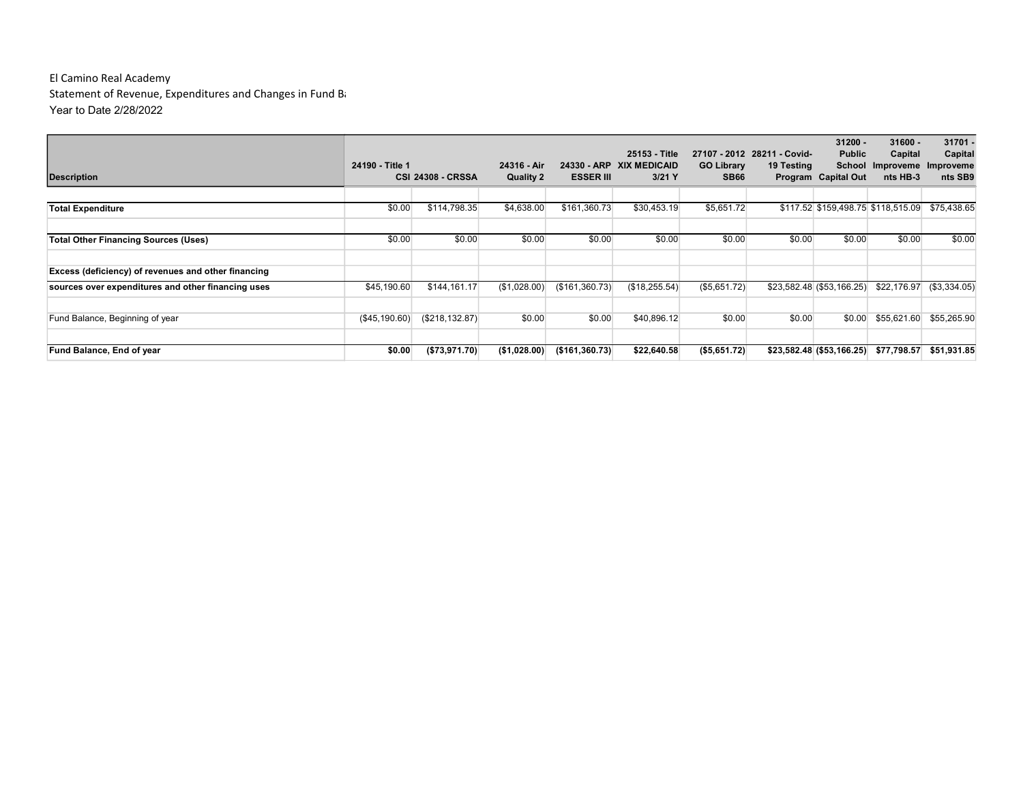| Description                                         | 24190 - Title 1 | <b>CSI 24308 - CRSSA</b> | 24316 - Air<br><b>Quality 2</b> | <b>ESSER III</b> | 25153 - Title<br>24330 - ARP XIX MEDICAID<br>$3/21$ Y | <b>GO Library</b><br><b>SB66</b> | 27107 - 2012 28211 - Covid-<br>19 Testing | $31200 -$<br><b>Public</b><br>School<br>Program Capital Out | $31600 -$<br>Capital<br>Improveme Improveme<br>nts HB-3 | $31701 -$<br>Capital<br>nts SB9 |
|-----------------------------------------------------|-----------------|--------------------------|---------------------------------|------------------|-------------------------------------------------------|----------------------------------|-------------------------------------------|-------------------------------------------------------------|---------------------------------------------------------|---------------------------------|
| <b>Total Expenditure</b>                            | \$0.00          | \$114,798.35             | \$4,638.00                      | \$161,360.73     | \$30,453.19                                           | \$5,651.72                       |                                           |                                                             | \$117.52 \$159,498.75 \$118,515.09                      | \$75,438.65                     |
| <b>Total Other Financing Sources (Uses)</b>         | \$0.00          | \$0.00                   | \$0.00                          | \$0.00           | \$0.00                                                | \$0.00                           | \$0.00                                    | \$0.00                                                      | \$0.00                                                  | \$0.00                          |
| Excess (deficiency) of revenues and other financing |                 |                          |                                 |                  |                                                       |                                  |                                           |                                                             |                                                         |                                 |
| sources over expenditures and other financing uses  | \$45,190.60     | \$144,161.17             | (\$1,028.00)                    | (\$161,360.73)   | (\$18,255.54)                                         | (\$5,651.72)                     |                                           | \$23,582.48 (\$53,166.25)                                   | \$22,176.97                                             | (\$3,334.05)                    |
| Fund Balance, Beginning of year                     | (\$45,190.60)   | (S218, 132.87)           | \$0.00                          | \$0.00           | \$40,896.12                                           | \$0.00                           | \$0.00                                    | \$0.00                                                      | \$55,621.60                                             | \$55,265.90                     |
| Fund Balance, End of year                           | \$0.00          | (\$73,971.70)            | (\$1,028.00)                    | (S161, 360.73)   | \$22,640.58                                           | ( \$5,651.72)                    |                                           | \$23,582.48 (\$53,166.25)                                   | \$77,798.57                                             | \$51,931.85                     |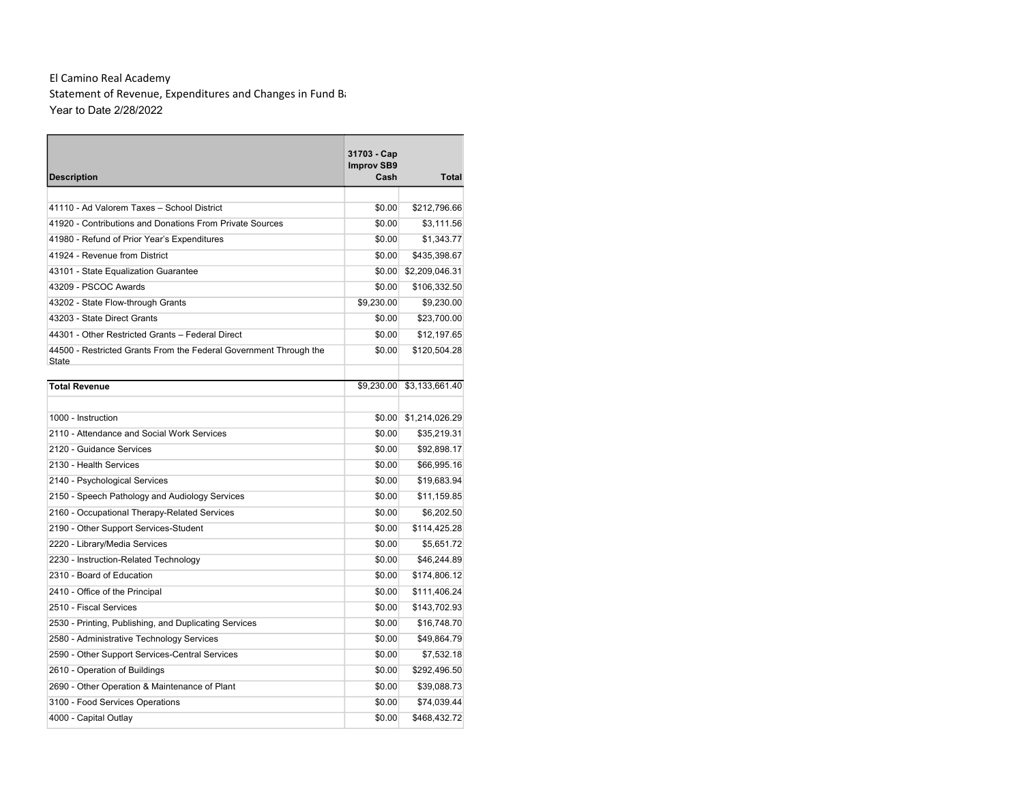| <b>Description</b>                                                | 31703 - Cap<br><b>Improv SB9</b><br>Cash | <b>Total</b>   |
|-------------------------------------------------------------------|------------------------------------------|----------------|
|                                                                   |                                          |                |
| 41110 - Ad Valorem Taxes - School District                        | \$0.00                                   | \$212,796.66   |
| 41920 - Contributions and Donations From Private Sources          | \$0.00                                   | \$3,111.56     |
| 41980 - Refund of Prior Year's Expenditures                       | \$0.00                                   | \$1,343.77     |
| 41924 - Revenue from District                                     | \$0.00                                   | \$435,398.67   |
| 43101 - State Equalization Guarantee                              | \$0.00                                   | \$2,209,046.31 |
| 43209 - PSCOC Awards                                              | \$0.00                                   | \$106,332.50   |
| 43202 - State Flow-through Grants                                 | \$9,230.00                               | \$9,230.00     |
| 43203 - State Direct Grants                                       | \$0.00                                   | \$23,700.00    |
| 44301 - Other Restricted Grants - Federal Direct                  | \$0.00                                   | \$12,197.65    |
| 44500 - Restricted Grants From the Federal Government Through the | \$0.00                                   | \$120,504.28   |
| State                                                             |                                          |                |
| <b>Total Revenue</b>                                              | \$9,230.00                               | \$3,133,661.40 |
|                                                                   |                                          |                |
| 1000 - Instruction                                                | \$0.00                                   | \$1,214,026.29 |
| 2110 - Attendance and Social Work Services                        | \$0.00                                   | \$35,219.31    |
| 2120 - Guidance Services                                          | \$0.00                                   | \$92,898.17    |
| 2130 - Health Services                                            | \$0.00                                   | \$66,995.16    |
| 2140 - Psychological Services                                     | \$0.00                                   | \$19,683.94    |
| 2150 - Speech Pathology and Audiology Services                    | \$0.00                                   | \$11,159.85    |
| 2160 - Occupational Therapy-Related Services                      | \$0.00                                   | \$6,202.50     |
| 2190 - Other Support Services-Student                             | \$0.00                                   | \$114,425.28   |
| 2220 - Library/Media Services                                     | \$0.00                                   | \$5,651.72     |
| 2230 - Instruction-Related Technology                             | \$0.00                                   | \$46,244.89    |
| 2310 - Board of Education                                         | \$0.00                                   | \$174,806.12   |
| 2410 - Office of the Principal                                    | \$0.00                                   | \$111,406.24   |
| 2510 - Fiscal Services                                            | \$0.00                                   | \$143,702.93   |
| 2530 - Printing, Publishing, and Duplicating Services             | \$0.00                                   | \$16,748.70    |
| 2580 - Administrative Technology Services                         | \$0.00                                   | \$49,864.79    |
| 2590 - Other Support Services-Central Services                    | \$0.00                                   | \$7,532.18     |
| 2610 - Operation of Buildings                                     | \$0.00                                   | \$292,496.50   |
| 2690 - Other Operation & Maintenance of Plant                     | \$0.00                                   | \$39,088.73    |
| 3100 - Food Services Operations                                   | \$0.00                                   | \$74,039.44    |
| 4000 - Capital Outlay                                             | \$0.00                                   | \$468,432.72   |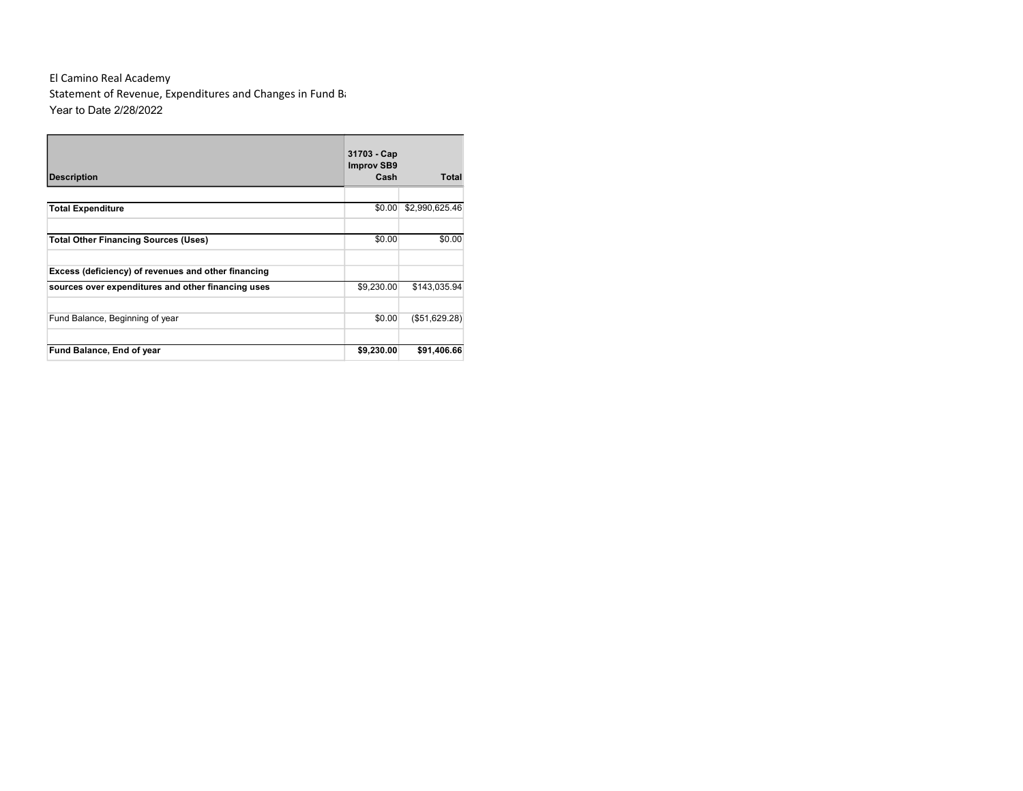| <b>Description</b>                                  | 31703 - Cap<br><b>Improv SB9</b><br>Cash | Total          |
|-----------------------------------------------------|------------------------------------------|----------------|
|                                                     |                                          |                |
| <b>Total Expenditure</b>                            | \$0.00                                   | \$2,990,625.46 |
|                                                     |                                          |                |
| <b>Total Other Financing Sources (Uses)</b>         | \$0.00                                   | \$0.00         |
|                                                     |                                          |                |
| Excess (deficiency) of revenues and other financing |                                          |                |
| sources over expenditures and other financing uses  | \$9,230.00                               | \$143,035.94   |
|                                                     |                                          |                |
| Fund Balance, Beginning of year                     | \$0.00                                   | (\$51,629.28)  |
|                                                     |                                          |                |
| Fund Balance, End of year                           | \$9,230.00                               | \$91,406.66    |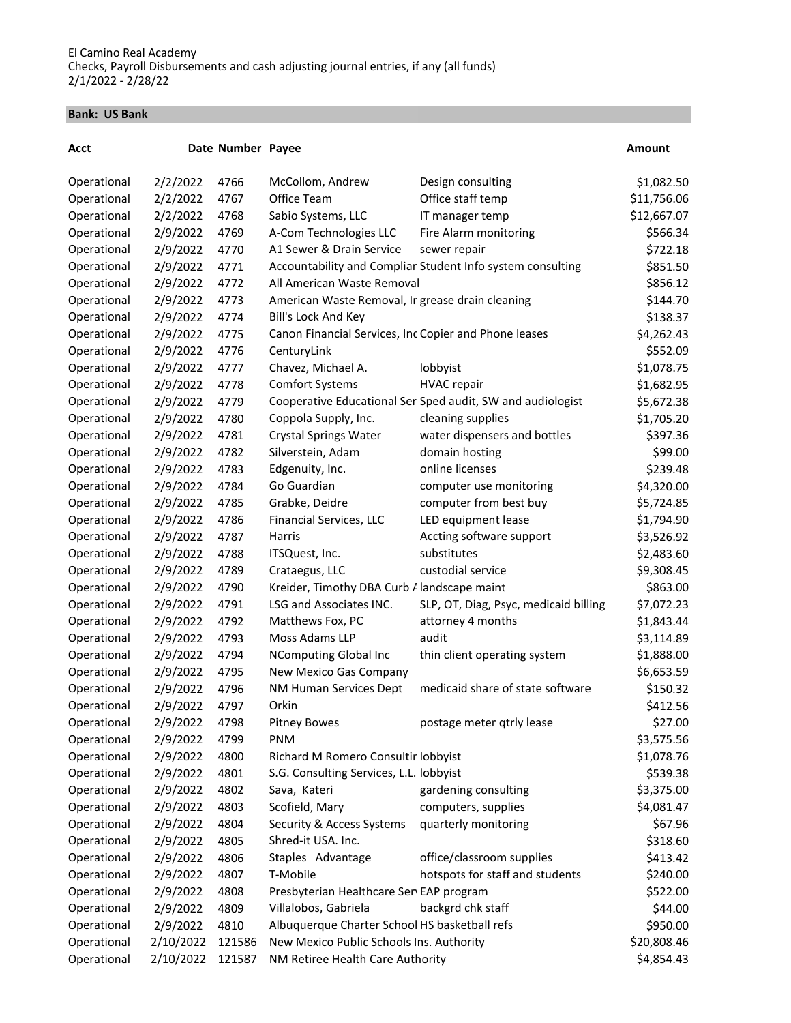#### Bank: US Bank

| Date Number Payee<br>Acct                                                                           | Amount      |
|-----------------------------------------------------------------------------------------------------|-------------|
| 2/2/2022<br>Operational<br>4766<br>McCollom, Andrew<br>Design consulting                            | \$1,082.50  |
| 4767<br>Office Team<br>Operational<br>2/2/2022<br>Office staff temp                                 | \$11,756.06 |
| 2/2/2022<br>4768<br>Sabio Systems, LLC<br>Operational<br>IT manager temp                            | \$12,667.07 |
| 2/9/2022<br>4769<br>A-Com Technologies LLC<br>Fire Alarm monitoring<br>Operational                  | \$566.34    |
| 2/9/2022<br>4770<br>A1 Sewer & Drain Service<br>Operational<br>sewer repair                         | \$722.18    |
| Accountability and Complian Student Info system consulting<br>Operational<br>2/9/2022<br>4771       | \$851.50    |
| Operational<br>2/9/2022<br>All American Waste Removal<br>4772                                       | \$856.12    |
| 2/9/2022<br>Operational<br>4773<br>American Waste Removal, Ir grease drain cleaning                 | \$144.70    |
| 2/9/2022<br>Operational<br>4774<br>Bill's Lock And Key                                              | \$138.37    |
| 2/9/2022<br>Operational<br>4775<br>Canon Financial Services, Inc Copier and Phone leases            | \$4,262.43  |
| 2/9/2022<br>4776<br>Operational<br>CenturyLink                                                      | \$552.09    |
| 2/9/2022<br>4777<br>Chavez, Michael A.<br>Operational<br>lobbyist                                   | \$1,078.75  |
| 2/9/2022<br>4778<br><b>Comfort Systems</b><br><b>HVAC</b> repair<br>Operational                     | \$1,682.95  |
| 2/9/2022<br>Operational<br>4779<br>Cooperative Educational Ser Sped audit, SW and audiologist       | \$5,672.38  |
| Operational<br>2/9/2022<br>4780<br>Coppola Supply, Inc.<br>cleaning supplies                        | \$1,705.20  |
| Operational<br>2/9/2022<br>4781<br><b>Crystal Springs Water</b><br>water dispensers and bottles     | \$397.36    |
| Operational<br>2/9/2022<br>4782<br>Silverstein, Adam<br>domain hosting                              | \$99.00     |
| 2/9/2022<br>online licenses<br>Operational<br>4783<br>Edgenuity, Inc.                               | \$239.48    |
| 2/9/2022<br>4784<br>Go Guardian<br>Operational<br>computer use monitoring                           | \$4,320.00  |
| 2/9/2022<br>4785<br>computer from best buy<br>Operational<br>Grabke, Deidre                         | \$5,724.85  |
| 2/9/2022<br>4786<br>LED equipment lease<br>Operational<br>Financial Services, LLC                   | \$1,794.90  |
| Operational<br>2/9/2022<br>4787<br>Harris<br>Accting software support                               | \$3,526.92  |
| Operational<br>2/9/2022<br>4788<br>ITSQuest, Inc.<br>substitutes                                    | \$2,483.60  |
| 2/9/2022<br>custodial service<br>Operational<br>4789<br>Crataegus, LLC                              | \$9,308.45  |
| 2/9/2022<br>Kreider, Timothy DBA Curb Alandscape maint<br>Operational<br>4790                       | \$863.00    |
| Operational<br>2/9/2022<br>4791<br>LSG and Associates INC.<br>SLP, OT, Diag, Psyc, medicaid billing | \$7,072.23  |
| Matthews Fox, PC<br>Operational<br>2/9/2022<br>4792<br>attorney 4 months                            | \$1,843.44  |
| 2/9/2022<br>4793<br>Moss Adams LLP<br>audit<br>Operational                                          | \$3,114.89  |
| 2/9/2022<br>4794<br>Operational<br><b>NComputing Global Inc</b><br>thin client operating system     | \$1,888.00  |
| 2/9/2022<br>4795<br>New Mexico Gas Company<br>Operational                                           | \$6,653.59  |
| 2/9/2022<br>medicaid share of state software<br>4796<br>NM Human Services Dept<br>Operational       | \$150.32    |
| 2/9/2022<br>Orkin<br>Operational<br>4797                                                            | \$412.56    |
| 2/9/2022<br>Operational<br>4798<br><b>Pitney Bowes</b><br>postage meter qtrly lease                 | \$27.00     |
| <b>PNM</b><br>Operational<br>2/9/2022<br>4799                                                       | \$3,575.56  |
| 2/9/2022<br>Operational<br>4800<br>Richard M Romero Consultin lobbyist                              | \$1,078.76  |
| 2/9/2022<br>Operational<br>4801<br>S.G. Consulting Services, L.L. lobbyist                          | \$539.38    |
| 2/9/2022<br>4802<br>Operational<br>Sava, Kateri<br>gardening consulting                             | \$3,375.00  |
| Operational<br>2/9/2022<br>4803<br>Scofield, Mary<br>computers, supplies                            | \$4,081.47  |
| quarterly monitoring<br>Operational<br>2/9/2022<br>4804<br>Security & Access Systems                | \$67.96     |
| Operational<br>2/9/2022<br>4805<br>Shred-it USA. Inc.                                               | \$318.60    |
| 2/9/2022<br>Staples Advantage<br>office/classroom supplies<br>Operational<br>4806                   | \$413.42    |
| 2/9/2022<br>T-Mobile<br>hotspots for staff and students<br>Operational<br>4807                      | \$240.00    |
| Operational<br>2/9/2022<br>4808<br>Presbyterian Healthcare Sen EAP program                          | \$522.00    |
| 2/9/2022<br>4809<br>Villalobos, Gabriela<br>Operational<br>backgrd chk staff                        | \$44.00     |
| Operational<br>2/9/2022<br>4810<br>Albuquerque Charter School HS basketball refs                    | \$950.00    |
| Operational<br>2/10/2022<br>121586<br>New Mexico Public Schools Ins. Authority                      | \$20,808.46 |
| Operational<br>2/10/2022<br>121587<br>NM Retiree Health Care Authority                              | \$4,854.43  |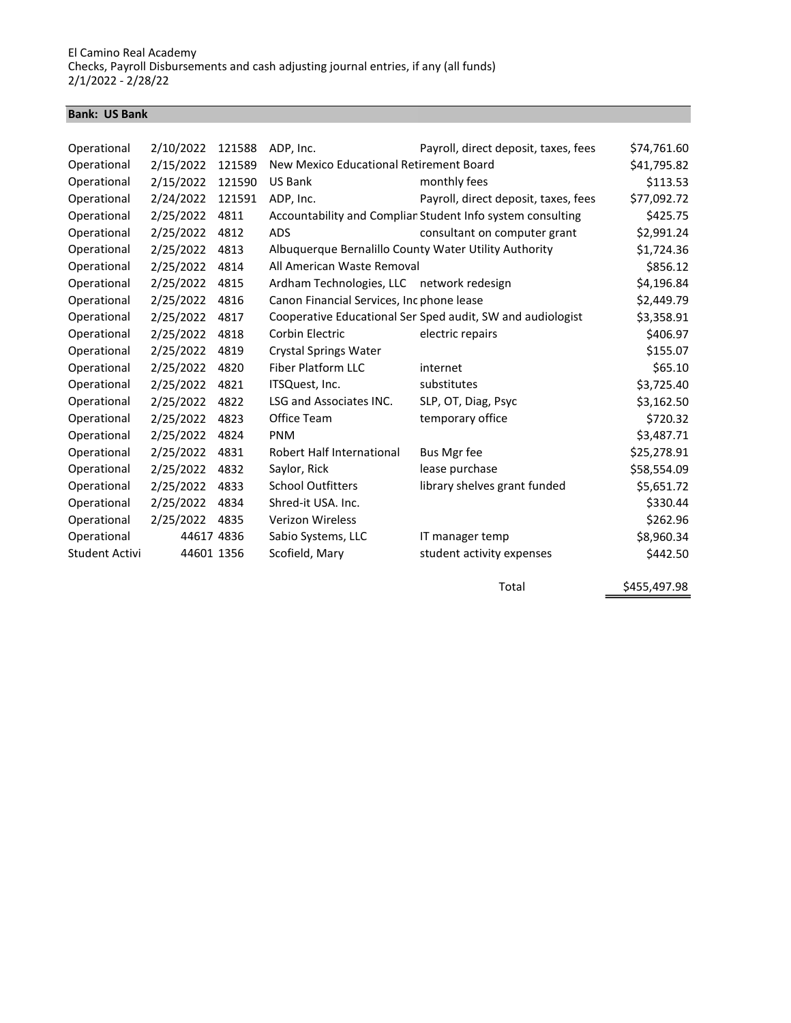#### Bank: US Bank

| Operational    | 2/10/2022  | 121588 | ADP, Inc.                                             | Payroll, direct deposit, taxes, fees                       | \$74,761.60 |
|----------------|------------|--------|-------------------------------------------------------|------------------------------------------------------------|-------------|
| Operational    | 2/15/2022  | 121589 | New Mexico Educational Retirement Board               |                                                            | \$41,795.82 |
| Operational    | 2/15/2022  | 121590 | US Bank                                               | monthly fees                                               | \$113.53    |
| Operational    | 2/24/2022  | 121591 | ADP, Inc.                                             | Payroll, direct deposit, taxes, fees                       | \$77,092.72 |
| Operational    | 2/25/2022  | 4811   |                                                       | Accountability and Complian Student Info system consulting | \$425.75    |
| Operational    | 2/25/2022  | 4812   | <b>ADS</b>                                            | consultant on computer grant                               | \$2,991.24  |
| Operational    | 2/25/2022  | 4813   | Albuquerque Bernalillo County Water Utility Authority |                                                            | \$1,724.36  |
| Operational    | 2/25/2022  | 4814   | All American Waste Removal                            |                                                            | \$856.12    |
| Operational    | 2/25/2022  | 4815   | Ardham Technologies, LLC network redesign             |                                                            | \$4,196.84  |
| Operational    | 2/25/2022  | 4816   | Canon Financial Services, Inc phone lease             |                                                            | \$2,449.79  |
| Operational    | 2/25/2022  | 4817   |                                                       | Cooperative Educational Ser Sped audit, SW and audiologist | \$3,358.91  |
| Operational    | 2/25/2022  | 4818   | Corbin Electric                                       | electric repairs                                           | \$406.97    |
| Operational    | 2/25/2022  | 4819   | <b>Crystal Springs Water</b>                          |                                                            | \$155.07    |
| Operational    | 2/25/2022  | 4820   | <b>Fiber Platform LLC</b>                             | internet                                                   | \$65.10     |
| Operational    | 2/25/2022  | 4821   | ITSQuest, Inc.                                        | substitutes                                                | \$3,725.40  |
| Operational    | 2/25/2022  | 4822   | LSG and Associates INC.                               | SLP, OT, Diag, Psyc                                        | \$3,162.50  |
| Operational    | 2/25/2022  | 4823   | Office Team                                           | temporary office                                           | \$720.32    |
| Operational    | 2/25/2022  | 4824   | <b>PNM</b>                                            |                                                            | \$3,487.71  |
| Operational    | 2/25/2022  | 4831   | Robert Half International                             | Bus Mgr fee                                                | \$25,278.91 |
| Operational    | 2/25/2022  | 4832   | Saylor, Rick                                          | lease purchase                                             | \$58,554.09 |
| Operational    | 2/25/2022  | 4833   | <b>School Outfitters</b>                              | library shelves grant funded                               | \$5,651.72  |
| Operational    | 2/25/2022  | 4834   | Shred-it USA. Inc.                                    |                                                            | \$330.44    |
| Operational    | 2/25/2022  | 4835   | <b>Verizon Wireless</b>                               |                                                            | \$262.96    |
| Operational    | 44617 4836 |        | Sabio Systems, LLC                                    | IT manager temp                                            | \$8,960.34  |
| Student Activi | 44601 1356 |        | Scofield, Mary                                        | student activity expenses                                  | \$442.50    |
|                |            |        |                                                       |                                                            |             |

Total \$455,497.98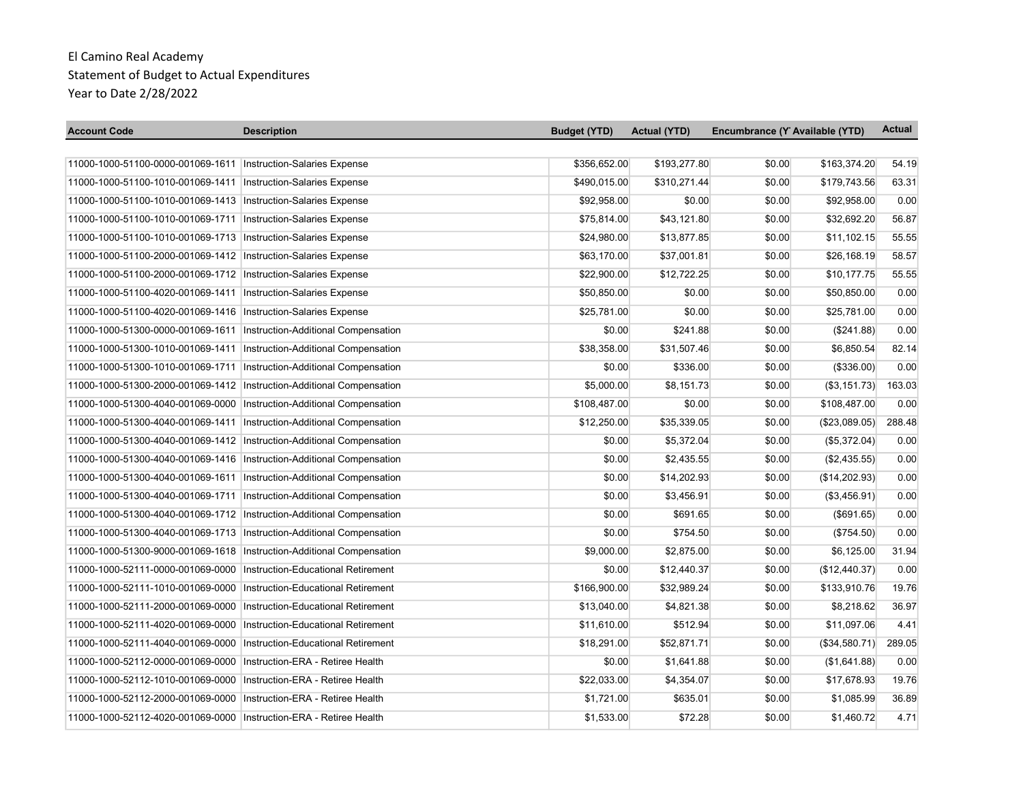| <b>Account Code</b>                                                     | <b>Description</b> | <b>Budget (YTD)</b> | <b>Actual (YTD)</b> | Encumbrance (Y Available (YTD) | <b>Actual</b> |
|-------------------------------------------------------------------------|--------------------|---------------------|---------------------|--------------------------------|---------------|
|                                                                         |                    |                     |                     |                                |               |
| 11000-1000-51100-0000-001069-1611 Instruction-Salaries Expense          |                    | \$356,652.00        | \$193,277.80        | \$0.00<br>\$163,374.20         | 54.19         |
| 11000-1000-51100-1010-001069-1411   Instruction-Salaries Expense        |                    | \$490,015.00        | \$310,271.44        | \$0.00<br>\$179,743.56         | 63.31         |
| 11000-1000-51100-1010-001069-1413  Instruction-Salaries Expense         |                    | \$92,958.00         | \$0.00              | \$0.00<br>\$92,958.00          | 0.00          |
| 11000-1000-51100-1010-001069-1711   Instruction-Salaries Expense        |                    | \$75,814.00         | \$43,121.80         | \$32,692.20<br>\$0.00          | 56.87         |
| 11000-1000-51100-1010-001069-1713   Instruction-Salaries Expense        |                    | \$24,980.00         | \$13,877.85         | \$0.00<br>\$11,102.15          | 55.55         |
| 11000-1000-51100-2000-001069-1412   Instruction-Salaries Expense        |                    | \$63,170.00         | \$37,001.81         | \$0.00<br>\$26,168.19          | 58.57         |
| 11000-1000-51100-2000-001069-1712   Instruction-Salaries Expense        |                    | \$22,900.00         | \$12,722.25         | \$10,177.75<br>\$0.00          | 55.55         |
| 11000-1000-51100-4020-001069-1411   Instruction-Salaries Expense        |                    | \$50,850.00         | \$0.00              | \$50,850.00<br>\$0.00          | 0.00          |
| 11000-1000-51100-4020-001069-1416   Instruction-Salaries Expense        |                    | \$25,781.00         | \$0.00              | \$0.00<br>\$25,781.00          | 0.00          |
| 11000-1000-51300-0000-001069-1611 Instruction-Additional Compensation   |                    | \$0.00              | \$241.88            | \$0.00<br>(\$241.88)           | 0.00          |
| 11000-1000-51300-1010-001069-1411   Instruction-Additional Compensation |                    | \$38,358.00         | \$31,507.46         | \$0.00<br>\$6,850.54           | 82.14         |
| 11000-1000-51300-1010-001069-1711 Instruction-Additional Compensation   |                    | \$0.00              | \$336.00            | \$0.00<br>(\$336.00)           | 0.00          |
| 11000-1000-51300-2000-001069-1412 Instruction-Additional Compensation   |                    | \$5,000.00          | \$8,151.73          | \$0.00<br>(\$3,151.73)         | 163.03        |
| 11000-1000-51300-4040-001069-0000   Instruction-Additional Compensation |                    | \$108,487.00        | \$0.00              | \$108,487.00<br>\$0.00         | 0.00          |
| 11000-1000-51300-4040-001069-1411 Instruction-Additional Compensation   |                    | \$12,250.00         | \$35,339.05         | (\$23,089.05)<br>\$0.00        | 288.48        |
| 11000-1000-51300-4040-001069-1412 Instruction-Additional Compensation   |                    | \$0.00              | \$5,372.04          | (\$5,372.04)<br>\$0.00         | 0.00          |
| 11000-1000-51300-4040-001069-1416 Instruction-Additional Compensation   |                    | \$0.00              | \$2,435.55          | \$0.00<br>(\$2,435.55)         | 0.00          |
| 11000-1000-51300-4040-001069-1611 Instruction-Additional Compensation   |                    | \$0.00              | \$14,202.93         | (\$14,202.93)<br>\$0.00        | 0.00          |
| 11000-1000-51300-4040-001069-1711   Instruction-Additional Compensation |                    | \$0.00              | \$3,456.91          | \$0.00<br>(\$3,456.91)         | 0.00          |
| 11000-1000-51300-4040-001069-1712 Instruction-Additional Compensation   |                    | \$0.00              | \$691.65            | \$0.00<br>$($ \$691.65)        | 0.00          |
| 11000-1000-51300-4040-001069-1713 Instruction-Additional Compensation   |                    | \$0.00              | \$754.50            | \$0.00<br>(\$754.50)           | 0.00          |
| 11000-1000-51300-9000-001069-1618 Instruction-Additional Compensation   |                    | \$9,000.00          | \$2,875.00          | \$0.00<br>\$6,125.00           | 31.94         |
| 11000-1000-52111-0000-001069-0000   Instruction-Educational Retirement  |                    | \$0.00              | \$12,440.37         | (\$12,440.37)<br>\$0.00        | 0.00          |
| 11000-1000-52111-1010-001069-0000 Instruction-Educational Retirement    |                    | \$166,900.00        | \$32,989.24         | \$0.00<br>\$133,910.76         | 19.76         |
| 11000-1000-52111-2000-001069-0000 Instruction-Educational Retirement    |                    | \$13,040.00         | \$4,821.38          | \$8,218.62<br>\$0.00           | 36.97         |
| 11000-1000-52111-4020-001069-0000 Instruction-Educational Retirement    |                    | \$11,610.00         | \$512.94            | \$0.00<br>\$11,097.06          | 4.41          |
| 11000-1000-52111-4040-001069-0000   Instruction-Educational Retirement  |                    | \$18,291.00         | \$52,871.71         | \$0.00<br>(\$34,580.71)        | 289.05        |
| 11000-1000-52112-0000-001069-0000   Instruction-ERA - Retiree Health    |                    | \$0.00              | \$1,641.88          | \$0.00<br>(\$1,641.88)         | 0.00          |
| 11000-1000-52112-1010-001069-0000 Instruction-ERA - Retiree Health      |                    | \$22,033.00         | \$4,354.07          | \$0.00<br>\$17,678.93          | 19.76         |
| 11000-1000-52112-2000-001069-0000   Instruction-ERA - Retiree Health    |                    | \$1,721.00          | \$635.01            | \$0.00<br>\$1,085.99           | 36.89         |
| 11000-1000-52112-4020-001069-0000   Instruction-ERA - Retiree Health    |                    | \$1,533.00          | \$72.28             | \$1,460.72<br>\$0.00           | 4.71          |

% of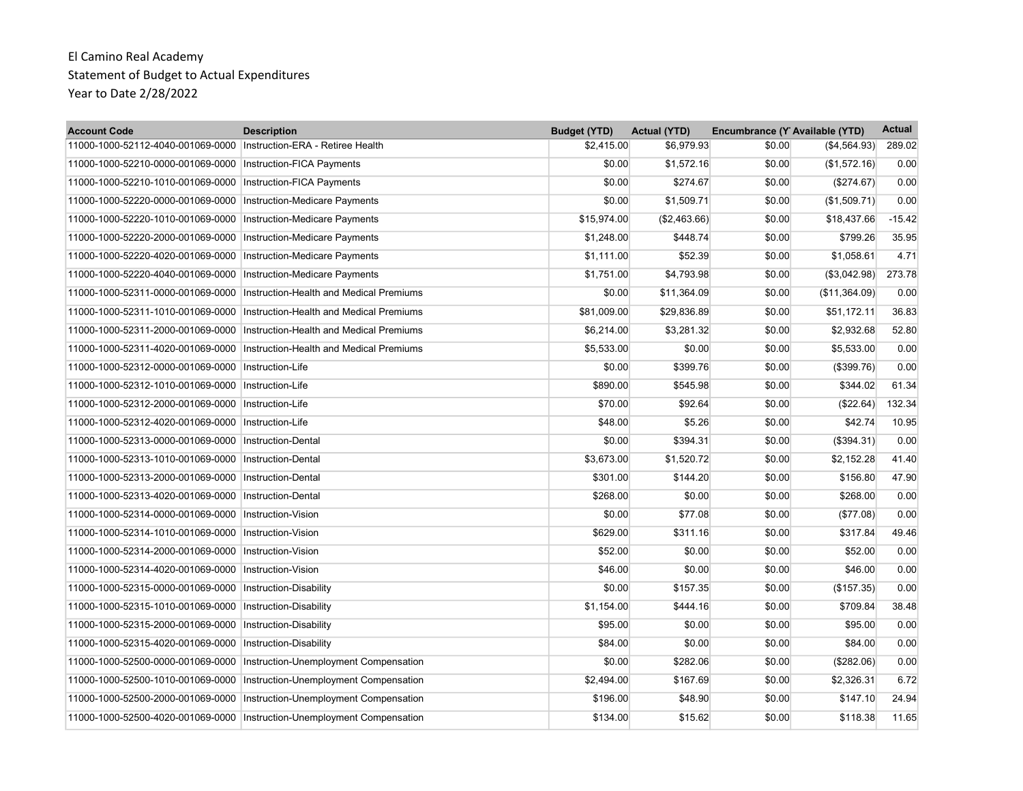| <b>Account Code</b>                                                  | <b>Description</b>                                                         | <b>Budget (YTD)</b> | <b>Actual (YTD)</b> | Encumbrance (Y Available (YTD) |               | <b>Actual</b> |
|----------------------------------------------------------------------|----------------------------------------------------------------------------|---------------------|---------------------|--------------------------------|---------------|---------------|
| 11000-1000-52112-4040-001069-0000   Instruction-ERA - Retiree Health |                                                                            | \$2,415.00          | \$6,979.93          | \$0.00                         | (S4, 564.93)  | 289.02        |
| 11000-1000-52210-0000-001069-0000   Instruction-FICA Payments        |                                                                            | \$0.00              | \$1,572.16          | \$0.00                         | (\$1,572.16)  | 0.00          |
| 11000-1000-52210-1010-001069-0000                                    | Instruction-FICA Payments                                                  | \$0.00              | \$274.67            | \$0.00                         | (\$274.67)    | 0.00          |
| 11000-1000-52220-0000-001069-0000                                    | Instruction-Medicare Payments                                              | \$0.00              | \$1,509.71          | \$0.00                         | (\$1,509.71)  | 0.00          |
| 11000-1000-52220-1010-001069-0000   Instruction-Medicare Payments    |                                                                            | \$15,974.00         | (\$2,463.66)        | \$0.00                         | \$18,437.66   | $-15.42$      |
| 11000-1000-52220-2000-001069-0000                                    | Instruction-Medicare Payments                                              | \$1,248.00          | \$448.74            | \$0.00                         | \$799.26      | 35.95         |
| 11000-1000-52220-4020-001069-0000                                    | Instruction-Medicare Payments                                              | \$1,111.00          | \$52.39             | \$0.00                         | \$1,058.61    | 4.71          |
| 11000-1000-52220-4040-001069-0000   Instruction-Medicare Payments    |                                                                            | \$1,751.00          | \$4,793.98          | \$0.00                         | (\$3,042.98)  | 273.78        |
| 11000-1000-52311-0000-001069-0000                                    | Instruction-Health and Medical Premiums                                    | \$0.00              | \$11,364.09         | \$0.00                         | (\$11,364.09) | 0.00          |
| 11000-1000-52311-1010-001069-0000                                    | Instruction-Health and Medical Premiums                                    | \$81,009.00         | \$29,836.89         | \$0.00                         | \$51,172.11   | 36.83         |
| 11000-1000-52311-2000-001069-0000                                    | Instruction-Health and Medical Premiums                                    | \$6,214.00          | \$3,281.32          | \$0.00                         | \$2,932.68    | 52.80         |
|                                                                      | 11000-1000-52311-4020-001069-0000  Instruction-Health and Medical Premiums | \$5,533.00          | \$0.00              | \$0.00                         | \$5,533.00    | 0.00          |
| 11000-1000-52312-0000-001069-0000                                    | Instruction-Life                                                           | \$0.00              | \$399.76            | \$0.00                         | (\$399.76)    | 0.00          |
| 11000-1000-52312-1010-001069-0000   Instruction-Life                 |                                                                            | \$890.00            | \$545.98            | \$0.00                         | \$344.02      | 61.34         |
| 11000-1000-52312-2000-001069-0000                                    | Instruction-Life                                                           | \$70.00             | \$92.64             | \$0.00                         | (\$22.64)     | 132.34        |
| 11000-1000-52312-4020-001069-0000 Instruction-Life                   |                                                                            | \$48.00             | \$5.26              | \$0.00                         | \$42.74       | 10.95         |
| 11000-1000-52313-0000-001069-0000                                    | Instruction-Dental                                                         | \$0.00              | \$394.31            | \$0.00                         | (\$394.31)    | 0.00          |
| 11000-1000-52313-1010-001069-0000 Instruction-Dental                 |                                                                            | \$3,673.00          | \$1,520.72          | \$0.00                         | \$2,152.28    | 41.40         |
| 11000-1000-52313-2000-001069-0000                                    | <b>Instruction-Dental</b>                                                  | \$301.00            | \$144.20            | \$0.00                         | \$156.80      | 47.90         |
| 11000-1000-52313-4020-001069-0000                                    | <b>Instruction-Dental</b>                                                  | \$268.00            | \$0.00              | \$0.00                         | \$268.00      | 0.00          |
| 11000-1000-52314-0000-001069-0000 Instruction-Vision                 |                                                                            | \$0.00              | \$77.08             | \$0.00                         | (\$77.08)     | 0.00          |
| 11000-1000-52314-1010-001069-0000 Instruction-Vision                 |                                                                            | \$629.00            | \$311.16            | \$0.00                         | \$317.84      | 49.46         |
| 11000-1000-52314-2000-001069-0000                                    | Instruction-Vision                                                         | \$52.00             | \$0.00              | \$0.00                         | \$52.00       | 0.00          |
| 11000-1000-52314-4020-001069-0000                                    | Instruction-Vision                                                         | \$46.00             | \$0.00              | \$0.00                         | \$46.00       | 0.00          |
| 11000-1000-52315-0000-001069-0000   Instruction-Disability           |                                                                            | \$0.00              | \$157.35            | \$0.00                         | (\$157.35)    | 0.00          |
| 11000-1000-52315-1010-001069-0000   Instruction-Disability           |                                                                            | \$1,154.00          | \$444.16            | \$0.00                         | \$709.84      | 38.48         |
| 11000-1000-52315-2000-001069-0000                                    | Instruction-Disability                                                     | \$95.00             | \$0.00              | \$0.00                         | \$95.00       | 0.00          |
| 11000-1000-52315-4020-001069-0000                                    | Instruction-Disability                                                     | \$84.00             | \$0.00              | \$0.00                         | \$84.00       | 0.00          |
|                                                                      | 11000-1000-52500-0000-001069-0000   Instruction-Unemployment Compensation  | \$0.00              | \$282.06            | \$0.00                         | (\$282.06)    | 0.00          |
|                                                                      | 11000-1000-52500-1010-001069-0000 Instruction-Unemployment Compensation    | \$2,494.00          | \$167.69            | \$0.00                         | \$2,326.31    | 6.72          |
|                                                                      | 11000-1000-52500-2000-001069-0000   Instruction-Unemployment Compensation  | \$196.00            | \$48.90             | \$0.00                         | \$147.10      | 24.94         |
| 11000-1000-52500-4020-001069-0000                                    | Instruction-Unemployment Compensation                                      | \$134.00            | \$15.62             | \$0.00                         | \$118.38      | 11.65         |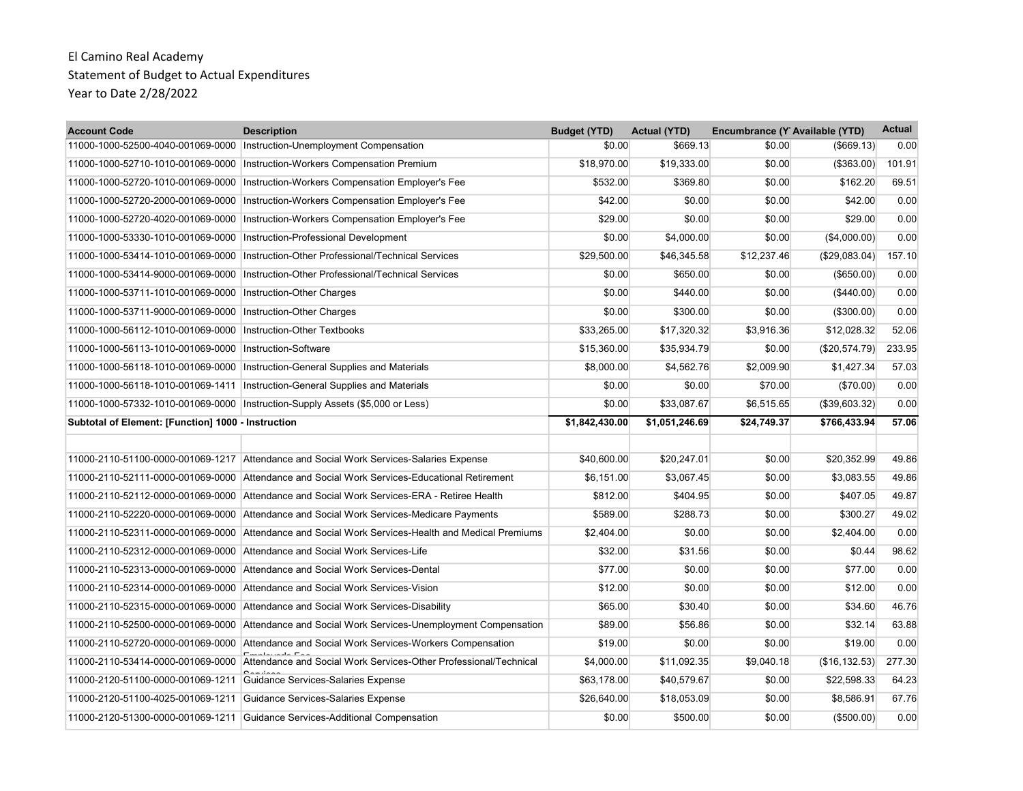| <b>Account Code</b>                                | <b>Description</b>                                                                                | <b>Budget (YTD)</b> | <b>Actual (YTD)</b> | Encumbrance (Y Available (YTD) |                | <b>Actual</b> |
|----------------------------------------------------|---------------------------------------------------------------------------------------------------|---------------------|---------------------|--------------------------------|----------------|---------------|
|                                                    | 11000-1000-52500-4040-001069-0000   Instruction-Unemployment Compensation                         | \$0.00              | \$669.13            | \$0.00                         | $($ \$669.13)  | 0.00          |
| 11000-1000-52710-1010-001069-0000                  | Instruction-Workers Compensation Premium                                                          | \$18,970.00         | \$19,333.00         | \$0.00                         | ( \$363.00)    | 101.91        |
| 11000-1000-52720-1010-001069-0000                  | Instruction-Workers Compensation Employer's Fee                                                   | \$532.00            | \$369.80            | \$0.00                         | \$162.20       | 69.51         |
| 11000-1000-52720-2000-001069-0000                  | Instruction-Workers Compensation Employer's Fee                                                   | \$42.00             | \$0.00              | \$0.00                         | \$42.00        | 0.00          |
| 11000-1000-52720-4020-001069-0000                  | Instruction-Workers Compensation Employer's Fee                                                   | \$29.00             | \$0.00              | \$0.00                         | \$29.00        | 0.00          |
| 11000-1000-53330-1010-001069-0000                  | Instruction-Professional Development                                                              | \$0.00              | \$4,000.00          | \$0.00                         | (\$4,000.00)   | 0.00          |
| 11000-1000-53414-1010-001069-0000                  | Instruction-Other Professional/Technical Services                                                 | \$29,500.00         | \$46,345.58         | \$12,237.46                    | (\$29,083.04)  | 157.10        |
| 11000-1000-53414-9000-001069-0000                  | Instruction-Other Professional/Technical Services                                                 | \$0.00              | \$650.00            | \$0.00                         | (\$650.00)     | 0.00          |
| 11000-1000-53711-1010-001069-0000                  | Instruction-Other Charges                                                                         | \$0.00              | \$440.00            | \$0.00                         | $(\$440.00)$   | 0.00          |
| 11000-1000-53711-9000-001069-0000                  | Instruction-Other Charges                                                                         | \$0.00              | \$300.00            | \$0.00                         | (\$300.00)     | 0.00          |
| 11000-1000-56112-1010-001069-0000                  | Instruction-Other Textbooks                                                                       | \$33,265.00         | \$17,320.32         | \$3,916.36                     | \$12,028.32    | 52.06         |
| 11000-1000-56113-1010-001069-0000                  | Instruction-Software                                                                              | \$15,360.00         | \$35,934.79         | \$0.00                         | (\$20,574.79)  | 233.95        |
| 11000-1000-56118-1010-001069-0000                  | Instruction-General Supplies and Materials                                                        | \$8,000.00          | \$4,562.76          | \$2,009.90                     | \$1,427.34     | 57.03         |
| 11000-1000-56118-1010-001069-1411                  | Instruction-General Supplies and Materials                                                        | \$0.00              | \$0.00              | \$70.00                        | (\$70.00)      | 0.00          |
|                                                    | 11000-1000-57332-1010-001069-0000   Instruction-Supply Assets (\$5,000 or Less)                   | \$0.00              | \$33.087.67         | \$6.515.65                     | (\$39,603.32)  | 0.00          |
| Subtotal of Element: [Function] 1000 - Instruction |                                                                                                   | \$1,842,430.00      | \$1,051,246.69      | \$24,749.37                    | \$766,433.94   | 57.06         |
|                                                    |                                                                                                   |                     |                     |                                |                |               |
|                                                    | 11000-2110-51100-0000-001069-1217 Attendance and Social Work Services-Salaries Expense            | \$40,600.00         | \$20,247.01         | \$0.00                         | \$20,352.99    | 49.86         |
|                                                    | 11000-2110-52111-0000-001069-0000 Attendance and Social Work Services-Educational Retirement      | \$6.151.00          | \$3.067.45          | \$0.00                         | \$3.083.55     | 49.86         |
|                                                    | 11000-2110-52112-0000-001069-0000 Attendance and Social Work Services-ERA - Retiree Health        | \$812.00            | \$404.95            | \$0.00                         | \$407.05       | 49.87         |
|                                                    | 11000-2110-52220-0000-001069-0000 Attendance and Social Work Services-Medicare Payments           | \$589.00            | \$288.73            | \$0.00                         | \$300.27       | 49.02         |
|                                                    | 11000-2110-52311-0000-001069-0000 Attendance and Social Work Services-Health and Medical Premiums | \$2,404.00          | \$0.00              | \$0.00                         | \$2,404.00     | 0.00          |
| 11000-2110-52312-0000-001069-0000                  | Attendance and Social Work Services-Life                                                          | \$32.00             | \$31.56             | \$0.00                         | \$0.44         | 98.62         |
| 11000-2110-52313-0000-001069-0000                  | Attendance and Social Work Services-Dental                                                        | \$77.00             | \$0.00              | \$0.00                         | \$77.00        | 0.00          |
| 11000-2110-52314-0000-001069-0000                  | Attendance and Social Work Services-Vision                                                        | \$12.00             | \$0.00              | \$0.00                         | \$12.00        | 0.00          |
|                                                    | 11000-2110-52315-0000-001069-0000 Attendance and Social Work Services-Disability                  | \$65.00             | \$30.40             | \$0.00                         | \$34.60        | 46.76         |
|                                                    | 11000-2110-52500-0000-001069-0000 Attendance and Social Work Services-Unemployment Compensation   | \$89.00             | \$56.86             | \$0.00                         | \$32.14        | 63.88         |
|                                                    | 11000-2110-52720-0000-001069-0000 Attendance and Social Work Services-Workers Compensation        | \$19.00             | \$0.00              | \$0.00                         | \$19.00        | 0.00          |
| 11000-2110-53414-0000-001069-0000                  | Attendance and Social Work Services-Other Professional/Technical                                  | \$4,000.00          | \$11,092.35         | \$9,040.18                     | (\$16, 132.53) | 277.30        |
| 11000-2120-51100-0000-001069-1211                  | Guidance Services-Salaries Expense                                                                | \$63,178.00         | \$40,579.67         | \$0.00                         | \$22,598.33    | 64.23         |
| 11000-2120-51100-4025-001069-1211                  | Guidance Services-Salaries Expense                                                                | \$26,640.00         | \$18,053.09         | \$0.00                         | \$8,586.91     | 67.76         |
| 11000-2120-51300-0000-001069-1211                  | Guidance Services-Additional Compensation                                                         | \$0.00              | \$500.00            | \$0.00                         | (\$500.00)     | 0.00          |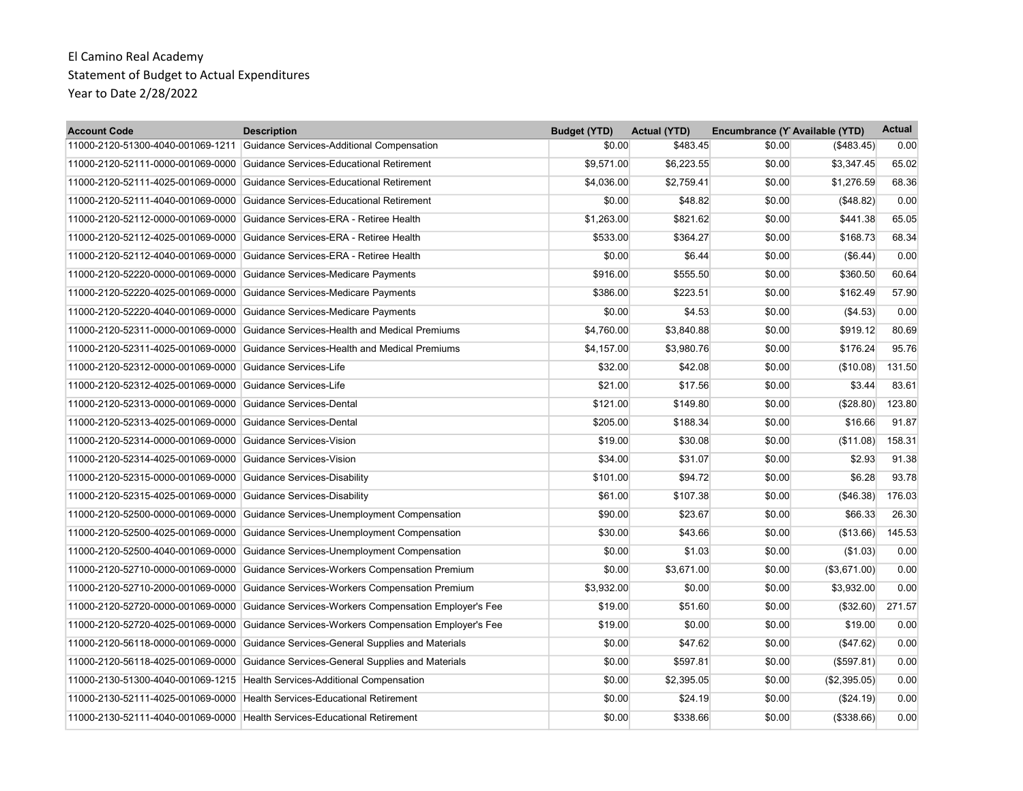| <b>Account Code</b>                                      | <b>Description</b>                                                            | <b>Budget (YTD)</b> | <b>Actual (YTD)</b> | Encumbrance (Y Available (YTD) |               | <b>Actual</b> |
|----------------------------------------------------------|-------------------------------------------------------------------------------|---------------------|---------------------|--------------------------------|---------------|---------------|
|                                                          | 11000-2120-51300-4040-001069-1211 Guidance Services-Additional Compensation   | \$0.00              | \$483.45            | \$0.00                         | $($ \$483.45) | 0.00          |
| 11000-2120-52111-0000-001069-0000                        | Guidance Services-Educational Retirement                                      | \$9,571.00          | \$6,223.55          | \$0.00                         | \$3,347.45    | 65.02         |
| 11000-2120-52111-4025-001069-0000                        | Guidance Services-Educational Retirement                                      | \$4,036.00          | \$2,759.41          | \$0.00                         | \$1,276.59    | 68.36         |
| 11000-2120-52111-4040-001069-0000                        | Guidance Services-Educational Retirement                                      | \$0.00              | \$48.82             | \$0.00                         | (\$48.82)     | 0.00          |
| 11000-2120-52112-0000-001069-0000                        | Guidance Services-ERA - Retiree Health                                        | \$1,263.00          | \$821.62            | \$0.00                         | \$441.38      | 65.05         |
| 11000-2120-52112-4025-001069-0000                        | Guidance Services-ERA - Retiree Health                                        | \$533.00            | \$364.27            | \$0.00                         | \$168.73      | 68.34         |
| 11000-2120-52112-4040-001069-0000                        | Guidance Services-ERA - Retiree Health                                        | \$0.00              | \$6.44              | \$0.00                         | (\$6.44)      | 0.00          |
| 11000-2120-52220-0000-001069-0000                        | Guidance Services-Medicare Payments                                           | \$916.00            | \$555.50            | \$0.00                         | \$360.50      | 60.64         |
| 11000-2120-52220-4025-001069-0000                        | Guidance Services-Medicare Payments                                           | \$386.00            | \$223.51            | \$0.00                         | \$162.49      | 57.90         |
| 11000-2120-52220-4040-001069-0000                        | Guidance Services-Medicare Payments                                           | \$0.00              | \$4.53              | \$0.00                         | (\$4.53)      | 0.00          |
| 11000-2120-52311-0000-001069-0000                        | Guidance Services-Health and Medical Premiums                                 | \$4,760.00          | \$3,840.88          | \$0.00                         | \$919.12      | 80.69         |
| 11000-2120-52311-4025-001069-0000                        | Guidance Services-Health and Medical Premiums                                 | \$4,157.00          | \$3,980.76          | \$0.00                         | \$176.24      | 95.76         |
| 11000-2120-52312-0000-001069-0000                        | Guidance Services-Life                                                        | \$32.00             | \$42.08             | \$0.00                         | (\$10.08)     | 131.50        |
| 11000-2120-52312-4025-001069-0000 Guidance Services-Life |                                                                               | \$21.00             | \$17.56             | \$0.00                         | \$3.44        | 83.61         |
| 11000-2120-52313-0000-001069-0000                        | Guidance Services-Dental                                                      | \$121.00            | \$149.80            | \$0.00                         | (\$28.80)     | 123.80        |
| 11000-2120-52313-4025-001069-0000                        | Guidance Services-Dental                                                      | \$205.00            | \$188.34            | \$0.00                         | \$16.66       | 91.87         |
| 11000-2120-52314-0000-001069-0000                        | Guidance Services-Vision                                                      | \$19.00             | \$30.08             | \$0.00                         | (\$11.08)     | 158.31        |
| 11000-2120-52314-4025-001069-0000                        | Guidance Services-Vision                                                      | \$34.00             | \$31.07             | \$0.00                         | \$2.93        | 91.38         |
| 11000-2120-52315-0000-001069-0000                        | Guidance Services-Disability                                                  | \$101.00            | \$94.72             | \$0.00                         | \$6.28        | 93.78         |
| 11000-2120-52315-4025-001069-0000                        | Guidance Services-Disability                                                  | \$61.00             | \$107.38            | \$0.00                         | (\$46.38)     | 176.03        |
|                                                          | 11000-2120-52500-0000-001069-0000 Guidance Services-Unemployment Compensation | \$90.00             | \$23.67             | \$0.00                         | \$66.33       | 26.30         |
|                                                          | 11000-2120-52500-4025-001069-0000 Guidance Services-Unemployment Compensation | \$30.00             | \$43.66             | \$0.00                         | (\$13.66)     | 145.53        |
| 11000-2120-52500-4040-001069-0000                        | Guidance Services-Unemployment Compensation                                   | \$0.00              | \$1.03              | \$0.00                         | (\$1.03)      | 0.00          |
| 11000-2120-52710-0000-001069-0000                        | Guidance Services-Workers Compensation Premium                                | \$0.00              | \$3,671.00          | \$0.00                         | (\$3,671.00)  | 0.00          |
| 11000-2120-52710-2000-001069-0000                        | Guidance Services-Workers Compensation Premium                                | \$3,932.00          | \$0.00              | \$0.00                         | \$3,932.00    | 0.00          |
| 11000-2120-52720-0000-001069-0000                        | Guidance Services-Workers Compensation Employer's Fee                         | \$19.00             | \$51.60             | \$0.00                         | (\$32.60)     | 271.57        |
| 11000-2120-52720-4025-001069-0000                        | Guidance Services-Workers Compensation Employer's Fee                         | \$19.00             | \$0.00              | \$0.00                         | \$19.00       | 0.00          |
| 11000-2120-56118-0000-001069-0000                        | Guidance Services-General Supplies and Materials                              | \$0.00              | \$47.62             | \$0.00                         | (\$47.62)     | 0.00          |
| 11000-2120-56118-4025-001069-0000                        | Guidance Services-General Supplies and Materials                              | \$0.00              | \$597.81            | \$0.00                         | (\$597.81)    | 0.00          |
|                                                          | 11000-2130-51300-4040-001069-1215   Health Services-Additional Compensation   | \$0.00              | \$2,395.05          | \$0.00                         | (\$2,395.05)  | 0.00          |
|                                                          | 11000-2130-52111-4025-001069-0000 Health Services-Educational Retirement      | \$0.00              | \$24.19             | \$0.00                         | (\$24.19)     | 0.00          |
|                                                          | 11000-2130-52111-4040-001069-0000 Health Services-Educational Retirement      | \$0.00              | \$338.66            | \$0.00                         | (\$338.66)    | 0.00          |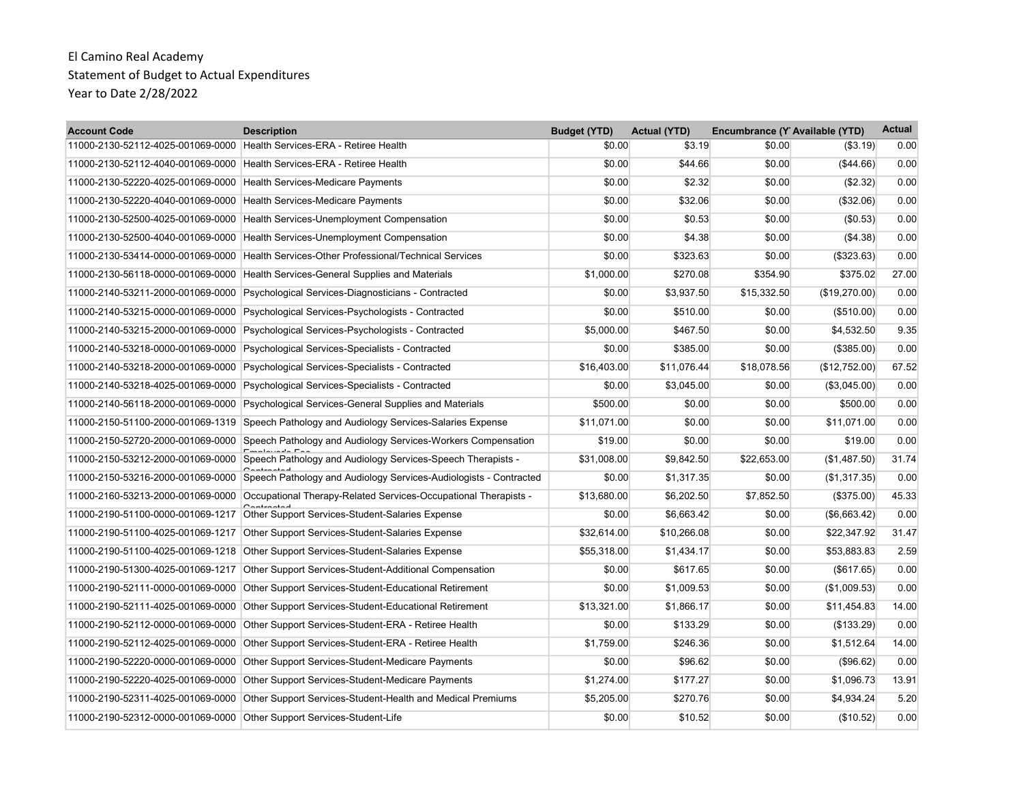| <b>Account Code</b>                                                    | <b>Description</b>                                                                                | <b>Budget (YTD)</b> | <b>Actual (YTD)</b> | Encumbrance (Y Available (YTD) |               | <b>Actual</b> |
|------------------------------------------------------------------------|---------------------------------------------------------------------------------------------------|---------------------|---------------------|--------------------------------|---------------|---------------|
| 11000-2130-52112-4025-001069-0000 Health Services-ERA - Retiree Health |                                                                                                   | \$0.00              | \$3.19              | \$0.00                         | ( \$3.19)     | 0.00          |
| 11000-2130-52112-4040-001069-0000                                      | Health Services-ERA - Retiree Health                                                              | \$0.00              | \$44.66             | \$0.00                         | ( \$44.66)    | 0.00          |
| 11000-2130-52220-4025-001069-0000                                      | Health Services-Medicare Payments                                                                 | \$0.00              | \$2.32              | \$0.00                         | (\$2.32)      | 0.00          |
| 11000-2130-52220-4040-001069-0000                                      | Health Services-Medicare Payments                                                                 | \$0.00              | \$32.06             | \$0.00                         | (\$32.06)     | 0.00          |
|                                                                        | 11000-2130-52500-4025-001069-0000 Health Services-Unemployment Compensation                       | \$0.00              | \$0.53              | \$0.00                         | (\$0.53)      | 0.00          |
| 11000-2130-52500-4040-001069-0000                                      | Health Services-Unemployment Compensation                                                         | \$0.00              | \$4.38              | \$0.00                         | (\$4.38)      | 0.00          |
| 11000-2130-53414-0000-001069-0000                                      | Health Services-Other Professional/Technical Services                                             | \$0.00              | \$323.63            | \$0.00                         | (\$323.63)    | 0.00          |
| 11000-2130-56118-0000-001069-0000                                      | Health Services-General Supplies and Materials                                                    | \$1,000.00          | \$270.08            | \$354.90                       | \$375.02      | 27.00         |
| 11000-2140-53211-2000-001069-0000                                      | Psychological Services-Diagnosticians - Contracted                                                | \$0.00              | \$3,937.50          | \$15,332.50                    | (\$19,270.00) | 0.00          |
| 11000-2140-53215-0000-001069-0000                                      | Psychological Services-Psychologists - Contracted                                                 | \$0.00              | \$510.00            | \$0.00                         | (\$510.00)    | 0.00          |
| 11000-2140-53215-2000-001069-0000                                      | Psychological Services-Psychologists - Contracted                                                 | \$5,000.00          | \$467.50            | \$0.00                         | \$4,532.50    | 9.35          |
| 11000-2140-53218-0000-001069-0000                                      | Psychological Services-Specialists - Contracted                                                   | \$0.00              | \$385.00            | \$0.00                         | (\$385.00)    | 0.00          |
| 11000-2140-53218-2000-001069-0000                                      | Psychological Services-Specialists - Contracted                                                   | \$16,403.00         | \$11,076.44         | \$18,078.56                    | (\$12,752.00) | 67.52         |
| 11000-2140-53218-4025-001069-0000                                      | Psychological Services-Specialists - Contracted                                                   | \$0.00              | \$3,045.00          | \$0.00                         | (\$3,045.00)  | 0.00          |
| 11000-2140-56118-2000-001069-0000                                      | Psychological Services-General Supplies and Materials                                             | \$500.00            | \$0.00              | \$0.00                         | \$500.00      | 0.00          |
| 11000-2150-51100-2000-001069-1319                                      | Speech Pathology and Audiology Services-Salaries Expense                                          | \$11,071.00         | \$0.00              | \$0.00                         | \$11.071.00   | 0.00          |
| 11000-2150-52720-2000-001069-0000                                      | Speech Pathology and Audiology Services-Workers Compensation                                      | \$19.00             | \$0.00              | \$0.00                         | \$19.00       | 0.00          |
| 11000-2150-53212-2000-001069-0000                                      | Speech Pathology and Audiology Services-Speech Therapists -                                       | \$31,008.00         | \$9,842.50          | \$22,653.00                    | (\$1,487.50)  | 31.74         |
| 11000-2150-53216-2000-001069-0000                                      | Speech Pathology and Audiology Services-Audiologists - Contracted                                 | \$0.00              | \$1,317.35          | \$0.00                         | (\$1,317.35)  | 0.00          |
|                                                                        | 11000-2160-53213-2000-001069-0000 Occupational Therapy-Related Services-Occupational Therapists - | \$13.680.00         | \$6,202.50          | \$7,852.50                     | (\$375.00)    | 45.33         |
| 11000-2190-51100-0000-001069-1217                                      | Other Support Services-Student-Salaries Expense                                                   | \$0.00              | \$6,663.42          | \$0.00                         | ( \$6,663.42) | 0.00          |
| 11000-2190-51100-4025-001069-1217                                      | Other Support Services-Student-Salaries Expense                                                   | \$32.614.00         | \$10.266.08         | \$0.00                         | \$22.347.92   | 31.47         |
| 11000-2190-51100-4025-001069-1218                                      | Other Support Services-Student-Salaries Expense                                                   | \$55,318.00         | \$1,434.17          | \$0.00                         | \$53,883.83   | 2.59          |
| 11000-2190-51300-4025-001069-1217                                      | Other Support Services-Student-Additional Compensation                                            | \$0.00              | \$617.65            | \$0.00                         | $($ \$617.65) | 0.00          |
| 11000-2190-52111-0000-001069-0000                                      | Other Support Services-Student-Educational Retirement                                             | \$0.00              | \$1,009.53          | \$0.00                         | (\$1,009.53)  | 0.00          |
| 11000-2190-52111-4025-001069-0000                                      | Other Support Services-Student-Educational Retirement                                             | \$13,321.00         | \$1,866.17          | \$0.00                         | \$11,454.83   | 14.00         |
| 11000-2190-52112-0000-001069-0000                                      | Other Support Services-Student-ERA - Retiree Health                                               | \$0.00              | \$133.29            | \$0.00                         | (\$133.29)    | 0.00          |
| 11000-2190-52112-4025-001069-0000                                      | Other Support Services-Student-ERA - Retiree Health                                               | \$1,759.00          | \$246.36            | \$0.00                         | \$1,512.64    | 14.00         |
| 11000-2190-52220-0000-001069-0000                                      | Other Support Services-Student-Medicare Payments                                                  | \$0.00              | \$96.62             | \$0.00                         | (\$96.62)     | 0.00          |
| 11000-2190-52220-4025-001069-0000                                      | Other Support Services-Student-Medicare Payments                                                  | \$1,274.00          | \$177.27            | \$0.00                         | \$1,096.73    | 13.91         |
| 11000-2190-52311-4025-001069-0000                                      | Other Support Services-Student-Health and Medical Premiums                                        | \$5,205.00          | \$270.76            | \$0.00                         | \$4,934.24    | 5.20          |
| 11000-2190-52312-0000-001069-0000                                      | Other Support Services-Student-Life                                                               | \$0.00              | \$10.52             | \$0.00                         | (\$10.52)     | 0.00          |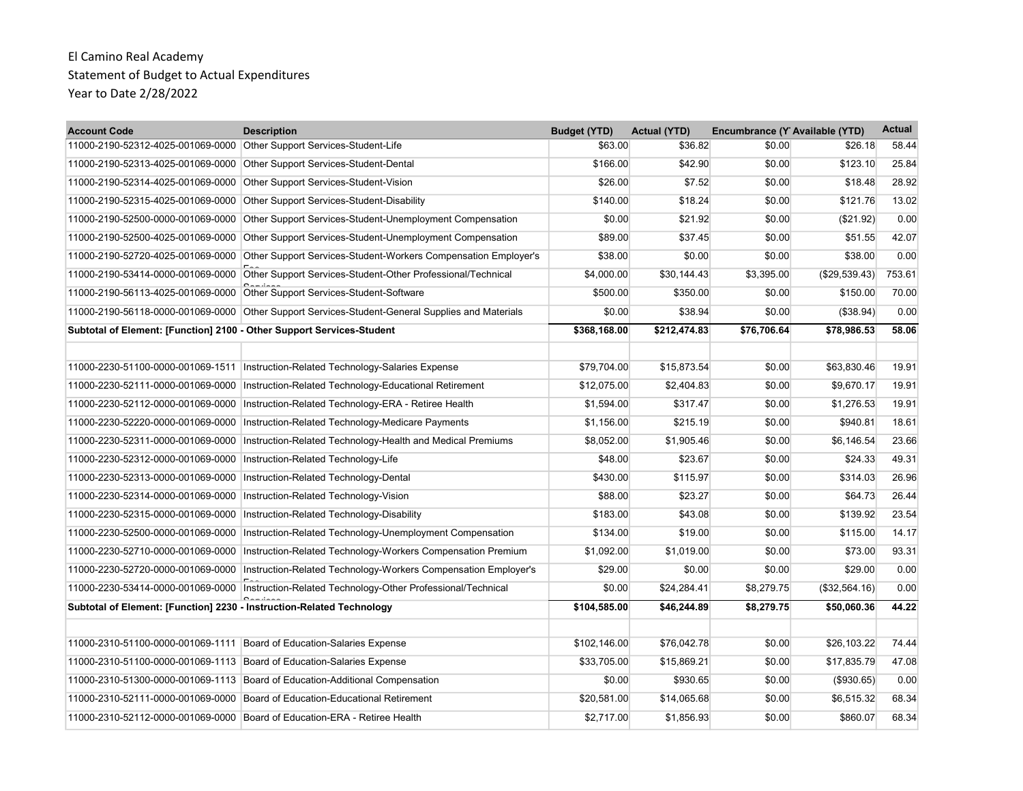| <b>Account Code</b>                                                   | <b>Description</b>                                                                             | <b>Budget (YTD)</b> | <b>Actual (YTD)</b> | Encumbrance (Y Available (YTD) |               | <b>Actual</b> |
|-----------------------------------------------------------------------|------------------------------------------------------------------------------------------------|---------------------|---------------------|--------------------------------|---------------|---------------|
| 11000-2190-52312-4025-001069-0000 Other Support Services-Student-Life |                                                                                                | \$63.00             | \$36.82             | \$0.00                         | \$26.18       | 58.44         |
| 11000-2190-52313-4025-001069-0000                                     | Other Support Services-Student-Dental                                                          | \$166.00            | \$42.90             | \$0.00                         | \$123.10      | 25.84         |
| 11000-2190-52314-4025-001069-0000                                     | Other Support Services-Student-Vision                                                          | \$26.00             | \$7.52              | \$0.00                         | \$18.48       | 28.92         |
| 11000-2190-52315-4025-001069-0000                                     | Other Support Services-Student-Disability                                                      | \$140.00            | \$18.24             | \$0.00                         | \$121.76      | 13.02         |
| 11000-2190-52500-0000-001069-0000                                     | Other Support Services-Student-Unemployment Compensation                                       | \$0.00              | \$21.92             | \$0.00                         | (\$21.92)     | 0.00          |
| 11000-2190-52500-4025-001069-0000                                     | Other Support Services-Student-Unemployment Compensation                                       | \$89.00             | \$37.45             | \$0.00                         | \$51.55       | 42.07         |
| 11000-2190-52720-4025-001069-0000                                     | Other Support Services-Student-Workers Compensation Employer's                                 | \$38.00             | \$0.00              | \$0.00                         | \$38.00       | 0.00          |
|                                                                       | 11000-2190-53414-0000-001069-0000 Other Support Services-Student-Other Professional/Technical  | \$4,000.00          | \$30,144.43         | \$3,395.00                     | (\$29,539.43) | 753.61        |
| 11000-2190-56113-4025-001069-0000                                     | Other Support Services-Student-Software                                                        | \$500.00            | \$350.00            | \$0.00                         | \$150.00      | 70.00         |
| 11000-2190-56118-0000-001069-0000                                     | Other Support Services-Student-General Supplies and Materials                                  | \$0.00              | \$38.94             | \$0.00                         | (\$38.94)     | 0.00          |
| Subtotal of Element: [Function] 2100 - Other Support Services-Student |                                                                                                | \$368,168.00        | \$212,474.83        | \$76,706.64                    | \$78,986.53   | 58.06         |
|                                                                       |                                                                                                |                     |                     |                                |               |               |
| 11000-2230-51100-0000-001069-1511                                     | Instruction-Related Technology-Salaries Expense                                                | \$79,704.00         | \$15,873.54         | \$0.00                         | \$63,830.46   | 19.91         |
| 11000-2230-52111-0000-001069-0000                                     | Instruction-Related Technology-Educational Retirement                                          | \$12,075.00         | \$2,404.83          | \$0.00                         | \$9,670.17    | 19.91         |
| 11000-2230-52112-0000-001069-0000                                     | Instruction-Related Technology-ERA - Retiree Health                                            | \$1,594.00          | \$317.47            | \$0.00                         | \$1,276.53    | 19.91         |
| 11000-2230-52220-0000-001069-0000                                     | Instruction-Related Technology-Medicare Payments                                               | \$1,156.00          | \$215.19            | \$0.00                         | \$940.81      | 18.61         |
| 11000-2230-52311-0000-001069-0000                                     | Instruction-Related Technology-Health and Medical Premiums                                     | \$8,052.00          | \$1,905.46          | \$0.00                         | \$6.146.54    | 23.66         |
| 11000-2230-52312-0000-001069-0000                                     | Instruction-Related Technology-Life                                                            | \$48.00             | \$23.67             | \$0.00                         | \$24.33       | 49.31         |
| 11000-2230-52313-0000-001069-0000                                     | Instruction-Related Technology-Dental                                                          | \$430.00            | \$115.97            | \$0.00                         | \$314.03      | 26.96         |
| 11000-2230-52314-0000-001069-0000                                     | Instruction-Related Technology-Vision                                                          | \$88.00             | \$23.27             | \$0.00                         | \$64.73       | 26.44         |
| 11000-2230-52315-0000-001069-0000                                     | Instruction-Related Technology-Disability                                                      | \$183.00            | \$43.08             | \$0.00                         | \$139.92      | 23.54         |
| 11000-2230-52500-0000-001069-0000                                     | Instruction-Related Technology-Unemployment Compensation                                       | \$134.00            | \$19.00             | \$0.00                         | \$115.00      | 14.17         |
| 11000-2230-52710-0000-001069-0000                                     | Instruction-Related Technology-Workers Compensation Premium                                    | \$1,092.00          | \$1,019.00          | \$0.00                         | \$73.00       | 93.31         |
| 11000-2230-52720-0000-001069-0000                                     | Instruction-Related Technology-Workers Compensation Employer's                                 | \$29.00             | \$0.00              | \$0.00                         | \$29.00       | 0.00          |
|                                                                       | 11000-2230-53414-0000-001069-0000  Instruction-Related Technology-Other Professional/Technical | \$0.00              | \$24,284.41         | \$8,279.75                     | (\$32,564.16) | 0.00          |
| Subtotal of Element: [Function] 2230 - Instruction-Related Technology |                                                                                                | \$104,585.00        | \$46,244.89         | \$8,279.75                     | \$50,060.36   | 44.22         |
|                                                                       |                                                                                                |                     |                     |                                |               |               |
| 11000-2310-51100-0000-001069-1111                                     | Board of Education-Salaries Expense                                                            | \$102,146.00        | \$76.042.78         | \$0.00                         | \$26.103.22   | 74.44         |
| 11000-2310-51100-0000-001069-1113 Board of Education-Salaries Expense |                                                                                                | \$33,705.00         | \$15,869.21         | \$0.00                         | \$17,835.79   | 47.08         |
|                                                                       | 11000-2310-51300-0000-001069-1113 Board of Education-Additional Compensation                   | \$0.00              | \$930.65            | \$0.00                         | (\$930.65)    | 0.00          |
|                                                                       | 11000-2310-52111-0000-001069-0000 Board of Education-Educational Retirement                    | \$20,581.00         | \$14,065.68         | \$0.00                         | \$6,515.32    | 68.34         |
| 11000-2310-52112-0000-001069-0000                                     | Board of Education-ERA - Retiree Health                                                        | \$2,717.00          | \$1,856.93          | \$0.00                         | \$860.07      | 68.34         |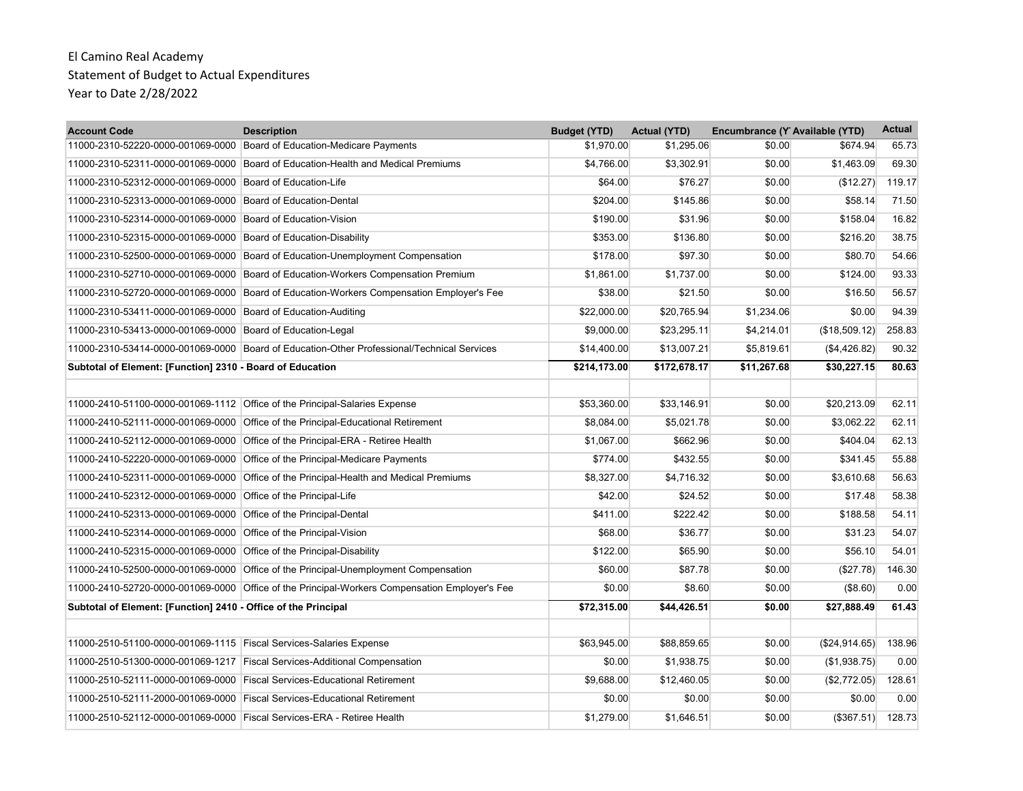| <b>Account Code</b>                                                    | <b>Description</b>                                                                            | <b>Budget (YTD)</b> | <b>Actual (YTD)</b> | Encumbrance (Y Available (YTD) |               | <b>Actual</b> |
|------------------------------------------------------------------------|-----------------------------------------------------------------------------------------------|---------------------|---------------------|--------------------------------|---------------|---------------|
|                                                                        | 11000-2310-52220-0000-001069-0000 Board of Education-Medicare Payments                        | \$1,970.00          | \$1,295.06          | \$0.00                         | \$674.94      | 65.73         |
| 11000-2310-52311-0000-001069-0000                                      | Board of Education-Health and Medical Premiums                                                | \$4,766.00          | \$3,302.91          | \$0.00                         | \$1,463.09    | 69.30         |
| 11000-2310-52312-0000-001069-0000                                      | Board of Education-Life                                                                       | \$64.00             | \$76.27             | \$0.00                         | (\$12.27)     | 119.17        |
| 11000-2310-52313-0000-001069-0000                                      | Board of Education-Dental                                                                     | \$204.00            | \$145.86            | \$0.00                         | \$58.14       | 71.50         |
| 11000-2310-52314-0000-001069-0000 Board of Education-Vision            |                                                                                               | \$190.00            | \$31.96             | \$0.00                         | \$158.04      | 16.82         |
| 11000-2310-52315-0000-001069-0000                                      | Board of Education-Disability                                                                 | \$353.00            | \$136.80            | \$0.00                         | \$216.20      | 38.75         |
| 11000-2310-52500-0000-001069-0000                                      | Board of Education-Unemployment Compensation                                                  | \$178.00            | \$97.30             | \$0.00                         | \$80.70       | 54.66         |
| 11000-2310-52710-0000-001069-0000                                      | Board of Education-Workers Compensation Premium                                               | \$1,861.00          | \$1,737.00          | \$0.00                         | \$124.00      | 93.33         |
|                                                                        | 11000-2310-52720-0000-001069-0000 Board of Education-Workers Compensation Employer's Fee      | \$38.00             | \$21.50             | \$0.00                         | \$16.50       | 56.57         |
| 11000-2310-53411-0000-001069-0000 Board of Education-Auditing          |                                                                                               | \$22,000.00         | \$20,765.94         | \$1,234.06                     | \$0.00        | 94.39         |
| 11000-2310-53413-0000-001069-0000 Board of Education-Legal             |                                                                                               | \$9,000.00          | \$23,295.11         | \$4,214.01                     | (\$18,509.12) | 258.83        |
|                                                                        | 11000-2310-53414-0000-001069-0000 Board of Education-Other Professional/Technical Services    | \$14,400.00         | \$13,007.21         | \$5,819.61                     | (\$4,426.82)  | 90.32         |
| Subtotal of Element: [Function] 2310 - Board of Education              |                                                                                               | \$214,173.00        | \$172,678.17        | \$11,267.68                    | \$30,227.15   | 80.63         |
|                                                                        |                                                                                               |                     |                     |                                |               |               |
|                                                                        | 11000-2410-51100-0000-001069-1112 Office of the Principal-Salaries Expense                    | \$53.360.00         | \$33.146.91         | \$0.00                         | \$20.213.09   | 62.11         |
|                                                                        | 11000-2410-52111-0000-001069-0000 Office of the Principal-Educational Retirement              | \$8,084.00          | \$5,021.78          | \$0.00                         | \$3,062.22    | 62.11         |
| 11000-2410-52112-0000-001069-0000                                      | Office of the Principal-ERA - Retiree Health                                                  | \$1,067.00          | \$662.96            | \$0.00                         | \$404.04      | 62.13         |
|                                                                        | 11000-2410-52220-0000-001069-0000 Office of the Principal-Medicare Payments                   | \$774.00            | \$432.55            | \$0.00                         | \$341.45      | 55.88         |
| 11000-2410-52311-0000-001069-0000                                      | Office of the Principal-Health and Medical Premiums                                           | \$8,327.00          | \$4.716.32          | \$0.00                         | \$3.610.68    | 56.63         |
| 11000-2410-52312-0000-001069-0000 Office of the Principal-Life         |                                                                                               | \$42.00             | \$24.52             | \$0.00                         | \$17.48       | 58.38         |
| 11000-2410-52313-0000-001069-0000                                      | Office of the Principal-Dental                                                                | \$411.00            | \$222.42            | \$0.00                         | \$188.58      | 54.11         |
| 11000-2410-52314-0000-001069-0000 Office of the Principal-Vision       |                                                                                               | \$68.00             | \$36.77             | \$0.00                         | \$31.23       | 54.07         |
| 11000-2410-52315-0000-001069-0000                                      | Office of the Principal-Disability                                                            | \$122.00            | \$65.90             | \$0.00                         | \$56.10       | 54.01         |
|                                                                        | 11000-2410-52500-0000-001069-0000 Office of the Principal-Unemployment Compensation           | \$60.00             | \$87.78             | \$0.00                         | (\$27.78)     | 146.30        |
|                                                                        | 11000-2410-52720-0000-001069-0000 Office of the Principal-Workers Compensation Employer's Fee | \$0.00              | \$8.60              | \$0.00                         | (\$8.60)      | 0.00          |
| Subtotal of Element: [Function] 2410 - Office of the Principal         |                                                                                               | \$72,315.00         | \$44,426.51         | \$0.00                         | \$27,888.49   | 61.43         |
|                                                                        |                                                                                               |                     |                     |                                |               |               |
| 11000-2510-51100-0000-001069-1115 Fiscal Services-Salaries Expense     |                                                                                               | \$63,945.00         | \$88,859.65         | \$0.00                         | (\$24,914.65) | 138.96        |
|                                                                        | 11000-2510-51300-0000-001069-1217 Fiscal Services-Additional Compensation                     | \$0.00              | \$1,938.75          | \$0.00                         | (\$1,938.75)  | 0.00          |
|                                                                        | 11000-2510-52111-0000-001069-0000 Fiscal Services-Educational Retirement                      | \$9,688.00          | \$12,460.05         | \$0.00                         | (\$2,772.05)  | 128.61        |
|                                                                        | 11000-2510-52111-2000-001069-0000 Fiscal Services-Educational Retirement                      | \$0.00              | \$0.00              | \$0.00                         | \$0.00        | 0.00          |
| 11000-2510-52112-0000-001069-0000 Fiscal Services-ERA - Retiree Health |                                                                                               | \$1,279.00          | \$1,646.51          | \$0.00                         | (\$367.51)    | 128.73        |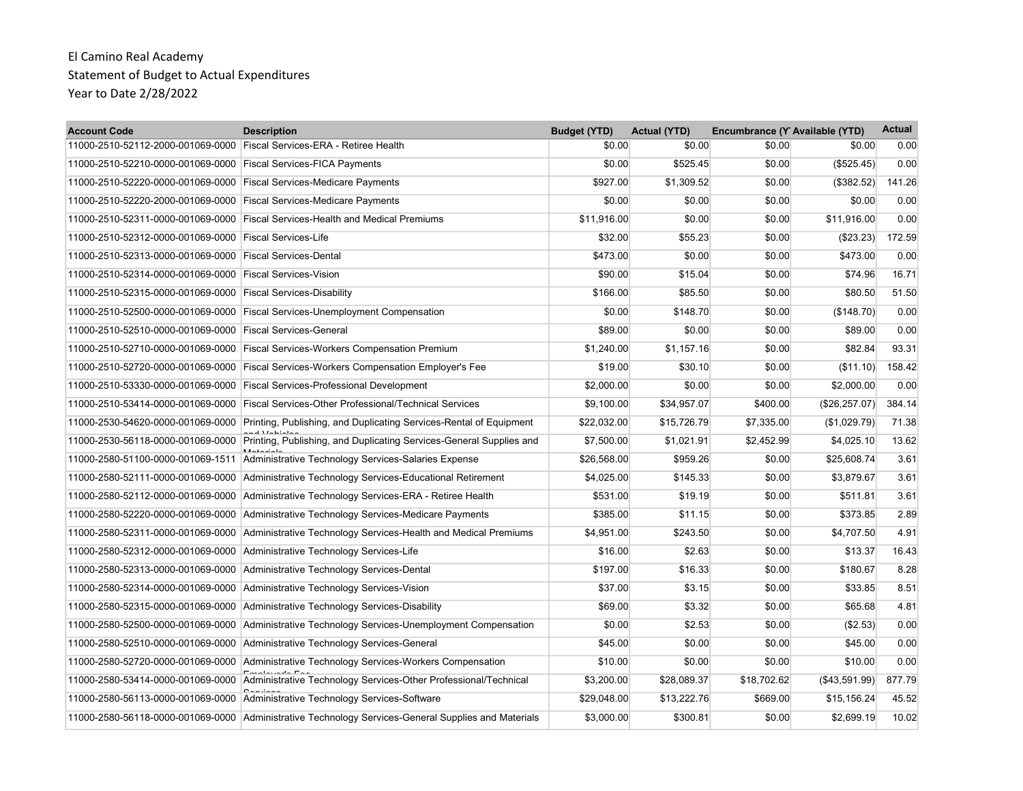| <b>Account Code</b>                                                    | <b>Description</b>                                                                                   | <b>Budget (YTD)</b> | <b>Actual (YTD)</b> | Encumbrance (Y Available (YTD) |                | <b>Actual</b> |
|------------------------------------------------------------------------|------------------------------------------------------------------------------------------------------|---------------------|---------------------|--------------------------------|----------------|---------------|
| 11000-2510-52112-2000-001069-0000 Fiscal Services-ERA - Retiree Health |                                                                                                      | \$0.00              | \$0.00              | \$0.00                         | \$0.00         | 0.00          |
| 11000-2510-52210-0000-001069-0000 Fiscal Services-FICA Payments        |                                                                                                      | \$0.00              | \$525.45            | \$0.00                         | (\$525.45)     | 0.00          |
| 11000-2510-52220-0000-001069-0000                                      | <b>Fiscal Services-Medicare Payments</b>                                                             | \$927.00            | \$1,309.52          | \$0.00                         | (\$382.52)     | 141.26        |
| 11000-2510-52220-2000-001069-0000 Fiscal Services-Medicare Payments    |                                                                                                      | \$0.00              | \$0.00              | \$0.00                         | \$0.00         | 0.00          |
|                                                                        | 11000-2510-52311-0000-001069-0000 Fiscal Services-Health and Medical Premiums                        | \$11,916.00         | \$0.00              | \$0.00                         | \$11,916.00    | 0.00          |
| 11000-2510-52312-0000-001069-0000 Fiscal Services-Life                 |                                                                                                      | \$32.00             | \$55.23             | \$0.00                         | (\$23.23)      | 172.59        |
| 11000-2510-52313-0000-001069-0000 Fiscal Services-Dental               |                                                                                                      | \$473.00            | \$0.00              | \$0.00                         | \$473.00       | 0.00          |
| 11000-2510-52314-0000-001069-0000 Fiscal Services-Vision               |                                                                                                      | \$90.00             | \$15.04             | \$0.00                         | \$74.96        | 16.71         |
| 11000-2510-52315-0000-001069-0000 Fiscal Services-Disability           |                                                                                                      | \$166.00            | \$85.50             | \$0.00                         | \$80.50        | 51.50         |
|                                                                        | 11000-2510-52500-0000-001069-0000 Fiscal Services-Unemployment Compensation                          | \$0.00              | \$148.70            | \$0.00                         | (\$148.70)     | 0.00          |
| 11000-2510-52510-0000-001069-0000                                      | <b>Fiscal Services-General</b>                                                                       | \$89.00             | \$0.00              | \$0.00                         | \$89.00        | 0.00          |
|                                                                        | 11000-2510-52710-0000-001069-0000 Fiscal Services-Workers Compensation Premium                       | \$1,240.00          | \$1,157.16          | \$0.00                         | \$82.84        | 93.31         |
|                                                                        | 11000-2510-52720-0000-001069-0000 Fiscal Services-Workers Compensation Employer's Fee                | \$19.00             | \$30.10             | \$0.00                         | (S11.10)       | 158.42        |
|                                                                        | 11000-2510-53330-0000-001069-0000 Fiscal Services-Professional Development                           | \$2,000.00          | \$0.00              | \$0.00                         | \$2,000.00     | 0.00          |
| 11000-2510-53414-0000-001069-0000                                      | <b>Fiscal Services-Other Professional/Technical Services</b>                                         | \$9,100.00          | \$34,957.07         | \$400.00                       | (\$26, 257.07) | 384.14        |
|                                                                        | 11000-2530-54620-0000-001069-0000 Printing, Publishing, and Duplicating Services-Rental of Equipment | \$22,032.00         | \$15,726.79         | \$7,335.00                     | (\$1,029.79)   | 71.38         |
| 11000-2530-56118-0000-001069-0000                                      | Printing, Publishing, and Duplicating Services-General Supplies and                                  | \$7,500.00          | \$1,021.91          | \$2,452.99                     | \$4,025.10     | 13.62         |
| 11000-2580-51100-0000-001069-1511                                      | Administrative Technology Services-Salaries Expense                                                  | \$26,568.00         | \$959.26            | \$0.00                         | \$25,608.74    | 3.61          |
| 11000-2580-52111-0000-001069-0000                                      | Administrative Technology Services-Educational Retirement                                            | \$4,025.00          | \$145.33            | \$0.00                         | \$3,879.67     | 3.61          |
| 11000-2580-52112-0000-001069-0000                                      | Administrative Technology Services-ERA - Retiree Health                                              | \$531.00            | \$19.19             | \$0.00                         | \$511.81       | 3.61          |
|                                                                        | 11000-2580-52220-0000-001069-0000 Administrative Technology Services-Medicare Payments               | \$385.00            | \$11.15             | \$0.00                         | \$373.85       | 2.89          |
|                                                                        | 11000-2580-52311-0000-001069-0000 Administrative Technology Services-Health and Medical Premiums     | \$4,951.00          | \$243.50            | \$0.00                         | \$4,707.50     | 4.91          |
| 11000-2580-52312-0000-001069-0000                                      | Administrative Technology Services-Life                                                              | \$16.00             | \$2.63              | \$0.00                         | \$13.37        | 16.43         |
| 11000-2580-52313-0000-001069-0000                                      | Administrative Technology Services-Dental                                                            | \$197.00            | \$16.33             | \$0.00                         | \$180.67       | 8.28          |
|                                                                        | 11000-2580-52314-0000-001069-0000 Administrative Technology Services-Vision                          | \$37.00             | \$3.15              | \$0.00                         | \$33.85        | 8.51          |
|                                                                        | 11000-2580-52315-0000-001069-0000 Administrative Technology Services-Disability                      | \$69.00             | \$3.32              | \$0.00                         | \$65.68        | 4.81          |
| 11000-2580-52500-0000-001069-0000                                      | Administrative Technology Services-Unemployment Compensation                                         | \$0.00              | \$2.53              | \$0.00                         | (\$2.53)       | 0.00          |
|                                                                        | 11000-2580-52510-0000-001069-0000 Administrative Technology Services-General                         | \$45.00             | \$0.00              | \$0.00                         | \$45.00        | 0.00          |
| 11000-2580-52720-0000-001069-0000                                      | Administrative Technology Services-Workers Compensation                                              | \$10.00             | \$0.00              | \$0.00                         | \$10.00        | 0.00          |
|                                                                        | 11000-2580-53414-0000-001069-0000 Administrative Technology Services-Other Professional/Technical    | \$3,200.00          | \$28,089.37         | \$18,702.62                    | (\$43,591.99)  | 877.79        |
| 11000-2580-56113-0000-001069-0000                                      | Administrative Technology Services-Software                                                          | \$29,048.00         | \$13,222.76         | \$669.00                       | \$15,156.24    | 45.52         |
|                                                                        | 11000-2580-56118-0000-001069-0000 Administrative Technology Services-General Supplies and Materials  | \$3,000.00          | \$300.81            | \$0.00                         | \$2,699.19     | 10.02         |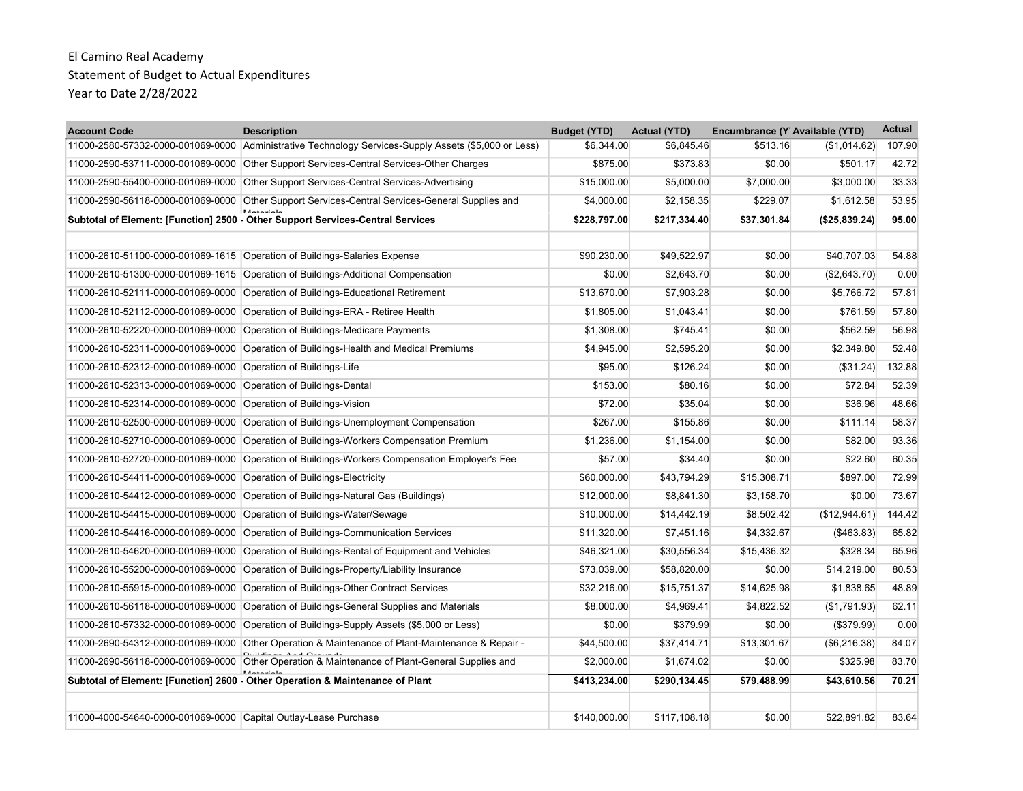| <b>Account Code</b>                                             | <b>Description</b>                                                                                   | <b>Budget (YTD)</b> | <b>Actual (YTD)</b> | Encumbrance (Y Available (YTD) |                | <b>Actual</b> |
|-----------------------------------------------------------------|------------------------------------------------------------------------------------------------------|---------------------|---------------------|--------------------------------|----------------|---------------|
|                                                                 | 11000-2580-57332-0000-001069-0000 Administrative Technology Services-Supply Assets (\$5,000 or Less) | \$6,344.00          | \$6,845.46          | \$513.16                       | (\$1,014.62)   | 107.90        |
| 11000-2590-53711-0000-001069-0000                               | Other Support Services-Central Services-Other Charges                                                | \$875.00            | \$373.83            | \$0.00                         | \$501.17       | 42.72         |
| 11000-2590-55400-0000-001069-0000                               | Other Support Services-Central Services-Advertising                                                  | \$15,000.00         | \$5,000.00          | \$7,000.00                     | \$3,000.00     | 33.33         |
| 11000-2590-56118-0000-001069-0000                               | Other Support Services-Central Services-General Supplies and                                         | \$4,000.00          | \$2,158.35          | \$229.07                       | \$1,612.58     | 53.95         |
|                                                                 | Subtotal of Element: [Function] 2500 - Other Support Services-Central Services                       | \$228,797.00        | \$217,334.40        | \$37,301.84                    | (\$25,839.24)  | 95.00         |
|                                                                 |                                                                                                      |                     |                     |                                |                |               |
|                                                                 | 11000-2610-51100-0000-001069-1615 Operation of Buildings-Salaries Expense                            | \$90,230.00         | \$49,522.97         | \$0.00                         | \$40,707.03    | 54.88         |
|                                                                 | 11000-2610-51300-0000-001069-1615 Operation of Buildings-Additional Compensation                     | \$0.00              | \$2.643.70          | \$0.00                         | (\$2,643.70)   | 0.00          |
|                                                                 | 11000-2610-52111-0000-001069-0000 Operation of Buildings-Educational Retirement                      | \$13,670.00         | \$7,903.28          | \$0.00                         | \$5,766.72     | 57.81         |
|                                                                 | 11000-2610-52112-0000-001069-0000 Operation of Buildings-ERA - Retiree Health                        | \$1,805.00          | \$1,043.41          | \$0.00                         | \$761.59       | 57.80         |
| 11000-2610-52220-0000-001069-0000                               | Operation of Buildings-Medicare Payments                                                             | \$1,308.00          | \$745.41            | \$0.00                         | \$562.59       | 56.98         |
|                                                                 | 11000-2610-52311-0000-001069-0000 Operation of Buildings-Health and Medical Premiums                 | \$4.945.00          | \$2,595.20          | \$0.00                         | \$2.349.80     | 52.48         |
| 11000-2610-52312-0000-001069-0000                               | Operation of Buildings-Life                                                                          | \$95.00             | \$126.24            | \$0.00                         | (\$31.24)      | 132.88        |
| 11000-2610-52313-0000-001069-0000 Operation of Buildings-Dental |                                                                                                      | \$153.00            | \$80.16             | \$0.00                         | \$72.84        | 52.39         |
| 11000-2610-52314-0000-001069-0000                               | Operation of Buildings-Vision                                                                        | \$72.00             | \$35.04             | \$0.00                         | \$36.96        | 48.66         |
| 11000-2610-52500-0000-001069-0000                               | Operation of Buildings-Unemployment Compensation                                                     | \$267.00            | \$155.86            | \$0.00                         | \$111.14       | 58.37         |
| 11000-2610-52710-0000-001069-0000                               | Operation of Buildings-Workers Compensation Premium                                                  | \$1,236.00          | \$1,154.00          | \$0.00                         | \$82.00        | 93.36         |
| 11000-2610-52720-0000-001069-0000                               | Operation of Buildings-Workers Compensation Employer's Fee                                           | \$57.00             | \$34.40             | \$0.00                         | \$22.60        | 60.35         |
| 11000-2610-54411-0000-001069-0000                               | Operation of Buildings-Electricity                                                                   | \$60,000.00         | \$43,794.29         | \$15,308.71                    | \$897.00       | 72.99         |
| 11000-2610-54412-0000-001069-0000                               | Operation of Buildings-Natural Gas (Buildings)                                                       | \$12,000.00         | \$8,841.30          | \$3,158.70                     | \$0.00         | 73.67         |
| 11000-2610-54415-0000-001069-0000                               | Operation of Buildings-Water/Sewage                                                                  | \$10,000.00         | \$14,442.19         | \$8,502.42                     | (\$12,944.61)  | 144.42        |
| 11000-2610-54416-0000-001069-0000                               | Operation of Buildings-Communication Services                                                        | \$11,320.00         | \$7,451.16          | \$4,332.67                     | (\$463.83)     | 65.82         |
| 11000-2610-54620-0000-001069-0000                               | Operation of Buildings-Rental of Equipment and Vehicles                                              | \$46,321.00         | \$30,556.34         | \$15,436.32                    | \$328.34       | 65.96         |
| 11000-2610-55200-0000-001069-0000                               | Operation of Buildings-Property/Liability Insurance                                                  | \$73,039.00         | \$58,820.00         | \$0.00                         | \$14,219.00    | 80.53         |
| 11000-2610-55915-0000-001069-0000                               | Operation of Buildings-Other Contract Services                                                       | \$32,216.00         | \$15,751.37         | \$14,625.98                    | \$1,838.65     | 48.89         |
|                                                                 | 11000-2610-56118-0000-001069-0000 Operation of Buildings-General Supplies and Materials              | \$8,000.00          | \$4,969.41          | \$4,822.52                     | (\$1,791.93)   | 62.11         |
| 11000-2610-57332-0000-001069-0000                               | Operation of Buildings-Supply Assets (\$5,000 or Less)                                               | \$0.00              | \$379.99            | \$0.00                         | $($ \$379.99)  | 0.00          |
| 11000-2690-54312-0000-001069-0000                               | Other Operation & Maintenance of Plant-Maintenance & Repair -                                        | \$44,500.00         | \$37,414.71         | \$13,301.67                    | ( \$6, 216.38) | 84.07         |
|                                                                 | 11000-2690-56118-0000-001069-0000 Other Operation & Maintenance of Plant-General Supplies and        | \$2,000.00          | \$1.674.02          | \$0.00                         | \$325.98       | 83.70         |
|                                                                 | Subtotal of Element: [Function] 2600 - Other Operation & Maintenance of Plant                        | \$413,234.00        | \$290,134.45        | \$79,488.99                    | \$43,610.56    | 70.21         |
|                                                                 |                                                                                                      |                     |                     |                                |                |               |
| 11000-4000-54640-0000-001069-0000 Capital Outlay-Lease Purchase |                                                                                                      | \$140.000.00        | \$117.108.18        | \$0.00                         | \$22.891.82    | 83.64         |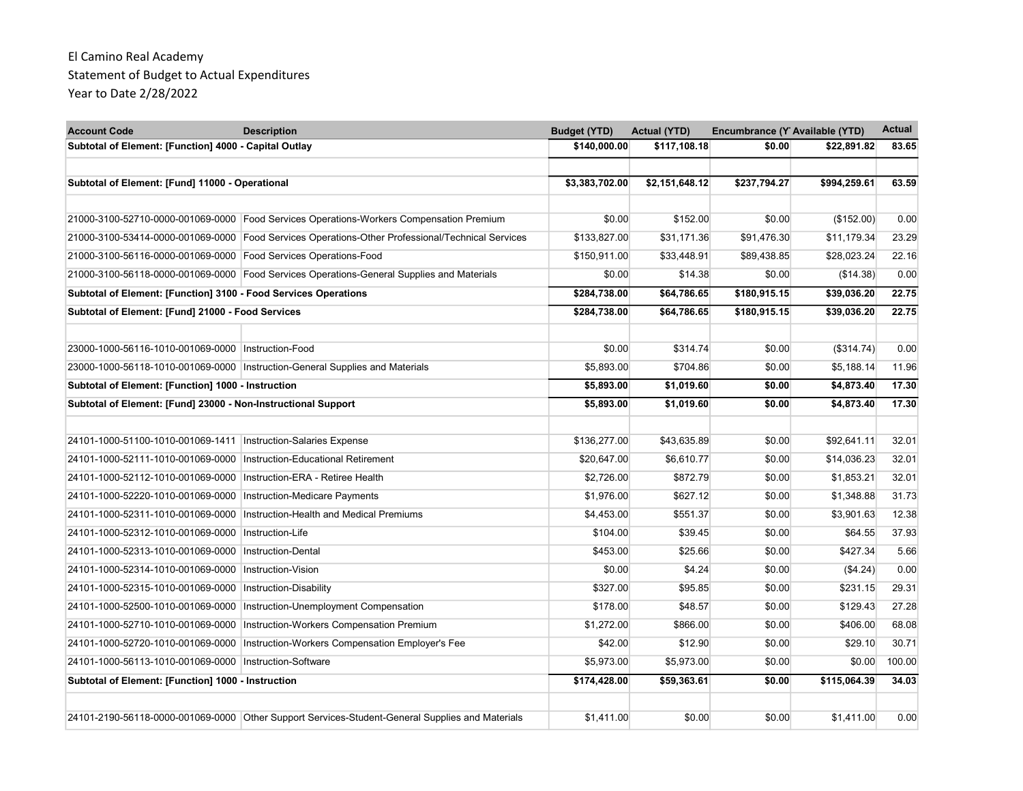| <b>Account Code</b>                                                  | <b>Description</b>                                                                               | <b>Budget (YTD)</b> | <b>Actual (YTD)</b> | Encumbrance (Y Available (YTD) |              | <b>Actual</b> |
|----------------------------------------------------------------------|--------------------------------------------------------------------------------------------------|---------------------|---------------------|--------------------------------|--------------|---------------|
| Subtotal of Element: [Function] 4000 - Capital Outlay                |                                                                                                  | \$140,000.00        | \$117,108.18        | \$0.00                         | \$22,891.82  | 83.65         |
| Subtotal of Element: [Fund] 11000 - Operational                      |                                                                                                  | \$3,383,702.00      | \$2,151,648.12      | \$237,794.27                   | \$994,259.61 | 63.59         |
|                                                                      |                                                                                                  |                     |                     |                                |              |               |
|                                                                      | 21000-3100-52710-0000-001069-0000 Food Services Operations-Workers Compensation Premium          | \$0.00              | \$152.00            | \$0.00                         | (\$152.00)   | 0.00          |
|                                                                      | 21000-3100-53414-0000-001069-0000 Food Services Operations-Other Professional/Technical Services | \$133,827.00        | \$31,171.36         | \$91,476.30                    | \$11,179.34  | 23.29         |
| 21000-3100-56116-0000-001069-0000 Food Services Operations-Food      |                                                                                                  | \$150,911.00        | \$33,448.91         | \$89,438.85                    | \$28,023.24  | 22.16         |
|                                                                      | 21000-3100-56118-0000-001069-0000 Food Services Operations-General Supplies and Materials        | \$0.00              | \$14.38             | \$0.00                         | (\$14.38)    | 0.00          |
| Subtotal of Element: [Function] 3100 - Food Services Operations      |                                                                                                  | \$284,738.00        | \$64,786.65         | \$180,915.15                   | \$39,036.20  | 22.75         |
| Subtotal of Element: [Fund] 21000 - Food Services                    |                                                                                                  | \$284,738.00        | \$64,786.65         | \$180,915.15                   | \$39,036.20  | 22.75         |
|                                                                      |                                                                                                  |                     |                     |                                |              |               |
| 23000-1000-56116-1010-001069-0000 Instruction-Food                   |                                                                                                  | \$0.00              | \$314.74            | \$0.00                         | (\$314.74)   | 0.00          |
|                                                                      | 23000-1000-56118-1010-001069-0000 Instruction-General Supplies and Materials                     | \$5,893.00          | \$704.86            | \$0.00                         | \$5,188.14   | 11.96         |
| Subtotal of Element: [Function] 1000 - Instruction                   |                                                                                                  | \$5,893.00          | \$1,019.60          | \$0.00                         | \$4,873.40   | 17.30         |
| Subtotal of Element: [Fund] 23000 - Non-Instructional Support        |                                                                                                  | \$5,893,00          | \$1,019.60          | \$0.00                         | \$4,873.40   | 17.30         |
|                                                                      |                                                                                                  |                     |                     |                                |              |               |
| 24101-1000-51100-1010-001069-1411   Instruction-Salaries Expense     |                                                                                                  | \$136,277.00        | \$43,635.89         | \$0.00                         | \$92,641.11  | 32.01         |
| 24101-1000-52111-1010-001069-0000 Instruction-Educational Retirement |                                                                                                  | \$20,647.00         | \$6,610.77          | \$0.00                         | \$14,036.23  | 32.01         |
| 24101-1000-52112-1010-001069-0000   Instruction-ERA - Retiree Health |                                                                                                  | \$2,726.00          | \$872.79            | \$0.00                         | \$1,853.21   | 32.01         |
| 24101-1000-52220-1010-001069-0000   Instruction-Medicare Payments    |                                                                                                  | \$1,976.00          | \$627.12            | \$0.00                         | \$1,348.88   | 31.73         |
|                                                                      | 24101-1000-52311-1010-001069-0000   Instruction-Health and Medical Premiums                      | \$4,453.00          | \$551.37            | \$0.00                         | \$3,901.63   | 12.38         |
| 24101-1000-52312-1010-001069-0000   Instruction-Life                 |                                                                                                  | \$104.00            | \$39.45             | \$0.00                         | \$64.55      | 37.93         |
| 24101-1000-52313-1010-001069-0000   Instruction-Dental               |                                                                                                  | \$453.00            | \$25.66             | \$0.00                         | \$427.34     | 5.66          |
| 24101-1000-52314-1010-001069-0000   Instruction-Vision               |                                                                                                  | \$0.00              | \$4.24              | \$0.00                         | (\$4.24)     | 0.00          |
| 24101-1000-52315-1010-001069-0000 Instruction-Disability             |                                                                                                  | \$327.00            | \$95.85             | \$0.00                         | \$231.15     | 29.31         |
|                                                                      | 24101-1000-52500-1010-001069-0000  Instruction-Unemployment Compensation                         | \$178.00            | \$48.57             | \$0.00                         | \$129.43     | 27.28         |
|                                                                      | 24101-1000-52710-1010-001069-0000 Instruction-Workers Compensation Premium                       | \$1,272.00          | \$866.00            | \$0.00                         | \$406.00     | 68.08         |
|                                                                      | 24101-1000-52720-1010-001069-0000 Instruction-Workers Compensation Employer's Fee                | \$42.00             | \$12.90             | \$0.00                         | \$29.10      | 30.71         |
| 24101-1000-56113-1010-001069-0000 Instruction-Software               |                                                                                                  | \$5.973.00          | \$5.973.00          | \$0.00                         | \$0.00       | 100.00        |
| Subtotal of Element: [Function] 1000 - Instruction                   |                                                                                                  | \$174,428.00        | \$59,363.61         | \$0.00                         | \$115,064.39 | 34.03         |
|                                                                      |                                                                                                  |                     |                     |                                |              |               |
|                                                                      | 24101-2190-56118-0000-001069-0000 Other Support Services-Student-General Supplies and Materials  | \$1.411.00          | \$0.00              | \$0.00                         | \$1.411.00   | 0.00          |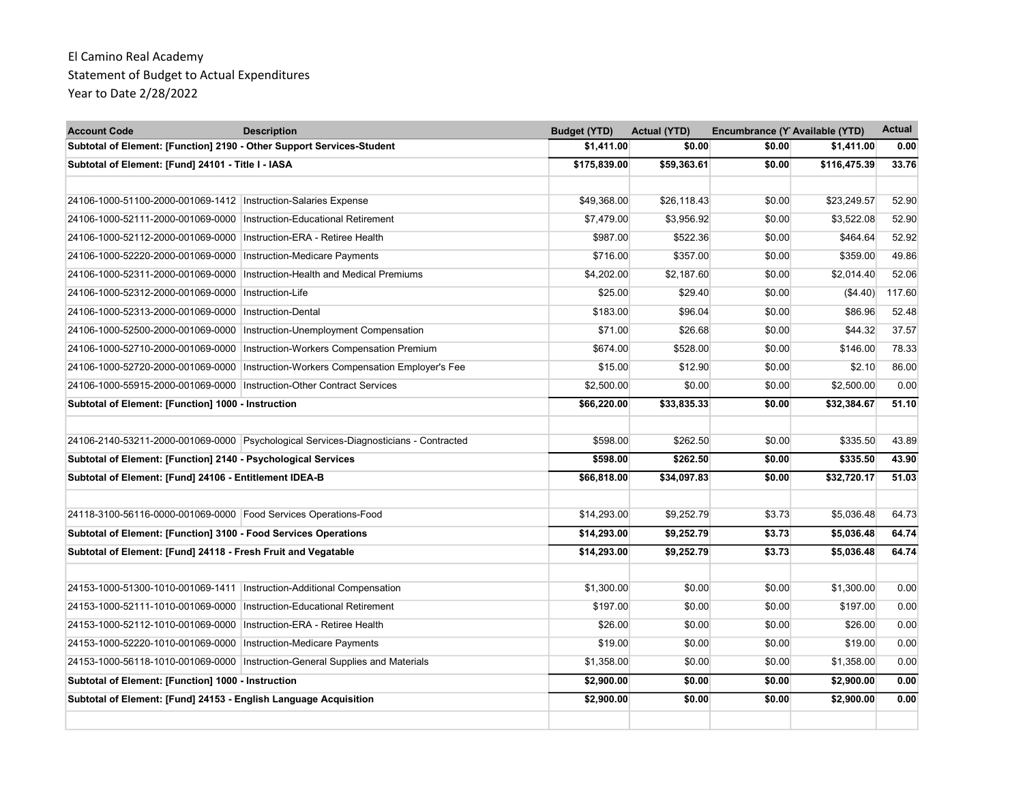| <b>Account Code</b>                                                     | <b>Description</b>                                                                   | <b>Budget (YTD)</b> | <b>Actual (YTD)</b> | Encumbrance (Y Available (YTD) |              | <b>Actual</b> |
|-------------------------------------------------------------------------|--------------------------------------------------------------------------------------|---------------------|---------------------|--------------------------------|--------------|---------------|
| Subtotal of Element: [Function] 2190 - Other Support Services-Student   |                                                                                      | \$1,411.00          | \$0.00              | \$0.00                         | \$1,411.00   | 0.00          |
| Subtotal of Element: [Fund] 24101 - Title I - IASA                      |                                                                                      | \$175,839.00        | \$59,363.61         | \$0.00                         | \$116,475.39 | 33.76         |
|                                                                         |                                                                                      |                     |                     |                                |              |               |
| 24106-1000-51100-2000-001069-1412                                       | Instruction-Salaries Expense                                                         | \$49,368.00         | \$26,118.43         | \$0.00                         | \$23,249.57  | 52.90         |
| 24106-1000-52111-2000-001069-0000 Instruction-Educational Retirement    |                                                                                      | \$7,479.00          | \$3,956.92          | \$0.00                         | \$3,522.08   | 52.90         |
| 24106-1000-52112-2000-001069-0000                                       | Instruction-ERA - Retiree Health                                                     | \$987.00            | \$522.36            | \$0.00                         | \$464.64     | 52.92         |
| 24106-1000-52220-2000-001069-0000                                       | <b>Instruction-Medicare Payments</b>                                                 | \$716.00            | \$357.00            | \$0.00                         | \$359.00     | 49.86         |
| 24106-1000-52311-2000-001069-0000                                       | Instruction-Health and Medical Premiums                                              | \$4,202.00          | \$2,187.60          | \$0.00                         | \$2,014.40   | 52.06         |
| 24106-1000-52312-2000-001069-0000   Instruction-Life                    |                                                                                      | \$25.00             | \$29.40             | \$0.00                         | (\$4.40)     | 117.60        |
| 24106-1000-52313-2000-001069-0000                                       | Instruction-Dental                                                                   | \$183.00            | \$96.04             | \$0.00                         | \$86.96      | 52.48         |
| 24106-1000-52500-2000-001069-0000                                       | Instruction-Unemployment Compensation                                                | \$71.00             | \$26.68             | \$0.00                         | \$44.32      | 37.57         |
| 24106-1000-52710-2000-001069-0000                                       | Instruction-Workers Compensation Premium                                             | \$674.00            | \$528.00            | \$0.00                         | \$146.00     | 78.33         |
| 24106-1000-52720-2000-001069-0000                                       | Instruction-Workers Compensation Employer's Fee                                      | \$15.00             | \$12.90             | \$0.00                         | \$2.10       | 86.00         |
| 24106-1000-55915-2000-001069-0000                                       | <b>Instruction-Other Contract Services</b>                                           | \$2,500.00          | \$0.00              | \$0.00                         | \$2,500.00   | 0.00          |
| Subtotal of Element: [Function] 1000 - Instruction                      |                                                                                      | \$66,220.00         | \$33,835.33         | \$0.00                         | \$32,384.67  | 51.10         |
|                                                                         | 24106-2140-53211-2000-001069-0000 Psychological Services-Diagnosticians - Contracted | \$598.00            | \$262.50            | \$0.00                         | \$335.50     | 43.89         |
| Subtotal of Element: [Function] 2140 - Psychological Services           |                                                                                      | \$598.00            | \$262.50            | \$0.00                         | \$335.50     | 43.90         |
| Subtotal of Element: [Fund] 24106 - Entitlement IDEA-B                  |                                                                                      | \$66,818.00         | \$34,097.83         | \$0.00                         | \$32,720.17  | 51.03         |
| 24118-3100-56116-0000-001069-0000 Food Services Operations-Food         |                                                                                      | \$14,293.00         | \$9,252.79          | \$3.73                         | \$5,036.48   | 64.73         |
| Subtotal of Element: [Function] 3100 - Food Services Operations         |                                                                                      | \$14,293.00         | \$9,252.79          | \$3.73                         | \$5,036.48   | 64.74         |
| Subtotal of Element: [Fund] 24118 - Fresh Fruit and Vegatable           |                                                                                      | \$14,293.00         | \$9,252.79          | \$3.73                         | \$5,036.48   | 64.74         |
|                                                                         |                                                                                      |                     |                     |                                |              |               |
| 24153-1000-51300-1010-001069-1411   Instruction-Additional Compensation |                                                                                      | \$1,300.00          | \$0.00              | \$0.00                         | \$1,300.00   | 0.00          |
| 24153-1000-52111-1010-001069-0000 Instruction-Educational Retirement    |                                                                                      | \$197.00            | \$0.00              | \$0.00                         | \$197.00     | 0.00          |
| 24153-1000-52112-1010-001069-0000                                       | Instruction-ERA - Retiree Health                                                     | \$26.00             | \$0.00              | \$0.00                         | \$26.00      | 0.00          |
| 24153-1000-52220-1010-001069-0000 Instruction-Medicare Payments         |                                                                                      | \$19.00             | \$0.00              | \$0.00                         | \$19.00      | 0.00          |
|                                                                         | 24153-1000-56118-1010-001069-0000 Instruction-General Supplies and Materials         | \$1,358.00          | \$0.00              | \$0.00                         | \$1,358.00   | 0.00          |
| Subtotal of Element: [Function] 1000 - Instruction                      |                                                                                      | \$2,900.00          | \$0.00              | \$0.00                         | \$2,900.00   | 0.00          |
| Subtotal of Element: [Fund] 24153 - English Language Acquisition        |                                                                                      | \$2,900.00          | \$0.00              | \$0.00                         | \$2,900.00   | 0.00          |
|                                                                         |                                                                                      |                     |                     |                                |              |               |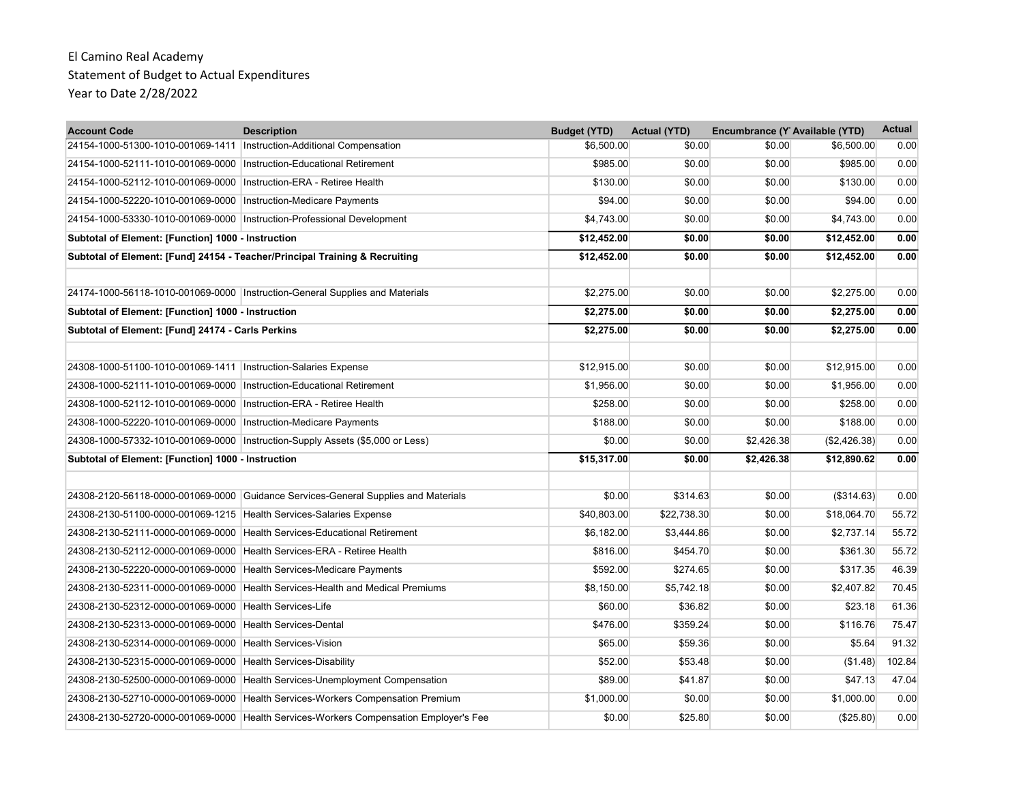| <b>Account Code</b>                                                      | <b>Description</b>                                                                    | <b>Budget (YTD)</b> | <b>Actual (YTD)</b> | Encumbrance (Y Available (YTD) |              | <b>Actual</b> |
|--------------------------------------------------------------------------|---------------------------------------------------------------------------------------|---------------------|---------------------|--------------------------------|--------------|---------------|
| 24154-1000-51300-1010-001069-1411 Instruction-Additional Compensation    |                                                                                       | \$6,500.00          | \$0.00              | \$0.00                         | \$6,500.00   | 0.00          |
| 24154-1000-52111-1010-001069-0000   Instruction-Educational Retirement   |                                                                                       | \$985.00            | \$0.00              | \$0.00                         | \$985.00     | 0.00          |
| 24154-1000-52112-1010-001069-0000                                        | Instruction-ERA - Retiree Health                                                      | \$130.00            | \$0.00              | \$0.00                         | \$130.00     | 0.00          |
| 24154-1000-52220-1010-001069-0000   Instruction-Medicare Payments        |                                                                                       | \$94.00             | \$0.00              | \$0.00                         | \$94.00      | 0.00          |
| 24154-1000-53330-1010-001069-0000   Instruction-Professional Development |                                                                                       | \$4,743.00          | \$0.00              | \$0.00                         | \$4,743.00   | 0.00          |
| Subtotal of Element: [Function] 1000 - Instruction                       |                                                                                       | \$12,452.00         | \$0.00              | \$0.00                         | \$12,452.00  | 0.00          |
|                                                                          | Subtotal of Element: [Fund] 24154 - Teacher/Principal Training & Recruiting           | \$12,452.00         | \$0.00              | \$0.00                         | \$12,452.00  | 0.00          |
|                                                                          | 24174-1000-56118-1010-001069-0000 Instruction-General Supplies and Materials          | \$2,275.00          | \$0.00              | \$0.00                         | \$2,275.00   | 0.00          |
| Subtotal of Element: [Function] 1000 - Instruction                       |                                                                                       | \$2,275.00          | \$0.00              | \$0.00                         | \$2,275.00   | 0.00          |
| Subtotal of Element: [Fund] 24174 - Carls Perkins                        |                                                                                       | \$2,275.00          | \$0.00              | \$0.00                         | \$2,275.00   | 0.00          |
| 24308-1000-51100-1010-001069-1411   Instruction-Salaries Expense         |                                                                                       | \$12,915.00         | \$0.00              | \$0.00                         | \$12,915.00  | 0.00          |
| 24308-1000-52111-1010-001069-0000 Instruction-Educational Retirement     |                                                                                       | \$1,956.00          | \$0.00              | \$0.00                         | \$1,956.00   | 0.00          |
| 24308-1000-52112-1010-001069-0000                                        | Instruction-ERA - Retiree Health                                                      | \$258.00            | \$0.00              | \$0.00                         | \$258.00     | 0.00          |
| 24308-1000-52220-1010-001069-0000   Instruction-Medicare Payments        |                                                                                       | \$188.00            | \$0.00              | \$0.00                         | \$188.00     | 0.00          |
|                                                                          | 24308-1000-57332-1010-001069-0000 Instruction-Supply Assets (\$5,000 or Less)         | \$0.00              | \$0.00              | \$2,426.38                     | (\$2,426.38) | 0.00          |
| Subtotal of Element: [Function] 1000 - Instruction                       |                                                                                       | \$15,317.00         | \$0.00              | \$2,426.38                     | \$12,890.62  | 0.00          |
|                                                                          | 24308-2120-56118-0000-001069-0000 Guidance Services-General Supplies and Materials    | \$0.00              | \$314.63            | \$0.00                         | (\$314.63)   | 0.00          |
| 24308-2130-51100-0000-001069-1215 Health Services-Salaries Expense       |                                                                                       | \$40,803.00         | \$22,738.30         | \$0.00                         | \$18,064.70  | 55.72         |
|                                                                          | 24308-2130-52111-0000-001069-0000 Health Services-Educational Retirement              | \$6,182.00          | \$3,444.86          | \$0.00                         | \$2,737.14   | 55.72         |
| 24308-2130-52112-0000-001069-0000                                        | Health Services-ERA - Retiree Health                                                  | \$816.00            | \$454.70            | \$0.00                         | \$361.30     | 55.72         |
| 24308-2130-52220-0000-001069-0000                                        | Health Services-Medicare Payments                                                     | \$592.00            | \$274.65            | \$0.00                         | \$317.35     | 46.39         |
| 24308-2130-52311-0000-001069-0000                                        | Health Services-Health and Medical Premiums                                           | \$8,150.00          | \$5,742.18          | \$0.00                         | \$2,407.82   | 70.45         |
| 24308-2130-52312-0000-001069-0000 Health Services-Life                   |                                                                                       | \$60.00             | \$36.82             | \$0.00                         | \$23.18      | 61.36         |
| 24308-2130-52313-0000-001069-0000                                        | <b>Health Services-Dental</b>                                                         | \$476.00            | \$359.24            | \$0.00                         | \$116.76     | 75.47         |
| 24308-2130-52314-0000-001069-0000 Health Services-Vision                 |                                                                                       | \$65.00             | \$59.36             | \$0.00                         | \$5.64       | 91.32         |
| 24308-2130-52315-0000-001069-0000 Health Services-Disability             |                                                                                       | \$52.00             | \$53.48             | \$0.00                         | (\$1.48)     | 102.84        |
|                                                                          | 24308-2130-52500-0000-001069-0000 Health Services-Unemployment Compensation           | \$89.00             | \$41.87             | \$0.00                         | \$47.13      | 47.04         |
|                                                                          | 24308-2130-52710-0000-001069-0000 Health Services-Workers Compensation Premium        | \$1,000.00          | \$0.00              | \$0.00                         | \$1,000.00   | 0.00          |
|                                                                          | 24308-2130-52720-0000-001069-0000 Health Services-Workers Compensation Employer's Fee | \$0.00              | \$25.80             | \$0.00                         | (\$25.80)    | 0.00          |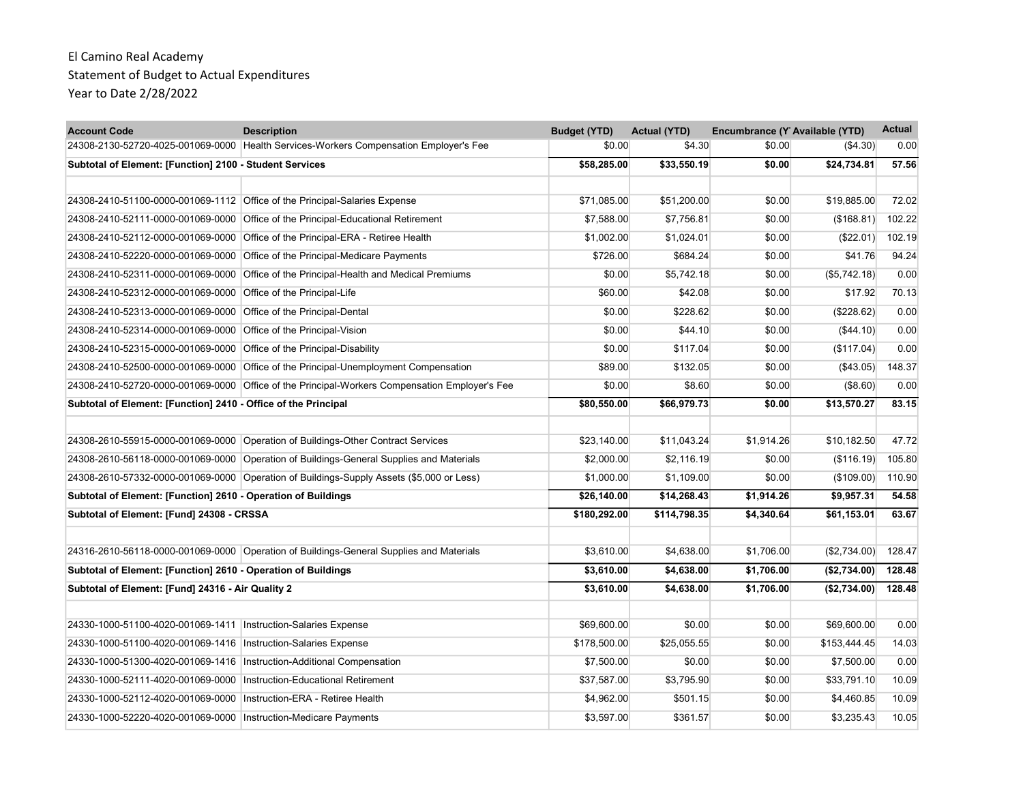| <b>Account Code</b>                                                     | <b>Description</b>                                                                            | <b>Budget (YTD)</b> | <b>Actual (YTD)</b> | Encumbrance (Y Available (YTD) |                  | <b>Actual</b> |
|-------------------------------------------------------------------------|-----------------------------------------------------------------------------------------------|---------------------|---------------------|--------------------------------|------------------|---------------|
|                                                                         | 24308-2130-52720-4025-001069-0000 Health Services-Workers Compensation Employer's Fee         | \$0.00              | \$4.30              | \$0.00                         | (\$4.30)         | 0.00          |
| Subtotal of Element: [Function] 2100 - Student Services                 |                                                                                               | \$58,285.00         | \$33,550.19         | \$0.00                         | \$24.734.81      | 57.56         |
|                                                                         |                                                                                               |                     |                     |                                |                  |               |
|                                                                         | 24308-2410-51100-0000-001069-1112 Office of the Principal-Salaries Expense                    | \$71,085.00         | \$51,200.00         | \$0.00                         | \$19,885.00      | 72.02         |
|                                                                         | 24308-2410-52111-0000-001069-0000 Office of the Principal-Educational Retirement              | \$7,588.00          | \$7,756.81          | \$0.00                         | (\$168.81)       | 102.22        |
| 24308-2410-52112-0000-001069-0000                                       | Office of the Principal-ERA - Retiree Health                                                  | \$1,002.00          | \$1,024.01          | \$0.00                         | (\$22.01)        | 102.19        |
| 24308-2410-52220-0000-001069-0000                                       | Office of the Principal-Medicare Payments                                                     | \$726.00            | \$684.24            | \$0.00                         | \$41.76          | 94.24         |
| 24308-2410-52311-0000-001069-0000                                       | Office of the Principal-Health and Medical Premiums                                           | \$0.00              | \$5,742.18          | \$0.00                         | (\$5,742.18)     | 0.00          |
| 24308-2410-52312-0000-001069-0000 Office of the Principal-Life          |                                                                                               | \$60.00             | \$42.08             | \$0.00                         | \$17.92          | 70.13         |
| 24308-2410-52313-0000-001069-0000                                       | Office of the Principal-Dental                                                                | \$0.00              | \$228.62            | \$0.00                         | (\$228.62)       | 0.00          |
| 24308-2410-52314-0000-001069-0000                                       | Office of the Principal-Vision                                                                | \$0.00              | \$44.10             | \$0.00                         | (\$44.10)        | 0.00          |
| 24308-2410-52315-0000-001069-0000 Office of the Principal-Disability    |                                                                                               | \$0.00              | \$117.04            | \$0.00                         | (\$117.04)       | 0.00          |
|                                                                         | 24308-2410-52500-0000-001069-0000 Office of the Principal-Unemployment Compensation           | \$89.00             | \$132.05            | \$0.00                         | $($ \$43.05) $ $ | 148.37        |
|                                                                         | 24308-2410-52720-0000-001069-0000 Office of the Principal-Workers Compensation Employer's Fee | \$0.00              | \$8.60              | \$0.00                         | (\$8.60)         | 0.00          |
| Subtotal of Element: [Function] 2410 - Office of the Principal          |                                                                                               | \$80,550.00         | \$66,979.73         | \$0.00                         | \$13,570.27      | 83.15         |
|                                                                         |                                                                                               |                     |                     |                                |                  |               |
|                                                                         | 24308-2610-55915-0000-001069-0000 Operation of Buildings-Other Contract Services              | \$23,140.00         | \$11,043.24         | \$1,914.26                     | \$10,182.50      | 47.72         |
|                                                                         | 24308-2610-56118-0000-001069-0000 Operation of Buildings-General Supplies and Materials       | \$2,000.00          | \$2,116.19          | \$0.00                         | (\$116.19)       | 105.80        |
|                                                                         | 24308-2610-57332-0000-001069-0000 Operation of Buildings-Supply Assets (\$5,000 or Less)      | \$1,000.00          | \$1,109.00          | \$0.00                         | (\$109.00)       | 110.90        |
| Subtotal of Element: [Function] 2610 - Operation of Buildings           |                                                                                               | \$26,140.00         | \$14,268.43         | \$1,914.26                     | \$9,957.31       | 54.58         |
| Subtotal of Element: [Fund] 24308 - CRSSA                               |                                                                                               | \$180,292.00        | \$114,798.35        | \$4,340.64                     | \$61,153.01      | 63.67         |
|                                                                         |                                                                                               |                     |                     |                                |                  |               |
|                                                                         | 24316-2610-56118-0000-001069-0000 Operation of Buildings-General Supplies and Materials       | \$3,610.00          | \$4,638.00          | \$1,706.00                     | (\$2,734.00)     | 128.47        |
| Subtotal of Element: [Function] 2610 - Operation of Buildings           |                                                                                               | \$3,610.00          | \$4,638.00          | \$1,706.00                     | (\$2,734.00)     | 128.48        |
| Subtotal of Element: [Fund] 24316 - Air Quality 2                       |                                                                                               | \$3,610.00          | \$4,638.00          | \$1,706.00                     | (\$2,734.00)     | 128.48        |
|                                                                         |                                                                                               |                     |                     |                                |                  |               |
| 24330-1000-51100-4020-001069-1411   Instruction-Salaries Expense        |                                                                                               | \$69,600.00         | \$0.00              | \$0.00                         | \$69,600.00      | 0.00          |
| 24330-1000-51100-4020-001069-1416   Instruction-Salaries Expense        |                                                                                               | \$178,500.00        | \$25,055.55         | \$0.00                         | \$153,444.45     | 14.03         |
| 24330-1000-51300-4020-001069-1416   Instruction-Additional Compensation |                                                                                               | \$7,500.00          | \$0.00              | \$0.00                         | \$7,500.00       | 0.00          |
| 24330-1000-52111-4020-001069-0000   Instruction-Educational Retirement  |                                                                                               | \$37,587.00         | \$3,795.90          | \$0.00                         | \$33,791.10      | 10.09         |
| 24330-1000-52112-4020-001069-0000                                       | Instruction-ERA - Retiree Health                                                              | \$4,962.00          | \$501.15            | \$0.00                         | \$4,460.85       | 10.09         |
| 24330-1000-52220-4020-001069-0000   Instruction-Medicare Payments       |                                                                                               | \$3,597.00          | \$361.57            | \$0.00                         | \$3,235.43       | 10.05         |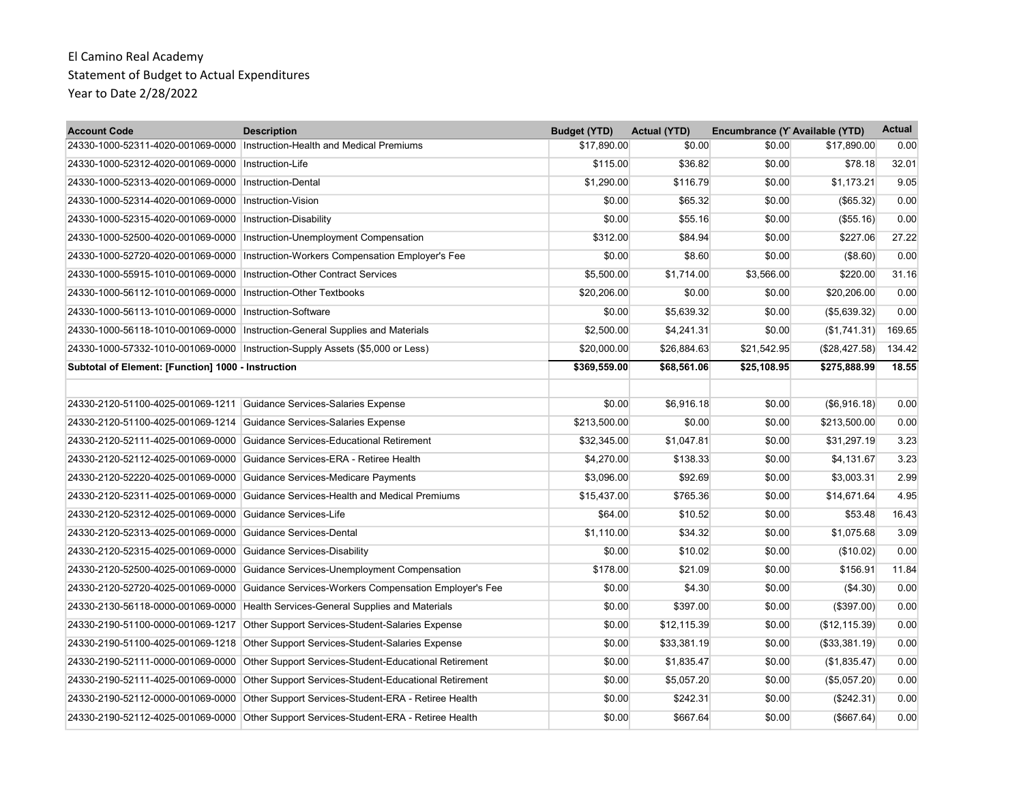| <b>Account Code</b>                                                  | <b>Description</b>                                                                    | <b>Budget (YTD)</b> | <b>Actual (YTD)</b> | Encumbrance (Y Available (YTD) |                | <b>Actual</b> |
|----------------------------------------------------------------------|---------------------------------------------------------------------------------------|---------------------|---------------------|--------------------------------|----------------|---------------|
|                                                                      | 24330-1000-52311-4020-001069-0000   Instruction-Health and Medical Premiums           | \$17,890.00         | \$0.00              | \$0.00                         | \$17,890.00    | 0.00          |
| 24330-1000-52312-4020-001069-0000                                    | Instruction-Life                                                                      | \$115.00            | \$36.82             | \$0.00                         | \$78.18        | 32.01         |
| 24330-1000-52313-4020-001069-0000                                    | <b>Instruction-Dental</b>                                                             | \$1,290.00          | \$116.79            | \$0.00                         | \$1,173.21     | 9.05          |
| 24330-1000-52314-4020-001069-0000                                    | Instruction-Vision                                                                    | \$0.00              | \$65.32             | \$0.00                         | (\$65.32)      | 0.00          |
| 24330-1000-52315-4020-001069-0000   Instruction-Disability           |                                                                                       | \$0.00              | \$55.16             | \$0.00                         | (\$55.16)      | 0.00          |
| 24330-1000-52500-4020-001069-0000                                    | Instruction-Unemployment Compensation                                                 | \$312.00            | \$84.94             | \$0.00                         | \$227.06       | 27.22         |
| 24330-1000-52720-4020-001069-0000                                    | Instruction-Workers Compensation Employer's Fee                                       | \$0.00              | \$8.60              | \$0.00                         | (\$8.60)       | 0.00          |
| 24330-1000-55915-1010-001069-0000                                    | Instruction-Other Contract Services                                                   | \$5,500.00          | \$1,714.00          | \$3,566.00                     | \$220.00       | 31.16         |
| 24330-1000-56112-1010-001069-0000                                    | Instruction-Other Textbooks                                                           | \$20,206.00         | \$0.00              | \$0.00                         | \$20,206.00    | 0.00          |
| 24330-1000-56113-1010-001069-0000                                    | Instruction-Software                                                                  | \$0.00              | \$5,639.32          | \$0.00                         | (\$5,639.32)   | 0.00          |
|                                                                      | 24330-1000-56118-1010-001069-0000 Instruction-General Supplies and Materials          | \$2,500.00          | \$4,241.31          | \$0.00                         | (\$1,741.31)   | 169.65        |
|                                                                      | 24330-1000-57332-1010-001069-0000 Instruction-Supply Assets (\$5,000 or Less)         | \$20,000.00         | \$26,884.63         | \$21,542.95                    | (\$28,427.58)  | 134.42        |
| Subtotal of Element: [Function] 1000 - Instruction                   |                                                                                       | \$369,559.00        | \$68,561.06         | \$25,108.95                    | \$275,888.99   | 18.55         |
|                                                                      |                                                                                       |                     |                     |                                |                |               |
| 24330-2120-51100-4025-001069-1211                                    | Guidance Services-Salaries Expense                                                    | \$0.00              | \$6,916.18          | \$0.00                         | (\$6,916.18)   | 0.00          |
| 24330-2120-51100-4025-001069-1214 Guidance Services-Salaries Expense |                                                                                       | \$213,500.00        | \$0.00              | \$0.00                         | \$213,500.00   | 0.00          |
| 24330-2120-52111-4025-001069-0000                                    | Guidance Services-Educational Retirement                                              | \$32,345.00         | \$1,047.81          | \$0.00                         | \$31,297.19    | 3.23          |
|                                                                      | 24330-2120-52112-4025-001069-0000 Guidance Services-ERA - Retiree Health              | \$4,270.00          | \$138.33            | \$0.00                         | \$4,131.67     | 3.23          |
| 24330-2120-52220-4025-001069-0000                                    | Guidance Services-Medicare Payments                                                   | \$3,096.00          | \$92.69             | \$0.00                         | \$3,003.31     | 2.99          |
|                                                                      | 24330-2120-52311-4025-001069-0000 Guidance Services-Health and Medical Premiums       | \$15.437.00         | \$765.36            | \$0.00                         | \$14.671.64    | 4.95          |
| 24330-2120-52312-4025-001069-0000 Guidance Services-Life             |                                                                                       | \$64.00             | \$10.52             | \$0.00                         | \$53.48        | 16.43         |
| 24330-2120-52313-4025-001069-0000 Guidance Services-Dental           |                                                                                       | \$1,110.00          | \$34.32             | \$0.00                         | \$1,075.68     | 3.09          |
| 24330-2120-52315-4025-001069-0000                                    | Guidance Services-Disability                                                          | \$0.00              | \$10.02             | \$0.00                         | (\$10.02)      | 0.00          |
| 24330-2120-52500-4025-001069-0000                                    | Guidance Services-Unemployment Compensation                                           | \$178.00            | \$21.09             | \$0.00                         | \$156.91       | 11.84         |
| 24330-2120-52720-4025-001069-0000                                    | Guidance Services-Workers Compensation Employer's Fee                                 | \$0.00              | \$4.30              | \$0.00                         | ( \$4.30)      | 0.00          |
| 24330-2130-56118-0000-001069-0000                                    | Health Services-General Supplies and Materials                                        | \$0.00              | \$397.00            | \$0.00                         | (\$397.00)     | 0.00          |
| 24330-2190-51100-0000-001069-1217                                    | Other Support Services-Student-Salaries Expense                                       | \$0.00              | \$12,115.39         | \$0.00                         | (\$12, 115.39) | 0.00          |
| 24330-2190-51100-4025-001069-1218                                    | Other Support Services-Student-Salaries Expense                                       | \$0.00              | \$33,381.19         | \$0.00                         | (\$33,381.19)  | 0.00          |
| 24330-2190-52111-0000-001069-0000                                    | Other Support Services-Student-Educational Retirement                                 | \$0.00              | \$1,835.47          | \$0.00                         | (\$1,835.47)   | 0.00          |
| 24330-2190-52111-4025-001069-0000                                    | Other Support Services-Student-Educational Retirement                                 | \$0.00              | \$5,057.20          | \$0.00                         | (\$5,057.20)   | 0.00          |
| 24330-2190-52112-0000-001069-0000                                    | Other Support Services-Student-ERA - Retiree Health                                   | \$0.00              | \$242.31            | \$0.00                         | (\$242.31)     | 0.00          |
|                                                                      | 24330-2190-52112-4025-001069-0000 Other Support Services-Student-ERA - Retiree Health | \$0.00              | \$667.64            | \$0.00                         | (\$667.64)     | 0.00          |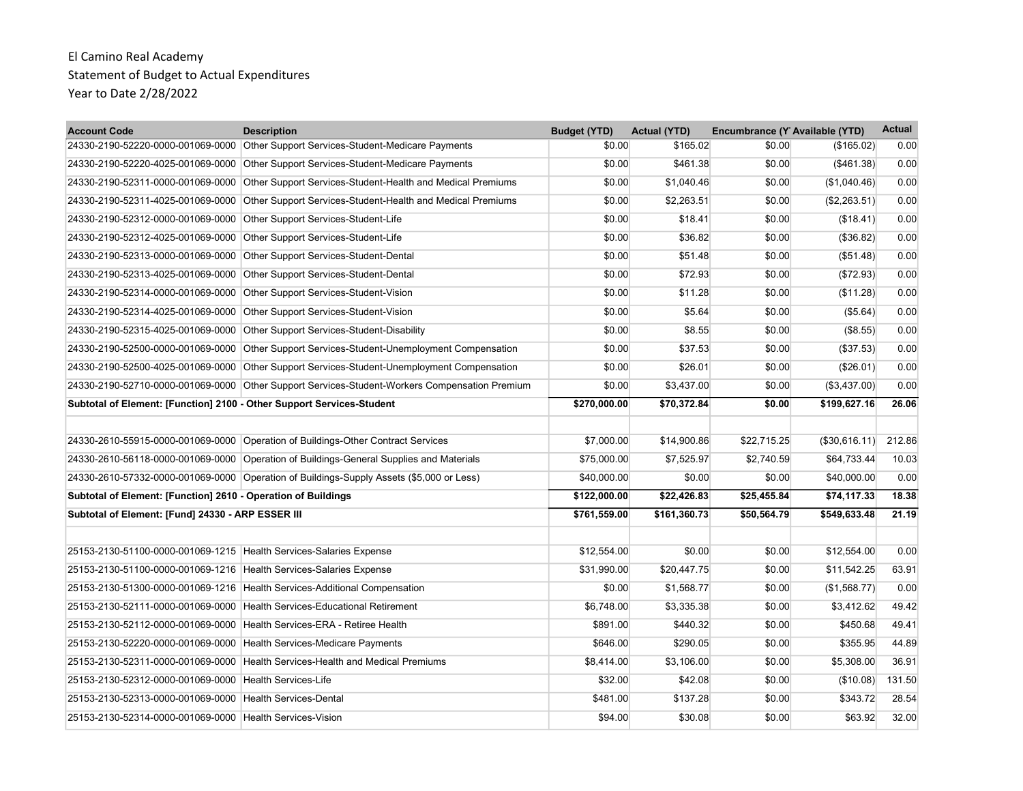| <b>Account Code</b>                                                    | <b>Description</b>                                                                       | <b>Budget (YTD)</b> | <b>Actual (YTD)</b> | Encumbrance (Y Available (YTD) |               | <b>Actual</b> |
|------------------------------------------------------------------------|------------------------------------------------------------------------------------------|---------------------|---------------------|--------------------------------|---------------|---------------|
|                                                                        | 24330-2190-52220-0000-001069-0000 Other Support Services-Student-Medicare Payments       | \$0.00              | \$165.02            | \$0.00                         | (\$165.02)    | 0.00          |
| 24330-2190-52220-4025-001069-0000                                      | Other Support Services-Student-Medicare Payments                                         | \$0.00              | \$461.38            | \$0.00                         | ( \$461.38)   | 0.00          |
| 24330-2190-52311-0000-001069-0000                                      | Other Support Services-Student-Health and Medical Premiums                               | \$0.00              | \$1,040.46          | \$0.00                         | (\$1,040.46)  | 0.00          |
| 24330-2190-52311-4025-001069-0000                                      | Other Support Services-Student-Health and Medical Premiums                               | \$0.00              | \$2,263.51          | \$0.00                         | (\$2,263.51)  | 0.00          |
| 24330-2190-52312-0000-001069-0000                                      | Other Support Services-Student-Life                                                      | \$0.00              | \$18.41             | \$0.00                         | (\$18.41)     | 0.00          |
| 24330-2190-52312-4025-001069-0000                                      | Other Support Services-Student-Life                                                      | \$0.00              | \$36.82             | \$0.00                         | (\$36.82)     | 0.00          |
| 24330-2190-52313-0000-001069-0000                                      | Other Support Services-Student-Dental                                                    | \$0.00              | \$51.48             | \$0.00                         | (\$51.48)     | 0.00          |
| 24330-2190-52313-4025-001069-0000                                      | Other Support Services-Student-Dental                                                    | \$0.00              | \$72.93             | \$0.00                         | (\$72.93)     | 0.00          |
| 24330-2190-52314-0000-001069-0000                                      | Other Support Services-Student-Vision                                                    | \$0.00              | \$11.28             | \$0.00                         | (\$11.28)     | 0.00          |
| 24330-2190-52314-4025-001069-0000                                      | Other Support Services-Student-Vision                                                    | \$0.00              | \$5.64              | \$0.00                         | (\$5.64)      | 0.00          |
| 24330-2190-52315-4025-001069-0000                                      | Other Support Services-Student-Disability                                                | \$0.00              | \$8.55              | \$0.00                         | (\$8.55)      | 0.00          |
| 24330-2190-52500-0000-001069-0000                                      | Other Support Services-Student-Unemployment Compensation                                 | \$0.00              | \$37.53             | \$0.00                         | (\$37.53)     | 0.00          |
| 24330-2190-52500-4025-001069-0000                                      | Other Support Services-Student-Unemployment Compensation                                 | \$0.00              | \$26.01             | \$0.00                         | (\$26.01)     | 0.00          |
| 24330-2190-52710-0000-001069-0000                                      | Other Support Services-Student-Workers Compensation Premium                              | \$0.00              | \$3,437.00          | \$0.00                         | (\$3,437.00)  | 0.00          |
| Subtotal of Element: [Function] 2100 - Other Support Services-Student  |                                                                                          | \$270,000.00        | \$70,372.84         | \$0.00                         | \$199,627.16  | 26.06         |
|                                                                        |                                                                                          |                     |                     |                                |               |               |
|                                                                        | 24330-2610-55915-0000-001069-0000 Operation of Buildings-Other Contract Services         | \$7,000.00          | \$14,900.86         | \$22,715.25                    | (\$30,616.11) | 212.86        |
|                                                                        | 24330-2610-56118-0000-001069-0000 Operation of Buildings-General Supplies and Materials  | \$75,000.00         | \$7,525.97          | \$2,740.59                     | \$64,733.44   | 10.03         |
|                                                                        | 24330-2610-57332-0000-001069-0000 Operation of Buildings-Supply Assets (\$5,000 or Less) | \$40,000.00         | \$0.00              | \$0.00                         | \$40,000.00   | 0.00          |
| Subtotal of Element: [Function] 2610 - Operation of Buildings          |                                                                                          | \$122,000.00        | \$22,426.83         | \$25,455.84                    | \$74,117.33   | 18.38         |
| Subtotal of Element: [Fund] 24330 - ARP ESSER III                      |                                                                                          | \$761,559.00        | \$161,360.73        | \$50,564.79                    | \$549,633.48  | 21.19         |
| 25153-2130-51100-0000-001069-1215 Health Services-Salaries Expense     |                                                                                          | \$12.554.00         | \$0.00              | \$0.00                         | \$12.554.00   | 0.00          |
| 25153-2130-51100-0000-001069-1216 Health Services-Salaries Expense     |                                                                                          | \$31,990.00         | \$20,447.75         | \$0.00                         | \$11,542.25   | 63.91         |
|                                                                        | 25153-2130-51300-0000-001069-1216 Health Services-Additional Compensation                | \$0.00              | \$1,568.77          | \$0.00                         | (\$1,568.77)  | 0.00          |
|                                                                        | 25153-2130-52111-0000-001069-0000 Health Services-Educational Retirement                 | \$6,748.00          | \$3,335.38          | \$0.00                         | \$3,412.62    | 49.42         |
| 25153-2130-52112-0000-001069-0000 Health Services-ERA - Retiree Health |                                                                                          | \$891.00            | \$440.32            | \$0.00                         | \$450.68      | 49.41         |
| 25153-2130-52220-0000-001069-0000 Health Services-Medicare Payments    |                                                                                          | \$646.00            | \$290.05            | \$0.00                         | \$355.95      | 44.89         |
|                                                                        | 25153-2130-52311-0000-001069-0000 Health Services-Health and Medical Premiums            | \$8,414.00          | \$3,106.00          |                                | \$5,308.00    | 36.91         |
|                                                                        |                                                                                          | \$32.00             | \$42.08             | \$0.00                         |               |               |
| 25153-2130-52312-0000-001069-0000 Health Services-Life                 |                                                                                          |                     |                     | \$0.00                         | (\$10.08)     | 131.50        |
| 25153-2130-52313-0000-001069-0000                                      | Health Services-Dental                                                                   | \$481.00            | \$137.28            | \$0.00                         | \$343.72      | 28.54         |
| 25153-2130-52314-0000-001069-0000 Health Services-Vision               |                                                                                          | \$94.00             | \$30.08             | \$0.00                         | \$63.92       | 32.00         |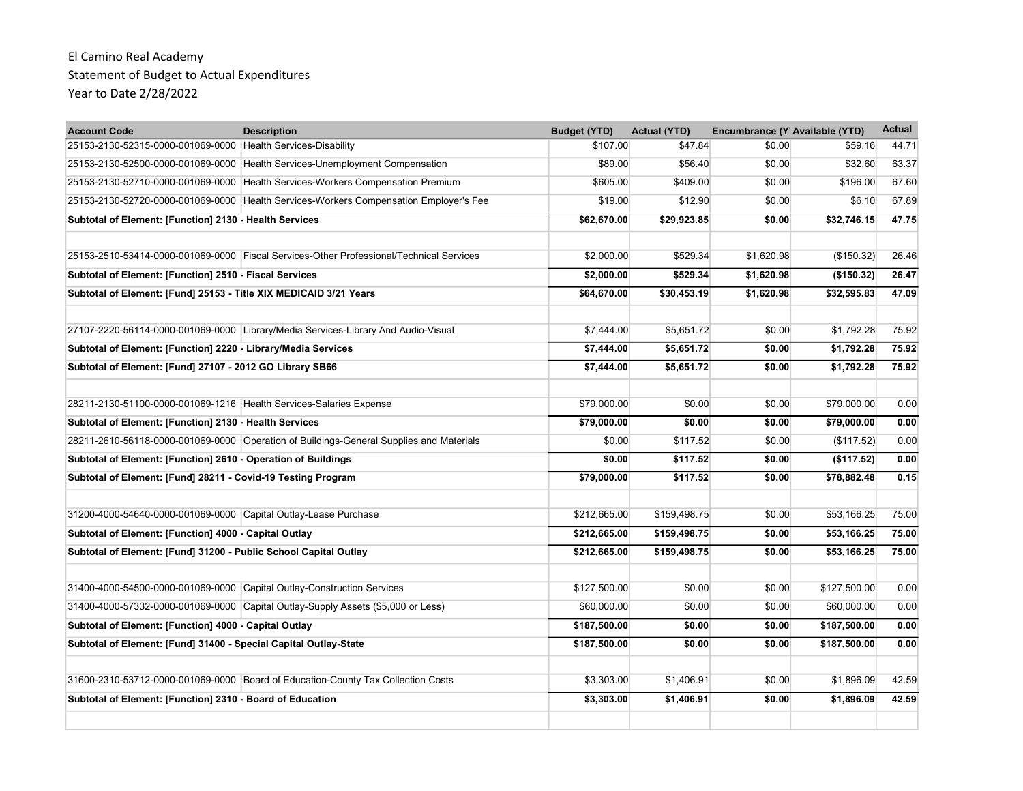| <b>Account Code</b>                                                    | <b>Description</b>                                                                      | <b>Budget (YTD)</b> | <b>Actual (YTD)</b> | Encumbrance (Y Available (YTD) |              | <b>Actual</b> |
|------------------------------------------------------------------------|-----------------------------------------------------------------------------------------|---------------------|---------------------|--------------------------------|--------------|---------------|
| 25153-2130-52315-0000-001069-0000 Health Services-Disability           |                                                                                         | \$107.00            | \$47.84             | \$0.00                         | \$59.16      | 44.71         |
| 25153-2130-52500-0000-001069-0000                                      | Health Services-Unemployment Compensation                                               | \$89.00             | \$56.40             | \$0.00                         | \$32.60      | 63.37         |
| 25153-2130-52710-0000-001069-0000                                      | Health Services-Workers Compensation Premium                                            | \$605.00            | \$409.00            | \$0.00                         | \$196.00     | 67.60         |
| 25153-2130-52720-0000-001069-0000                                      | Health Services-Workers Compensation Employer's Fee                                     | \$19.00             | \$12.90             | \$0.00                         | \$6.10       | 67.89         |
| Subtotal of Element: [Function] 2130 - Health Services                 |                                                                                         | \$62,670.00         | \$29,923.85         | \$0.00                         | \$32,746.15  | 47.75         |
|                                                                        | 25153-2510-53414-0000-001069-0000 Fiscal Services-Other Professional/Technical Services | \$2,000.00          | \$529.34            | \$1,620.98                     | (\$150.32)   | 26.46         |
| Subtotal of Element: [Function] 2510 - Fiscal Services                 |                                                                                         | \$2,000.00          | \$529.34            | \$1,620.98                     | ( \$150.32)  | 26.47         |
| Subtotal of Element: [Fund] 25153 - Title XIX MEDICAID 3/21 Years      |                                                                                         | \$64,670.00         | \$30,453.19         | \$1,620.98                     | \$32,595.83  | 47.09         |
|                                                                        |                                                                                         |                     |                     |                                |              |               |
|                                                                        | 27107-2220-56114-0000-001069-0000 Library/Media Services-Library And Audio-Visual       | \$7,444.00          | \$5,651.72          | \$0.00                         | \$1,792.28   | 75.92         |
| Subtotal of Element: [Function] 2220 - Library/Media Services          |                                                                                         | \$7,444.00          | \$5,651.72          | \$0.00                         | \$1,792.28   | 75.92         |
| Subtotal of Element: [Fund] 27107 - 2012 GO Library SB66               |                                                                                         | \$7,444.00          | \$5,651.72          | \$0.00                         | \$1,792.28   | 75.92         |
| 28211-2130-51100-0000-001069-1216 Health Services-Salaries Expense     |                                                                                         | \$79,000.00         | \$0.00              | \$0.00                         | \$79,000.00  | 0.00          |
| Subtotal of Element: [Function] 2130 - Health Services                 |                                                                                         | \$79,000.00         | \$0.00              | \$0.00                         | \$79,000.00  | 0.00          |
|                                                                        | 28211-2610-56118-0000-001069-0000 Operation of Buildings-General Supplies and Materials | \$0.00              | \$117.52            | \$0.00                         | (\$117.52)   | 0.00          |
| Subtotal of Element: [Function] 2610 - Operation of Buildings          |                                                                                         | \$0.00              | \$117.52            | \$0.00                         | (\$117.52)   | 0.00          |
| Subtotal of Element: [Fund] 28211 - Covid-19 Testing Program           |                                                                                         | \$79,000.00         | \$117.52            | \$0.00                         | \$78,882.48  | 0.15          |
| 31200-4000-54640-0000-001069-0000 Capital Outlay-Lease Purchase        |                                                                                         | \$212,665.00        | \$159,498.75        | \$0.00                         | \$53,166.25  | 75.00         |
| Subtotal of Element: [Function] 4000 - Capital Outlay                  |                                                                                         | \$212,665.00        | \$159,498.75        | \$0.00                         | \$53.166.25  | 75.00         |
| Subtotal of Element: [Fund] 31200 - Public School Capital Outlay       |                                                                                         | \$212,665.00        | \$159,498.75        | \$0.00                         | \$53.166.25  | 75.00         |
|                                                                        |                                                                                         |                     |                     |                                |              |               |
| 31400-4000-54500-0000-001069-0000 Capital Outlay-Construction Services |                                                                                         | \$127,500.00        | \$0.00              | \$0.00                         | \$127,500.00 | 0.00          |
|                                                                        | 31400-4000-57332-0000-001069-0000 Capital Outlay-Supply Assets (\$5,000 or Less)        | \$60,000.00         | \$0.00              | \$0.00                         | \$60,000.00  | 0.00          |
| Subtotal of Element: [Function] 4000 - Capital Outlay                  |                                                                                         | \$187,500.00        | \$0.00              | \$0.00                         | \$187,500.00 | 0.00          |
| Subtotal of Element: [Fund] 31400 - Special Capital Outlay-State       |                                                                                         | \$187,500.00        | \$0.00              | \$0.00                         | \$187,500.00 | 0.00          |
|                                                                        | 31600-2310-53712-0000-001069-0000 Board of Education-County Tax Collection Costs        | \$3,303.00          | \$1,406.91          | \$0.00                         | \$1,896.09   | 42.59         |
| Subtotal of Element: [Function] 2310 - Board of Education              |                                                                                         | \$3,303.00          | \$1,406.91          | \$0.00                         | \$1,896.09   | 42.59         |
|                                                                        |                                                                                         |                     |                     |                                |              |               |